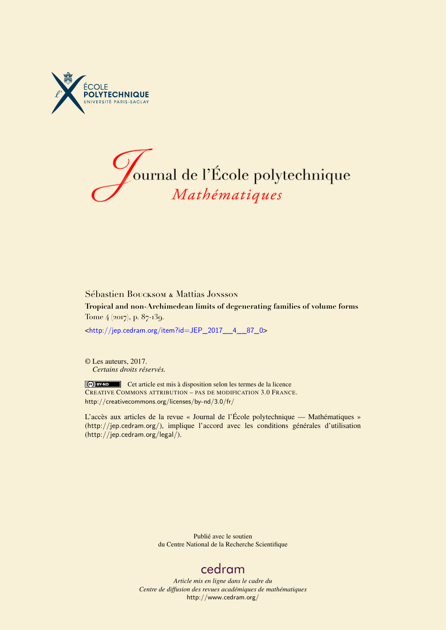



# Sébastien Boucksom & Mattias Jonsson **Tropical and non-Archimedean limits of degenerating families of volume forms** Tome 4 (2017), p. 87-139.

<[http://jep.cedram.org/item?id=JEP\\_2017\\_\\_4\\_\\_87\\_0](http://jep.cedram.org/item?id=JEP_2017__4__87_0)>

© Les auteurs, 2017. *Certains droits réservés.*

Cet article est mis à disposition selon les termes de la licence CREATIVE COMMONS ATTRIBUTION – PAS DE MODIFICATION 3.0 FRANCE. <http://creativecommons.org/licenses/by-nd/3.0/fr/>

L'accès aux articles de la revue « Journal de l'École polytechnique — Mathématiques » (<http://jep.cedram.org/>), implique l'accord avec les conditions générales d'utilisation (<http://jep.cedram.org/legal/>).

> Publié avec le soutien du Centre National de la Recherche Scientifique

# [cedram](http://www.cedram.org/)

*Article mis en ligne dans le cadre du Centre de diffusion des revues académiques de mathématiques* <http://www.cedram.org/>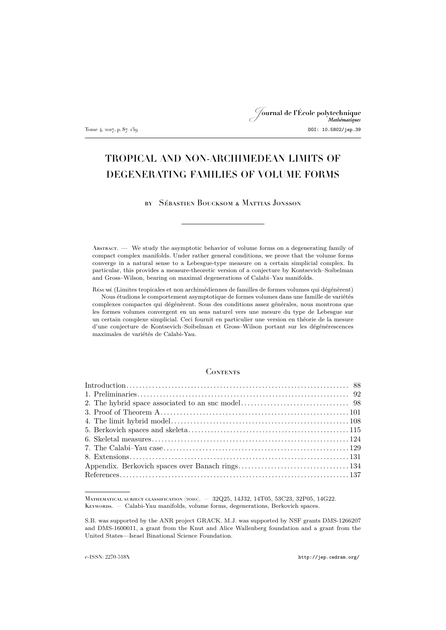# Journal de l'École polytechnique Tome 4, 2017, p. 87–139 DOI: 10.5802/jep.39

# TROPICAL AND NON-ARCHIMEDEAN LIMITS OF DEGENERATING FAMILIES OF VOLUME FORMS

by Sébastien Boucksom & Mattias Jonsson

Abstract. — We study the asymptotic behavior of volume forms on a degenerating family of compact complex manifolds. Under rather general conditions, we prove that the volume forms converge in a natural sense to a Lebesgue-type measure on a certain simplicial complex. In particular, this provides a measure-theoretic version of a conjecture by Kontsevich–Soibelman and Gross–Wilson, bearing on maximal degenerations of Calabi–Yau manifolds.

Résumé (Limites tropicales et non archimédiennes de familles de formes volumes qui dégénèrent) Nous étudions le comportement asymptotique de formes volumes dans une famille de variétés complexes compactes qui dégénèrent. Sous des conditions assez générales, nous montrons que les formes volumes convergent en un sens naturel vers une mesure du type de Lebesgue sur un certain complexe simplicial. Ceci fournit en particulier une version en théorie de la mesure d'une conjecture de Kontsevich–Soibelman et Gross–Wilson portant sur les dégénérescences maximales de variétés de Calabi-Yau.

#### **CONTENTS**

Mathematical subject classification (2010). — 32Q25, 14J32, 14T05, 53C23, 32P05, 14G22. Keywords. — Calabi-Yau manifolds, volume forms, degenerations, Berkovich spaces.

S.B. was supported by the ANR project GRACK. M.J. was supported by NSF grants DMS-1266207 and DMS-1600011, a grant from the Knut and Alice Wallenberg foundation and a grant from the United States—Israel Binational Science Foundation.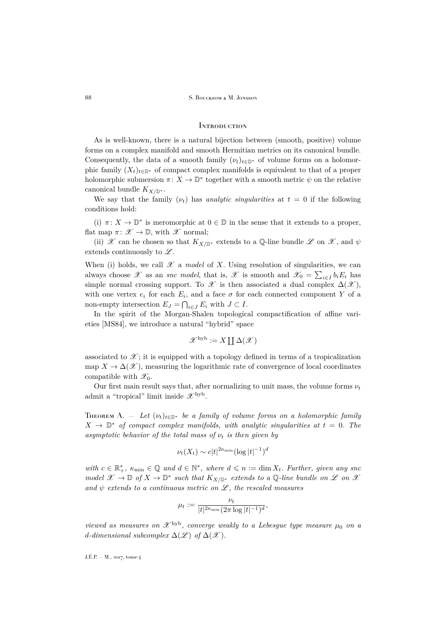#### <span id="page-2-0"></span>**INTRODUCTION**

As is well-known, there is a natural bijection between (smooth, positive) volume forms on a complex manifold and smooth Hermitian metrics on its canonical bundle. Consequently, the data of a smooth family  $(\nu_t)_{t\in\mathbb{D}^*}$  of volume forms on a holomorphic family  $(X_t)_{t\in\mathbb{D}^*}$  of compact complex manifolds is equivalent to that of a proper holomorphic submersion  $\pi \colon X \to \mathbb{D}^*$  together with a smooth metric  $\psi$  on the relative canonical bundle  $K_{X/\mathbb{D}^*}$ .

We say that the family  $(\nu_t)$  has *analytic singularities* at  $t = 0$  if the following conditions hold:

(i)  $\pi \colon X \to \mathbb{D}^*$  is meromorphic at  $0 \in \mathbb{D}$  in the sense that it extends to a proper, flat map  $\pi: \mathscr{X} \to \mathbb{D}$ , with  $\mathscr{X}$  normal;

(ii) X can be chosen so that  $K_{X/\mathbb{D}^*}$  extends to a Q-line bundle L on X, and  $\psi$ extends continuously to  $\mathscr{L}.$ 

When (i) holds, we call  $\mathscr X$  a *model* of X. Using resolution of singularities, we can always choose  $\mathscr X$  as an *snc model*, that is,  $\mathscr X$  is smooth and  $\mathscr X_0 = \sum_{i \in I} b_i E_i$  has simple normal crossing support. To  $\mathscr X$  is then associated a dual complex  $\Delta(\mathscr X)$ , with one vertex  $e_i$  for each  $E_i$ , and a face  $\sigma$  for each connected component Y of a non-empty intersection  $E_J = \bigcap_{i \in J} E_i$  with  $J \subset I$ .

In the spirit of the Morgan-Shalen topological compactification of affine varieties [\[MS84\]](#page-52-0), we introduce a natural "hybrid" space

$$
\mathscr{X}^{\rm hyb}:=X\coprod\Delta(\mathscr{X})
$$

associated to  $\mathscr{X}$ ; it is equipped with a topology defined in terms of a tropicalization map  $X \to \Delta(\mathscr{X})$ , measuring the logarithmic rate of convergence of local coordinates compatible with  $\mathscr{X}_0$ .

Our first main result says that, after normalizing to unit mass, the volume forms  $\nu_t$ admit a "tropical" limit inside  $\mathscr{X}^{\rm hyb}$ .

<span id="page-2-1"></span>THEOREM A. — Let  $(\nu_t)_{t\in\mathbb{D}^*}$  be a family of volume forms on a holomorphic family  $X \to \mathbb{D}^*$  *of compact complex manifolds, with analytic singularities at*  $t = 0$ *. The asymptotic behavior of the total mass of*  $\nu_t$  *is then given by* 

$$
\nu_t(X_t) \sim c|t|^{2\kappa_{\min}} (\log|t|^{-1})^d
$$

 $with \ c \in \mathbb{R}_+^*, \ \kappa_{\min} \in \mathbb{Q} \ and \ d \in \mathbb{N}^*, \ where \ d \leqslant n := \dim X_t. \ Further, \ given \ any \ sac$ *model*  $\mathcal{X}$  →  $\mathbb{D}$  *of*  $X$  →  $\mathbb{D}^*$  *such that*  $K_{X/\mathbb{D}^*}$  *extends to a*  $\mathbb{Q}$ *-line bundle on*  $\mathcal{L}$  *on*  $\mathcal{X}$ and  $\psi$  *extends to a continuous metric on*  $\mathscr{L}$ *, the rescaled measures* 

$$
\mu_t := \frac{\nu_t}{|t|^{2\kappa_{\min}} (2\pi \log |t|^{-1})^d},
$$

*viewed as measures on*  $\mathscr{X}^{\text{hyb}}$ , *converge weakly to a Lebesgue type measure*  $\mu_0$  *on a d*-dimensional subcomplex  $\Delta(\mathscr{L})$  of  $\Delta(\mathscr{X})$ .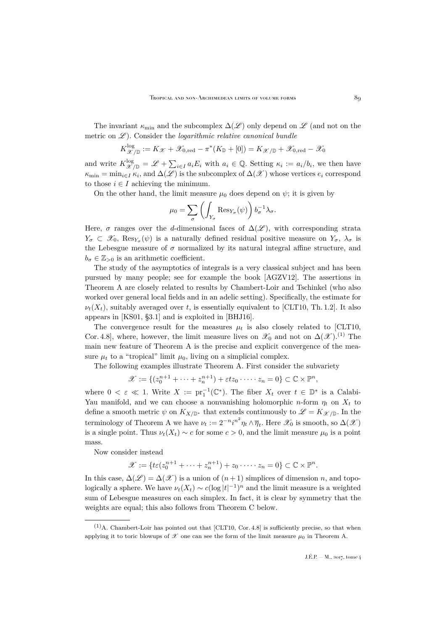The invariant  $\kappa_{\min}$  and the subcomplex  $\Delta(\mathscr{L})$  only depend on  $\mathscr{L}$  (and not on the metric on L<sup>2</sup>). Consider the *logarithmic relative canonical bundle* 

$$
K_{\mathscr{X}/\mathbb{D}}^{\log} := K_{\mathscr{X}} + \mathscr{X}_{0, \text{red}} - \pi^*(K_{\mathbb{D}} + [0]) = K_{\mathscr{X}/\mathbb{D}} + \mathscr{X}_{0, \text{red}} - \mathscr{X}_0
$$

and write  $K^{\log}_{\mathscr{X}/\mathbb{D}} = \mathscr{L} + \sum_{i \in I} a_i E_i$  with  $a_i \in \mathbb{Q}$ . Setting  $\kappa_i := a_i/b_i$ , we then have  $\kappa_{\min} = \min_{i \in I} \kappa_i$ , and  $\Delta(\mathscr{L})$  is the subcomplex of  $\Delta(\mathscr{X})$  whose vertices  $e_i$  correspond to those  $i \in I$  achieving the minimum.

On the other hand, the limit measure  $\mu_0$  does depend on  $\psi$ ; it is given by

$$
\mu_0 = \sum_{\sigma} \left( \int_{Y_{\sigma}} \text{Res}_{Y_{\sigma}}(\psi) \right) b_{\sigma}^{-1} \lambda_{\sigma}.
$$

Here,  $\sigma$  ranges over the d-dimensional faces of  $\Delta(\mathscr{L})$ , with corresponding strata  $Y_{\sigma} \subset \mathscr{X}_0$ ,  $\text{Res}_{Y_{\sigma}}(\psi)$  is a naturally defined residual positive measure on  $Y_{\sigma}$ ,  $\lambda_{\sigma}$  is the Lebesgue measure of  $\sigma$  normalized by its natural integral affine structure, and  $b_{\sigma} \in \mathbb{Z}_{>0}$  is an arithmetic coefficient.

The study of the asymptotics of integrals is a very classical subject and has been pursued by many people; see for example the book [\[AGZV12\]](#page-51-1). The assertions in Theorem [A](#page-2-1) are closely related to results by Chambert-Loir and Tschinkel (who also worked over general local fields and in an adelic setting). Specifically, the estimate for  $\nu_t(X_t)$ , suitably averaged over t, is essentially equivalent to [\[CLT10,](#page-51-2) Th. 1.2]. It also appears in [\[KS01,](#page-52-1) §3.1] and is exploited in [\[BHJ16\]](#page-51-3).

The convergence result for the measures  $\mu_t$  is also closely related to [\[CLT10,](#page-51-2) Cor. 4.8], where, however, the limit measure lives on  $\mathscr{X}_0$  and not on  $\Delta(\mathscr{X})$ .<sup>(1)</sup> The main new feature of Theorem [A](#page-2-1) is the precise and explicit convergence of the measure  $\mu_t$  to a "tropical" limit  $\mu_0$ , living on a simplicial complex.

The following examples illustrate Theorem [A.](#page-2-1) First consider the subvariety

$$
\mathscr{X} := \{ (z_0^{n+1} + \dots + z_n^{n+1}) + \varepsilon tz_0 \cdot \dots \cdot z_n = 0 \} \subset \mathbb{C} \times \mathbb{P}^n,
$$

where  $0 < \varepsilon \ll 1$ . Write  $X := \text{pr}_1^{-1}(\mathbb{C}^*)$ . The fiber  $X_t$  over  $t \in \mathbb{D}^*$  is a Calabi-Yau manifold, and we can choose a nonvanishing holomorphic n-form  $\eta_t$  on  $X_t$  to define a smooth metric  $\psi$  on  $K_{X/\mathbb{D}^*}$  that extends continuously to  $\mathscr{L} = K_{\mathscr{X}/\mathbb{D}}$ . In the terminology of Theorem [A](#page-2-1) we have  $\nu_t := 2^{-n}i^{n^2}\eta_t \wedge \overline{\eta}_t$ . Here  $\mathscr{X}_0$  is smooth, so  $\Delta(\mathscr{X})$ is a single point. Thus  $\nu_t(X_t) \sim c$  for some  $c > 0$ , and the limit measure  $\mu_0$  is a point mass.

Now consider instead

$$
\mathscr{X} := \{ t \varepsilon (z_0^{n+1} + \dots + z_n^{n+1}) + z_0 \cdot \dots \cdot z_n = 0 \} \subset \mathbb{C} \times \mathbb{P}^n.
$$

In this case,  $\Delta(\mathscr{L}) = \Delta(\mathscr{X})$  is a union of  $(n+1)$  simplices of dimension n, and topologically a sphere. We have  $\nu_t(X_t) \sim c(\log|t|^{-1})^n$  and the limit measure is a weighted sum of Lebesgue measures on each simplex. In fact, it is clear by symmetry that the weights are equal; this also follows from Theorem [C](#page-5-0) below.

 $(1)$ A. Chambert-Loir has pointed out that [\[CLT10,](#page-51-2) Cor. 4.8] is sufficiently precise, so that when applying it to toric blowups of  $\mathscr X$  one can see the form of the limit measure  $\mu_0$  in Theorem [A.](#page-2-1)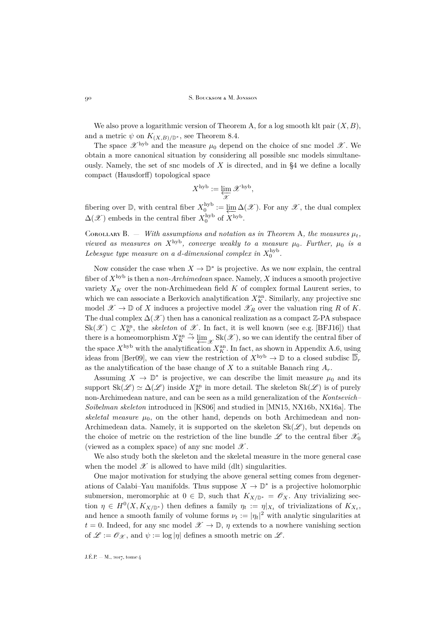We also prove a logarithmic version of Theorem [A,](#page-2-1) for a log smooth klt pair  $(X, B)$ , and a metric  $\psi$  on  $K_{(X,B)/\mathbb{D}^*}$ , see Theorem [8.4.](#page-46-0)

The space  $\mathscr{X}^{\text{hyb}}$  and the measure  $\mu_0$  depend on the choice of snc model  $\mathscr{X}$ . We obtain a more canonical situation by considering all possible snc models simultaneously. Namely, the set of snc models of  $X$  is directed, and in  $\S4$  we define a locally compact (Hausdorff) topological space

$$
X^{\textrm{hyb}} := \varprojlim_{\mathscr{X}} \mathscr{X}^{\textrm{hyb}},
$$

fibering over  $\mathbb{D}$ , with central fiber  $X_0^{\text{hyb}} := \underleftarrow{\lim}$  $\varprojlim_{\mathcal{W}} \Delta(\mathcal{X})$ . For any  $\mathcal{X}$ , the dual complex  $\Delta(\mathscr{X})$  embeds in the central fiber  $X_0^{\rm hyb}$  of  $\hat{X}^{\rm hyb}$ .

<span id="page-4-0"></span>COROLL[A](#page-2-1)RY B.  $-$  *With assumptions and notation as in Theorem A, the measures*  $\mu_t$ , *viewed as measures on*  $X^{\text{hyb}}$ *, converge weakly to a measure*  $\mu_0$ *. Further,*  $\mu_0$  *is a* Lebesgue type measure on a d-dimensional complex in  $X_0^{\text{hyb}}$ .

Now consider the case when  $X \to \mathbb{D}^*$  is projective. As we now explain, the central fiber of Xhyb is then a *non-Archimedean* space. Namely, X induces a smooth projective variety  $X_K$  over the non-Archimedean field  $K$  of complex formal Laurent series, to which we can associate a Berkovich analytification  $X_K^{\text{an}}$ . Similarly, any projective snc model  $\mathscr{X} \to \mathbb{D}$  of X induces a projective model  $\mathscr{X}_R$  over the valuation ring R of K. The dual complex  $\Delta(\mathscr{X})$  then has a canonical realization as a compact  $\mathbb{Z}$ -PA subspace  $\text{Sk}(\mathscr{X}) \subset X_K^{\text{an}}$ , the *skeleton* of  $\mathscr{X}$ . In fact, it is well known (see e.g. [\[BFJ16\]](#page-51-4)) that there is a homeomorphism  $X_K^{\text{an}} \stackrel{\sim}{\leftarrow} \underbrace{\lim}_{\mathscr{X}} Sk(\mathscr{X})$ , so we can identify the central fiber of the space  $X^{\text{hyb}}$  with the analytification  $X_{R}^{\text{an}}$ . In fact, as shown in Appendix [A.6,](#page-50-0) using ideas from [\[Ber09\]](#page-51-5), we can view the restriction of  $X^{\rm hyb} \to \mathbb{D}$  to a closed subdisc  $\overline{\mathbb{D}}_r$ as the analytification of the base change of X to a suitable Banach ring  $A_r$ .

Assuming  $X \to \mathbb{D}^*$  is projective, we can describe the limit measure  $\mu_0$  and its support  $\text{Sk}(\mathscr{L}) \simeq \Delta(\mathscr{L})$  inside  $X_K^{\text{an}}$  in more detail. The skeleton  $\text{Sk}(\mathscr{L})$  is of purely non-Archimedean nature, and can be seen as a mild generalization of the *Kontsevich– Soibelman skeleton* introduced in [\[KS06\]](#page-52-2) and studied in [\[MN15,](#page-52-3) [NX16b,](#page-52-4) [NX16a\]](#page-52-5). The *skeletal measure*  $\mu_0$ , on the other hand, depends on both Archimedean and non-Archimedean data. Namely, it is supported on the skeleton  $Sk(\mathscr{L})$ , but depends on the choice of metric on the restriction of the line bundle  $\mathscr L$  to the central fiber  $\mathscr X_0$ (viewed as a complex space) of any snc model  $\mathscr X$ .

We also study both the skeleton and the skeletal measure in the more general case when the model  $\mathscr X$  is allowed to have mild (dlt) singularities.

One major motivation for studying the above general setting comes from degenerations of Calabi–Yau manifolds. Thus suppose  $X \to \mathbb{D}^*$  is a projective holomorphic submersion, meromorphic at  $0 \in \mathbb{D}$ , such that  $K_{X/\mathbb{D}^*} = \mathscr{O}_X$ . Any trivializing section  $\eta \in H^0(X, K_{X/\mathbb{D}^*})$  then defines a family  $\eta_t := \eta|_{X_t}$  of trivializations of  $K_{X_t}$ , and hence a smooth family of volume forms  $\nu_t := |\eta_t|^2$  with analytic singularities at  $t = 0$ . Indeed, for any snc model  $\mathscr{X} \to \mathbb{D}$ ,  $\eta$  extends to a nowhere vanishing section of  $\mathscr{L} := \mathscr{O}_{\mathscr{X}}$ , and  $\psi := \log |\eta|$  defines a smooth metric on  $\mathscr{L}$ .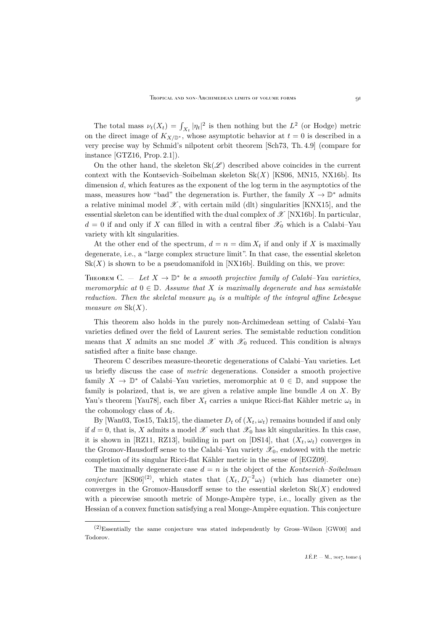The total mass  $\nu_t(X_t) = \int_{X_t} |\eta_t|^2$  is then nothing but the  $L^2$  (or Hodge) metric on the direct image of  $K_{X/\mathbb{D}^*}$ , whose asymptotic behavior at  $t = 0$  is described in a very precise way by Schmid's nilpotent orbit theorem [\[Sch73,](#page-53-0) Th. 4.9] (compare for instance [\[GTZ16,](#page-52-6) Prop. 2.1]).

On the other hand, the skeleton  $Sk(\mathscr{L})$  described above coincides in the current context with the Kontsevich–Soibelman skeleton  $Sk(X)$  [\[KS06,](#page-52-2) [MN15,](#page-52-3) [NX16b\]](#page-52-4). Its dimension d, which features as the exponent of the log term in the asymptotics of the mass, measures how "bad" the degeneration is. Further, the family  $X \to \mathbb{D}^*$  admits a relative minimal model  $\mathscr{X}$ , with certain mild (dlt) singularities [\[KNX15\]](#page-52-7), and the essential skeleton can be identified with the dual complex of  $\mathscr{X}$  [\[NX16b\]](#page-52-4). In particular,  $d = 0$  if and only if X can filled in with a central fiber  $\mathscr{X}_0$  which is a Calabi–Yau variety with klt singularities.

At the other end of the spectrum,  $d = n = \dim X_t$  if and only if X is maximally degenerate, i.e., a "large complex structure limit". In that case, the essential skeleton  $Sk(X)$  is shown to be a pseudomanifold in [\[NX16b\]](#page-52-4). Building on this, we prove:

<span id="page-5-0"></span>THEOREM C.  $-$  Let  $X \to \mathbb{D}^*$  be a smooth projective family of Calabi–Yau varieties, *meromorphic at*  $0 \in \mathbb{D}$ *. Assume that* X *is maximally degenerate and has semistable reduction. Then the skeletal measure*  $\mu_0$  *is a multiple of the integral affine Lebesgue measure on*  $Sk(X)$ *.* 

This theorem also holds in the purely non-Archimedean setting of Calabi–Yau varieties defined over the field of Laurent series. The semistable reduction condition means that X admits an snc model  $\mathscr X$  with  $\mathscr X_0$  reduced. This condition is always satisfied after a finite base change.

Theorem [C](#page-5-0) describes measure-theoretic degenerations of Calabi–Yau varieties. Let us briefly discuss the case of *metric* degenerations. Consider a smooth projective family  $X \to \mathbb{D}^*$  of Calabi–Yau varieties, meromorphic at  $0 \in \mathbb{D}$ , and suppose the family is polarized, that is, we are given a relative ample line bundle  $A$  on  $X$ . By Yau's theorem [\[Yau78\]](#page-53-1), each fiber  $X_t$  carries a unique Ricci-flat Kähler metric  $\omega_t$  in the cohomology class of  $A_t$ .

By [\[Wan03,](#page-53-2) [Tos15,](#page-53-3) [Tak15\]](#page-53-4), the diameter  $D_t$  of  $(X_t, \omega_t)$  remains bounded if and only if  $d = 0$ , that is, X admits a model X such that  $\mathcal{X}_0$  has klt singularities. In this case, it is shown in [\[RZ11,](#page-53-5) [RZ13\]](#page-53-6), building in part on [\[DS14\]](#page-51-6), that  $(X_t, \omega_t)$  converges in the Gromov-Hausdorff sense to the Calabi–Yau variety  $\mathscr{X}_0$ , endowed with the metric completion of its singular Ricci-flat Kähler metric in the sense of [\[EGZ09\]](#page-51-7).

The maximally degenerate case  $d = n$  is the object of the *Kontsevich–Soibelman conjecture* [\[KS06\]](#page-52-2)<sup>(2)</sup>, which states that  $(X_t, D_t^{-2}\omega_t)$  (which has diameter one) converges in the Gromov-Hausdorff sense to the essential skeleton  $Sk(X)$  endowed with a piecewise smooth metric of Monge-Ampère type, i.e., locally given as the Hessian of a convex function satisfying a real Monge-Ampère equation. This conjecture

<sup>(2)</sup>Essentially the same conjecture was stated independently by Gross–Wilson [\[GW00\]](#page-52-8) and Todorov.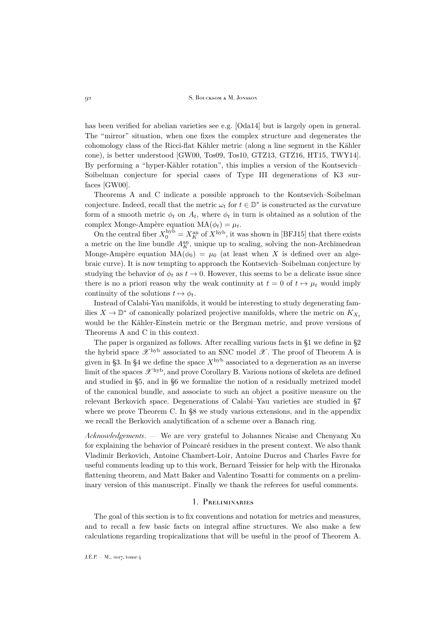has been verified for abelian varieties see e.g. [\[Oda14\]](#page-52-9) but is largely open in general. The "mirror" situation, when one fixes the complex structure and degenerates the cohomology class of the Ricci-flat Kähler metric (along a line segment in the Kähler cone), is better understood [\[GW00,](#page-52-8) [Tos09,](#page-53-7) [Tos10,](#page-53-8) [GTZ13,](#page-52-10) [GTZ16,](#page-52-6) [HT15,](#page-52-11) [TWY14\]](#page-53-9). By performing a "hyper-Kähler rotation", this implies a version of the Kontsevich– Soibelman conjecture for special cases of Type III degenerations of K3 surfaces [\[GW00\]](#page-52-8).

Theorems A and C indicate a possible approach to the Kontsevich–Soibelman conjecture. Indeed, recall that the metric  $\omega_t$  for  $t \in \mathbb{D}^*$  is constructed as the curvature form of a smooth metric  $\phi_t$  on  $A_t$ , where  $\phi_t$  in turn is obtained as a solution of the complex Monge-Ampère equation  $MA(\phi_t) = \mu_t$ .

On the central fiber  $X_0^{\text{hyb}} = X_K^{\text{an}}$  of  $X^{\text{hyb}}$ , it was shown in [\[BFJ15\]](#page-51-8) that there exists a metric on the line bundle  $A_K^{\text{an}}$ , unique up to scaling, solving the non-Archimedean Monge-Ampère equation  $MA(\phi_0) = \mu_0$  (at least when X is defined over an algebraic curve). It is now tempting to approach the Kontsevich–Soibelman conjecture by studying the behavior of  $\phi_t$  as  $t \to 0$ . However, this seems to be a delicate issue since there is no a priori reason why the weak continuity at  $t = 0$  of  $t \mapsto \mu_t$  would imply continuity of the solutions  $t \mapsto \phi_t$ .

Instead of Calabi-Yau manifolds, it would be interesting to study degenerating families  $X \to \mathbb{D}^*$  of canonically polarized projective manifolds, where the metric on  $K_{X_t}$ would be the Kähler-Einstein metric or the Bergman metric, and prove versions of Theorems A and C in this context.

The paper is organized as follows. After recalling various facts in [§1](#page-6-0) we define in [§2](#page-12-0) the hybrid space  $\mathscr{X}^{\rm hyb}$  associated to an SNC model  $\mathscr{X}$ . The proof of Theorem [A](#page-2-1) is given in [§3.](#page-15-0) In [§4](#page-22-0) we define the space  $X^{\rm hyb}$  associated to a degeneration as an inverse limit of the spaces  $\mathscr{X}^{\rm hyb}$ , and prove Corollary [B.](#page-4-0) Various notions of skeleta are defined and studied in [§5,](#page-29-0) and in [§6](#page-38-0) we formalize the notion of a residually metrized model of the canonical bundle, and associate to such an object a positive measure on the relevant Berkovich space. Degenerations of Calabi–Yau varieties are studied in [§7](#page-43-0) where we prove Theorem [C.](#page-5-0) In [§8](#page-45-0) we study various extensions, and in the appendix we recall the Berkovich analytification of a scheme over a Banach ring.

*Acknowledgements*. — We are very grateful to Johannes Nicaise and Chenyang Xu for explaining the behavior of Poincaré residues in the present context. We also thank Vladimir Berkovich, Antoine Chambert-Loir, Antoine Ducros and Charles Favre for useful comments leading up to this work, Bernard Teissier for help with the Hironaka flattening theorem, and Matt Baker and Valentino Tosatti for comments on a preliminary version of this manuscript. Finally we thank the referees for useful comments.

## 1. Preliminaries

<span id="page-6-0"></span>The goal of this section is to fix conventions and notation for metrics and measures, and to recall a few basic facts on integral affine structures. We also make a few calculations regarding tropicalizations that will be useful in the proof of Theorem [A.](#page-2-1)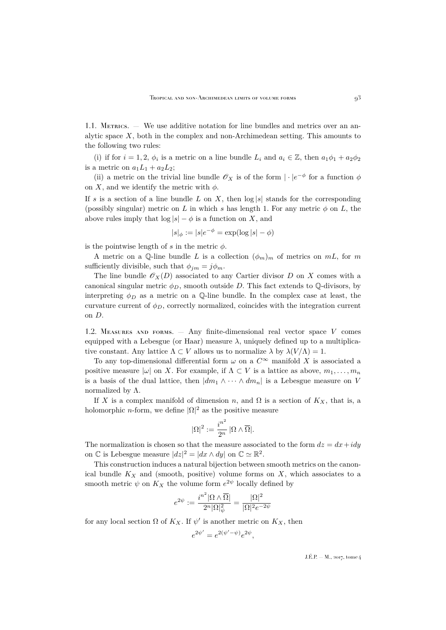1.1. METRICS. — We use additive notation for line bundles and metrics over an analytic space  $X$ , both in the complex and non-Archimedean setting. This amounts to the following two rules:

(i) if for  $i = 1, 2, \phi_i$  is a metric on a line bundle  $L_i$  and  $a_i \in \mathbb{Z}$ , then  $a_1\phi_1 + a_2\phi_2$ is a metric on  $a_1L_1 + a_2L_2$ ;

(ii) a metric on the trivial line bundle  $\mathscr{O}_X$  is of the form  $|\cdot|e^{-\phi}$  for a function  $\phi$ on X, and we identify the metric with  $\phi$ .

If s is a section of a line bundle L on X, then  $log |s|$  stands for the corresponding (possibly singular) metric on L in which s has length 1. For any metric  $\phi$  on L, the above rules imply that  $\log |s| - \phi$  is a function on X, and

$$
|s|_{\phi} := |s|e^{-\phi} = \exp(\log |s| - \phi)
$$

is the pointwise length of s in the metric  $\phi$ .

A metric on a Q-line bundle L is a collection  $(\phi_m)_m$  of metrics on mL, for m sufficiently divisible, such that  $\phi_{jm} = j\phi_m$ .

The line bundle  $\mathscr{O}_X(D)$  associated to any Cartier divisor D on X comes with a canonical singular metric  $\phi_D$ , smooth outside D. This fact extends to  $\mathbb Q$ -divisors, by interpreting  $\phi_D$  as a metric on a Q-line bundle. In the complex case at least, the curvature current of  $\phi_D$ , correctly normalized, coincides with the integration current on D.

<span id="page-7-0"></span>1.2. MEASURES AND FORMS.  $-$  Any finite-dimensional real vector space V comes equipped with a Lebesgue (or Haar) measure  $\lambda$ , uniquely defined up to a multiplicative constant. Any lattice  $\Lambda \subset V$  allows us to normalize  $\lambda$  by  $\lambda(V/\Lambda) = 1$ .

To any top-dimensional differential form  $\omega$  on a  $C^{\infty}$  manifold X is associated a positive measure  $|\omega|$  on X. For example, if  $\Lambda \subset V$  is a lattice as above,  $m_1, \ldots, m_n$ is a basis of the dual lattice, then  $|dm_1 \wedge \cdots \wedge dm_n|$  is a Lebesgue measure on V normalized by  $\Lambda$ .

If X is a complex manifold of dimension n, and  $\Omega$  is a section of  $K_X$ , that is, a holomorphic *n*-form, we define  $|\Omega|^2$  as the positive measure

$$
|\Omega|^2:=\frac{i^{n^2}}{2^n}\,|\Omega\wedge\overline{\Omega}|.
$$

The normalization is chosen so that the measure associated to the form  $dz = dx + i dy$ on  $\mathbb C$  is Lebesgue measure  $|dz|^2 = |dx \wedge dy|$  on  $\mathbb C \simeq \mathbb R^2$ .

This construction induces a natural bijection between smooth metrics on the canonical bundle  $K_X$  and (smooth, positive) volume forms on X, which associates to a smooth metric  $\psi$  on  $K_X$  the volume form  $e^{2\psi}$  locally defined by

$$
e^{2\psi}:=\frac{i^{n^2}|\Omega\wedge\overline{\Omega}|}{2^n|\Omega|^2_{\psi}}=\frac{|\Omega|^2}{|\Omega|^2e^{-2\psi}}
$$

for any local section  $\Omega$  of  $K_X$ . If  $\psi'$  is another metric on  $K_X$ , then

$$
e^{2\psi'} = e^{2(\psi'-\psi)}e^{2\psi},
$$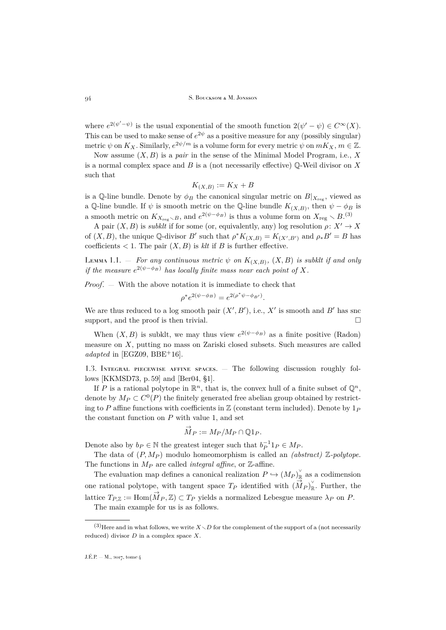where  $e^{2(\psi'-\psi)}$  is the usual exponential of the smooth function  $2(\psi'-\psi) \in C^{\infty}(X)$ . This can be used to make sense of  $e^{2\psi}$  as a positive measure for any (possibly singular) metric  $\psi$  on  $K_X$ . Similarly,  $e^{2\psi/m}$  is a volume form for every metric  $\psi$  on  $mK_X$ ,  $m \in \mathbb{Z}$ .

Now assume  $(X, B)$  is a *pair* in the sense of the Minimal Model Program, i.e., X is a normal complex space and  $B$  is a (not necessarily effective)  $\mathbb{Q}\text{-}\text{Weil divisor on }X$ such that

$$
K_{(X,B)} := K_X + B
$$

is a Q-line bundle. Denote by  $\phi_B$  the canonical singular metric on  $B|_{X_{\text{reg}}}$ , viewed as a Q-line bundle. If  $\psi$  is smooth metric on the Q-line bundle  $K_{(X,B)}$ , then  $\psi - \phi_B$  is a smooth metric on  $K_{X_{\text{reg}}\setminus B}$ , and  $e^{2(\psi-\phi_B)}$  is thus a volume form on  $X_{\text{reg}}\setminus B$ .<sup>(3)</sup>

A pair  $(X, B)$  is *subklt* if for some (or, equivalently, any) log resolution  $\rho: X' \to X$ of  $(X, B)$ , the unique Q-divisor B' such that  $\rho^* K_{(X,B)} = K_{(X',B')}$  and  $\rho_* B' = B$  has coefficients  $< 1$ . The pair  $(X, B)$  is *klt* if B is further effective.

<span id="page-8-0"></span>LEMMA 1.1.  $-$  *For any continuous metric*  $\psi$  *on*  $K_{(X,B)}$ *,*  $(X,B)$  *is subklt if and only if the measure*  $e^{2(\psi - \phi_B)}$  *has locally finite mass near each point of* X.

*Proof*. — With the above notation it is immediate to check that

$$
\rho^* e^{2(\psi - \phi_B)} = e^{2(\rho^* \psi - \phi_{B'})}.
$$

We are thus reduced to a log smooth pair  $(X', B')$ , i.e., X' is smooth and B' has snc support, and the proof is then trivial.  $\Box$ 

When  $(X, B)$  is subklt, we may thus view  $e^{2(\psi - \phi_B)}$  as a finite positive (Radon) measure on X, putting no mass on Zariski closed subsets. Such measures are called  $adapted$  in [\[EGZ09,](#page-51-7) [BBE](#page-51-9)+16].

1.3. Integral piecewise affine spaces. — The following discussion roughly follows [\[KKMSD73,](#page-52-12) p. 59] and [\[Ber04,](#page-51-10) §1].

If P is a rational polytope in  $\mathbb{R}^n$ , that is, the convex hull of a finite subset of  $\mathbb{Q}^n$ , denote by  $M_P \subset C^0(P)$  the finitely generated free abelian group obtained by restricting to P affine functions with coefficients in  $\mathbb Z$  (constant term included). Denote by  $1_P$ the constant function on  $P$  with value 1, and set

$$
\overrightarrow{M}_P := M_P/M_P \cap \mathbb{Q}1_P.
$$

Denote also by  $b_P \in \mathbb{N}$  the greatest integer such that  $b_P^{-1}1_P \in M_P$ .

The data of  $(P, M_P)$  modulo homeomorphism is called an *(abstract)* Z-polytope. The functions in  $M_P$  are called *integral affine*, or  $\mathbb{Z}$ -affine.

The evaluation map defines a canonical realization  $P \hookrightarrow (M_P)_{\mathbb{R}}^{\vee}$  as a codimension one rational polytope, with tangent space  $T_P$  identified with  $(\overrightarrow{M}_P)_{\mathbb{R}}^{\vee}$ . Further, the lattice  $T_{P,Z} := \text{Hom}(\vec{M}_P, \mathbb{Z}) \subset T_P$  yields a normalized Lebesgue measure  $\lambda_P$  on P.

The main example for us is as follows.

 $(3)$  Here and in what follows, we write  $X\setminus D$  for the complement of the support of a (not necessarily reduced) divisor  $D$  in a complex space  $X$ .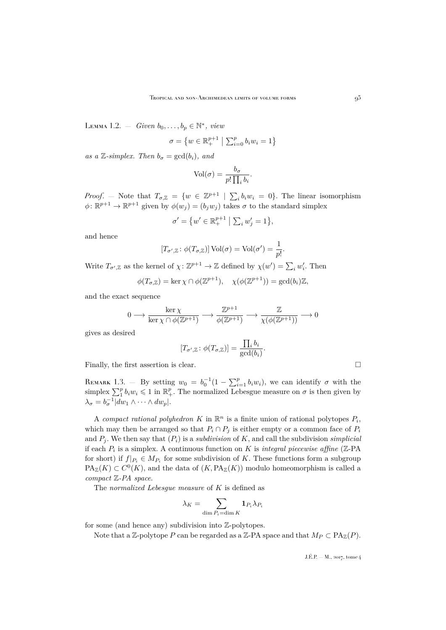<span id="page-9-1"></span>LEMMA 1.2. – *Given*  $b_0, \ldots, b_p \in \mathbb{N}^*$ , *view* 

$$
\sigma = \left\{ w \in \mathbb{R}_+^{p+1} \; \middle| \; \sum_{i=0}^p b_i w_i = 1 \right\}
$$

*as a* Z-simplex. Then  $b_{\sigma} = \gcd(b_i)$ , and

$$
Vol(\sigma) = \frac{b_{\sigma}}{p! \prod_{i} b_{i}}.
$$

*Proof.* – Note that  $T_{\sigma,\mathbb{Z}} = \{w \in \mathbb{Z}^{p+1} \mid \sum_i b_i w_i = 0\}$ . The linear isomorphism  $\phi \colon \mathbb{R}^{p+1} \to \mathbb{R}^{p+1}$  given by  $\phi(w_j) = (b_j w_j)$  takes  $\sigma$  to the standard simplex

$$
\sigma' = \{ w' \in \mathbb{R}^{p+1}_+ \mid \sum_i w'_j = 1 \},\
$$

and hence

$$
[T_{\sigma',\mathbb{Z}}\colon \phi(T_{\sigma,\mathbb{Z}})]\operatorname{Vol}(\sigma) = \operatorname{Vol}(\sigma') = \frac{1}{p!}.
$$

Write  $T_{\sigma',\mathbb{Z}}$  as the kernel of  $\chi\colon \mathbb{Z}^{p+1}\to \mathbb{Z}$  defined by  $\chi(w')=\sum_i w'_i$ . Then

$$
\phi(T_{\sigma,\mathbb{Z}})=\ker\chi\cap\phi(\mathbb{Z}^{p+1}),\quad\chi(\phi(\mathbb{Z}^{p+1}))=\gcd(b_i)\mathbb{Z},
$$

and the exact sequence

$$
0 \longrightarrow \frac{\ker \chi}{\ker \chi \cap \phi(\mathbb{Z}^{p+1})} \longrightarrow \frac{\mathbb{Z}^{p+1}}{\phi(\mathbb{Z}^{p+1})} \longrightarrow \frac{\mathbb{Z}}{\chi(\phi(\mathbb{Z}^{p+1}))} \longrightarrow 0
$$

gives as desired

$$
[T_{\sigma',\mathbb{Z}}\colon \phi(T_{\sigma,\mathbb{Z}})] = \frac{\prod_i b_i}{\gcd(b_i)}.
$$

Finally, the first assertion is clear.  $\Box$ 

<span id="page-9-0"></span>REMARK 1.3. – By setting  $w_0 = b_0^{-1}(1 - \sum_{i=1}^p b_i w_i)$ , we can identify  $\sigma$  with the simplex  $\sum_{i=1}^{p} b_i w_i \leq 1$  in  $\mathbb{R}^p_+$ . The normalized Lebesgue measure on  $\sigma$  is then given by  $\lambda_{\sigma} = b_{\sigma}^{-1} |dw_1 \wedge \cdots \wedge dw_p|.$ 

A *compact rational polyhedron* K in  $\mathbb{R}^n$  is a finite union of rational polytopes  $P_i$ , which may then be arranged so that  $P_i \cap P_j$  is either empty or a common face of  $P_i$ and  $P_j$ . We then say that  $(P_i)$  is a *subdivision* of K, and call the subdivision *simplicial* if each  $P_i$  is a simplex. A continuous function on K is *integral piecewise affine* ( $Z$ -PA for short) if  $f|_{P_i} \in M_{P_i}$  for some subdivision of K. These functions form a subgroup  $\text{PA}_{\mathbb{Z}}(K) \subset C^0(K)$ , and the data of  $(K, \text{PA}_{\mathbb{Z}}(K))$  modulo homeomorphism is called a *compact* Z*-PA space*.

The *normalized Lebesgue measure* of K is defined as

$$
\lambda_K = \sum_{\dim P_i = \dim K} \mathbf{1}_{P_i} \lambda_{P_i}
$$

for some (and hence any) subdivision into Z-polytopes.

Note that a Z-polytope P can be regarded as a Z-PA space and that  $M_P \subset \text{PA}_{\mathbb{Z}}(P)$ .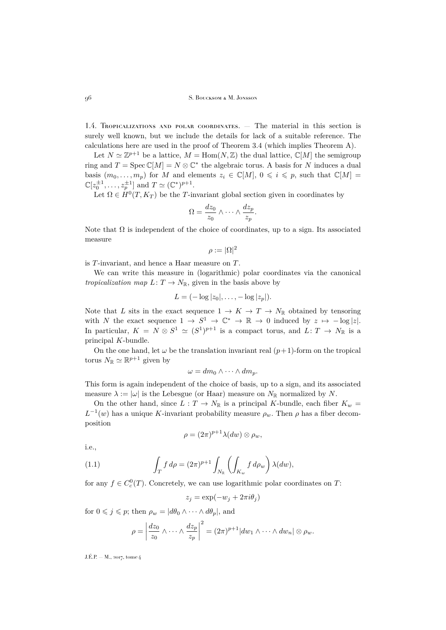<span id="page-10-1"></span>1.4. Tropicalizations and polar coordinates. — The material in this section is surely well known, but we include the details for lack of a suitable reference. The calculations here are used in the proof of Theorem [3.4](#page-17-0) (which implies Theorem [A\)](#page-2-1).

Let  $N \simeq \mathbb{Z}^{p+1}$  be a lattice,  $M = \text{Hom}(N, \mathbb{Z})$  the dual lattice,  $\mathbb{C}[M]$  the semigroup ring and  $T = \text{Spec } \mathbb{C}[M] = N \otimes \mathbb{C}^*$  the algebraic torus. A basis for N induces a dual basis  $(m_0, \ldots, m_p)$  for M and elements  $z_i \in \mathbb{C}[M], 0 \leq i \leq p$ , such that  $\mathbb{C}[M] =$  $\mathbb{C}[z_0^{\pm 1}, \dots, z_p^{\pm 1}]$  and  $T \simeq (\mathbb{C}^*)^{p+1}$ .

Let  $\Omega \in H^0(T, K_T)$  be the T-invariant global section given in coordinates by

$$
\Omega = \frac{dz_0}{z_0} \wedge \cdots \wedge \frac{dz_p}{z_p}.
$$

Note that  $\Omega$  is independent of the choice of coordinates, up to a sign. Its associated measure

$$
\rho:=|\Omega|^2
$$

is T-invariant, and hence a Haar measure on T.

We can write this measure in (logarithmic) polar coordinates via the canonical *tropicalization map*  $L: T \to N_{\mathbb{R}}$ , given in the basis above by

$$
L=(-\log|z_0|,\ldots,-\log|z_p|).
$$

Note that L sits in the exact sequence  $1 \to K \to T \to N_{\mathbb{R}}$  obtained by tensoring with N the exact sequence  $1 \to S^1 \to \mathbb{C}^* \to \mathbb{R} \to 0$  induced by  $z \mapsto -\log|z|$ . In particular,  $K = N \otimes S^1 \simeq (S^1)^{p+1}$  is a compact torus, and  $L: T \to N_{\mathbb{R}}$  is a principal K-bundle.

On the one hand, let  $\omega$  be the translation invariant real  $(p+1)$ -form on the tropical torus  $N_{\mathbb{R}} \simeq \mathbb{R}^{p+1}$  given by

$$
\omega = dm_0 \wedge \cdots \wedge dm_p.
$$

This form is again independent of the choice of basis, up to a sign, and its associated measure  $\lambda := |\omega|$  is the Lebesgue (or Haar) measure on  $N_{\mathbb{R}}$  normalized by N.

On the other hand, since  $L : T \to N_{\mathbb{R}}$  is a principal K-bundle, each fiber  $K_w =$  $L^{-1}(w)$  has a unique K-invariant probability measure  $\rho_w$ . Then  $\rho$  has a fiber decomposition

<span id="page-10-0"></span>
$$
\rho = (2\pi)^{p+1} \lambda(dw) \otimes \rho_w,
$$

i.e.,

(1.1) 
$$
\int_T f d\rho = (2\pi)^{p+1} \int_{N_{\mathbb{R}}} \left( \int_{K_w} f d\rho_w \right) \lambda(dw),
$$

for any  $f \in C_c^0(T)$ . Concretely, we can use logarithmic polar coordinates on T:

 $z_j = \exp(-w_j + 2\pi i \theta_j)$ 

for  $0 \leq j \leq p$ ; then  $\rho_w = |d\theta_0 \wedge \cdots \wedge d\theta_p|$ , and

$$
\rho = \left| \frac{dz_0}{z_0} \wedge \cdots \wedge \frac{dz_p}{z_p} \right|^2 = (2\pi)^{p+1} |dw_1 \wedge \cdots \wedge dw_n| \otimes \rho_w.
$$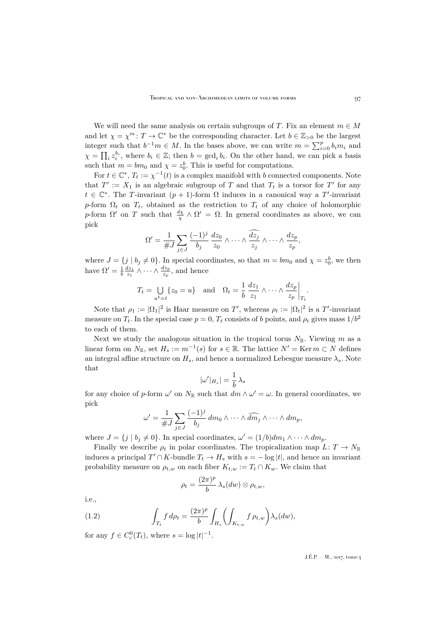We will need the same analysis on certain subgroups of T. Fix an element  $m \in M$ and let  $\chi = \chi^m : T \to \mathbb{C}^*$  be the corresponding character. Let  $b \in \mathbb{Z}_{>0}$  be the largest integer such that  $b^{-1}m \in M$ . In the bases above, we can write  $m = \sum_{i=0}^{p} b_i m_i$  and  $\chi = \prod_i z_i^{b_i}$ , where  $b_i \in \mathbb{Z}$ ; then  $b = \gcd_i b_i$ . On the other hand, we can pick a basis such that  $m = bm_0$  and  $\chi = z_0^b$ . This is useful for computations.

For  $t \in \mathbb{C}^*$ ,  $T_t := \chi^{-1}(t)$  is a complex manifold with b connected components. Note that  $T' := X_1$  is an algebraic subgroup of T and that  $T_t$  is a torsor for T' for any  $t \in \mathbb{C}^*$ . The T-invariant  $(p+1)$ -form  $\Omega$  induces in a canonical way a T'-invariant p-form  $\Omega_t$  on  $T_t$ , obtained as the restriction to  $T_t$  of any choice of holomorphic p-form  $\Omega'$  on T such that  $\frac{d\chi}{\chi} \wedge \Omega' = \Omega$ . In general coordinates as above, we can pick

$$
\Omega' = \frac{1}{\#J} \sum_{j \in J} \frac{(-1)^j}{b_j} \frac{dz_0}{z_0} \wedge \dots \wedge \frac{\widehat{dz_j}}{z_j} \wedge \dots \wedge \frac{dz_p}{z_p},
$$

where  $J = \{j \mid b_j \neq 0\}$ . In special coordinates, so that  $m = bm_0$  and  $\chi = z_0^b$ , we then have  $\Omega' = \frac{1}{b} \frac{dz_1}{z_1} \wedge \cdots \wedge \frac{dz_p}{z_p}$ , and hence

$$
T_t = \bigcup_{u^b = t} \{z_0 = u\} \quad \text{and} \quad \Omega_t = \frac{1}{b} \frac{dz_1}{z_1} \wedge \dots \wedge \frac{dz_p}{z_p} \bigg|_{T_t}.
$$

Note that  $\rho_1 := |\Omega_1|^2$  is Haar measure on T', whereas  $\rho_t := |\Omega_t|^2$  is a T'-invariant measure on  $T_t$ . In the special case  $p = 0$ ,  $T_t$  consists of b points, and  $\rho_t$  gives mass  $1/b^2$ to each of them.

Next we study the analogous situation in the tropical torus  $N_{\mathbb{R}}$ . Viewing m as a linear form on  $N_{\mathbb{R}}$ , set  $H_s := m^{-1}(s)$  for  $s \in \mathbb{R}$ . The lattice  $N' = \text{Ker } m \subset N$  defines an integral affine structure on  $H_s$ , and hence a normalized Lebesgue measure  $\lambda_s$ . Note that

$$
|\omega'|_{H_s}|=\frac{1}{b}\,\lambda_s
$$

for any choice of p-form  $\omega'$  on  $N_{\mathbb{R}}$  such that  $dm \wedge \omega' = \omega$ . In general coordinates, we pick

$$
\omega' = \frac{1}{\#J} \sum_{j \in J} \frac{(-1)^j}{b_j} dm_0 \wedge \cdots \wedge \widehat{dm_j} \wedge \cdots \wedge dm_p,
$$

where  $J = \{j \mid b_j \neq 0\}$ . In special coordinates,  $\omega' = (1/b)dm_1 \wedge \cdots \wedge dm_p$ .

Finally we describe  $\rho_t$  in polar coordinates. The tropicalization map  $L: T \to N_{\mathbb{R}}$ induces a principal  $T' \cap K$ -bundle  $T_t \to H_s$  with  $s = -\log|t|$ , and hence an invariant probability measure on  $\rho_{t,w}$  on each fiber  $K_{t,w} := T_t \cap K_w$ . We claim that

<span id="page-11-0"></span>
$$
\rho_t = \frac{(2\pi)^p}{b} \lambda_s(dw) \otimes \rho_{t,w},
$$

i.e.,

(1.2) 
$$
\int_{T_t} f d\rho_t = \frac{(2\pi)^p}{b} \int_{H_s} \left( \int_{K_{t,w}} f \rho_{t,w} \right) \lambda_s(dw),
$$

for any  $f \in C_c^0(T_t)$ , where  $s = \log |t|^{-1}$ .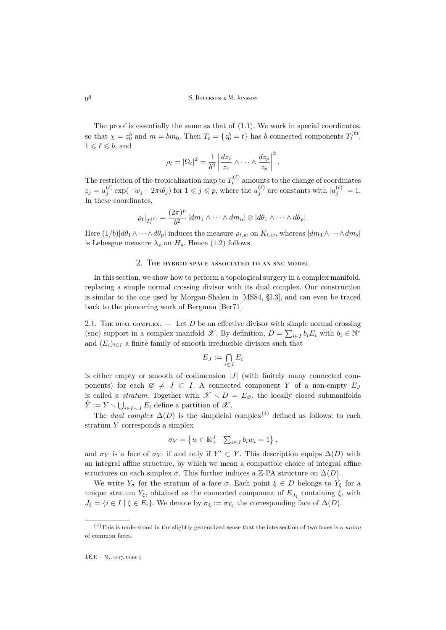The proof is essentially the same as that of [\(1.1\)](#page-10-0). We work in special coordinates, so that  $\chi = z_0^b$  and  $m = bm_0$ . Then  $T_t = \{z_0^b = t\}$  has b connected components  $T_t^{(\ell)}$ ,  $1 \leqslant \ell \leqslant b$ , and

$$
\rho_t = |\Omega_t|^2 = \frac{1}{b^2} \left| \frac{dz_1}{z_1} \wedge \dots \wedge \frac{dz_p}{z_p} \right|^2.
$$

The restriction of the tropicalization map to  $T_t^{(\ell)}$  amounts to the change of coordinates  $z_j = u_j^{(\ell)} \exp(-w_j + 2\pi i \theta_j)$  for  $1 \leqslant j \leqslant p$ , where the  $u_j^{(\ell)}$  are constants with  $|u_j^{(\ell)}| = 1$ . In these coordinates,

$$
\rho_t|_{T_t^{(\ell)}} = \frac{(2\pi)^p}{b^2} |dm_1 \wedge \cdots \wedge dm_n| \otimes |d\theta_1 \wedge \cdots \wedge d\theta_p|.
$$

Here  $(1/b)|d\theta_1 \wedge \cdots \wedge d\theta_p|$  induces the measure  $\rho_{t,w}$  on  $K_{t,w}$ , whereas  $|dm_1 \wedge \cdots \wedge dm_s|$ is Lebesgue measure  $\lambda_s$  on  $H_s$ . Hence [\(1.2\)](#page-11-0) follows.

## 2. The hybrid space associated to an snc model

<span id="page-12-0"></span>In this section, we show how to perform a topological surgery in a complex manifold, replacing a simple normal crossing divisor with its dual complex. Our construction is similar to the one used by Morgan-Shalen in [\[MS84,](#page-52-0) §I.3], and can even be traced back to the pioneering work of Bergman [\[Ber71\]](#page-51-11).

<span id="page-12-1"></span>2.1. The dual complex.  $\overline{P}$  Let D be an effective divisor with simple normal crossing (snc) support in a complex manifold  $\mathscr{X}$ . By definition,  $D = \sum_{i \in I} b_i E_i$  with  $b_i \in \mathbb{N}^*$ and  $(E_i)_{i\in I}$  a finite family of smooth irreducible divisors such that

$$
E_J := \bigcap_{i \in J} E_i
$$

is either empty or smooth of codimension  $|J|$  (with finitely many connected components) for each  $\varnothing \neq J \subset I$ . A connected component Y of a non-empty  $E_J$ is called a *stratum*. Together with  $\mathscr{X} \setminus D = E_{\varnothing}$ , the locally closed submanifolds  $\mathring{Y} := Y \setminus \bigcup_{i \in I \setminus J} E_i$  define a partition of  $\mathscr{X}$ .

The *dual complex*  $\Delta(D)$  is the simplicial complex<sup>(4)</sup> defined as follows: to each stratum Y corresponds a simplex

$$
\sigma_Y = \left\{ w \in \mathbb{R}_+^J \mid \sum_{i \in J} b_i w_i = 1 \right\},\
$$

and  $\sigma_Y$  is a face of  $\sigma_{Y'}$  if and only if  $Y' \subset Y$ . This description equips  $\Delta(D)$  with an integral affine structure, by which we mean a compatible choice of integral affine structures on each simplex  $\sigma$ . This further induces a Z-PA structure on  $\Delta(D)$ .

We write  $Y_{\sigma}$  for the stratum of a face  $\sigma$ . Each point  $\xi \in D$  belongs to  $Y_{\xi}$  for a unique stratum  $Y_{\xi}$ , obtained as the connected component of  $E_{J_{\xi}}$  containing  $\xi$ , with  $J_{\xi} = \{i \in I \mid \xi \in E_i\}$ . We denote by  $\sigma_{\xi} := \sigma_{Y_{\xi}}$  the corresponding face of  $\Delta(D)$ .

<sup>(4)</sup>This is understood in the slightly generalized sense that the intersection of two faces is a *union* of common faces.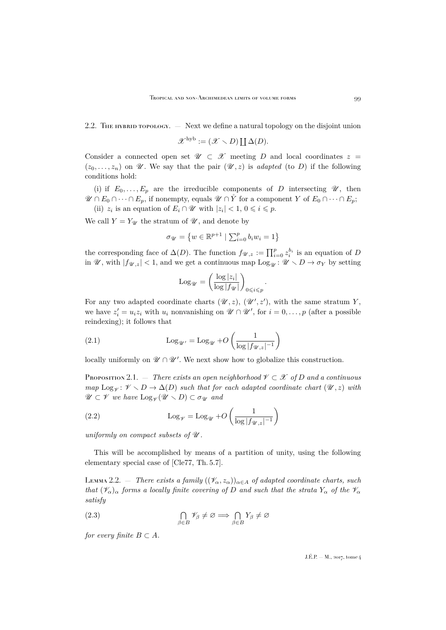### <span id="page-13-5"></span>2.2. The hybrid topology.  $-$  Next we define a natural topology on the disjoint union

 $\mathscr{X}^{\rm hyb} := (\mathscr{X} \setminus D) \coprod \Delta(D).$ 

Consider a connected open set  $\mathscr{U} \subset \mathscr{X}$  meeting D and local coordinates  $z =$  $(z_0, \ldots, z_n)$  on  $\mathcal U$ . We say that the pair  $(\mathcal U, z)$  is *adapted* (to D) if the following conditions hold:

(i) if  $E_0, \ldots, E_p$  are the irreducible components of D intersecting  $\mathscr{U}$ , then  $\mathscr{U} \cap E_0 \cap \cdots \cap E_p$ , if nonempty, equals  $\mathscr{U} \cap Y$  for a component Y of  $E_0 \cap \cdots \cap E_p$ ;

(ii)  $z_i$  is an equation of  $E_i \cap \mathscr{U}$  with  $|z_i| < 1, 0 \leq i \leq p$ .

We call  $Y = Y_{\mathscr{U}}$  the stratum of  $\mathscr{U}$ , and denote by

$$
\sigma_{\mathcal{U}} = \left\{ w \in \mathbb{R}^{p+1} \mid \sum_{i=0}^{p} b_i w_i = 1 \right\}
$$

the corresponding face of  $\Delta(D)$ . The function  $f_{\mathscr{U},z} := \prod_{i=0}^p z_i^{b_i}$  is an equation of D in  $\mathscr{U}$ , with  $|f_{\mathscr{U},z}| < 1$ , and we get a continuous map  $\text{Log}_{\mathscr{U}} : \mathscr{U} \setminus D \to \sigma_Y$  by setting

<span id="page-13-3"></span>
$$
\mathrm{Log}_{\mathscr{U}} = \left(\frac{\log |z_i|}{\log |f_{\mathscr{U}}|}\right)_{0 \leqslant i \leqslant p}
$$

.

For any two adapted coordinate charts  $(\mathscr{U}, z)$ ,  $(\mathscr{U}', z')$ , with the same stratum Y, we have  $z_i' = u_i z_i$  with  $u_i$  nonvanishing on  $\mathscr{U} \cap \mathscr{U}'$ , for  $i = 0, \ldots, p$  (after a possible reindexing); it follows that

(2.1) 
$$
\operatorname{Log}_{\mathscr{U}'} = \operatorname{Log}_{\mathscr{U}} + O\left(\frac{1}{\log |f_{\mathscr{U},z}|^{-1}}\right)
$$

locally uniformly on  $\mathscr{U}\cap\mathscr{U}'$ . We next show how to globalize this construction.

<span id="page-13-0"></span>Proposition 2.1. — *There exists an open neighborhood*  $\mathcal{V} \subset \mathcal{X}$  of D and a continuous *map*  $\text{Log}_{\mathscr{V}} : \mathscr{V} \setminus D \to \Delta(D)$  *such that for each adapted coordinate chart*  $(\mathscr{U}, z)$  *with*  $\mathscr{U} \subset \mathscr{V}$  *we have*  $\text{Log}_{\mathscr{V}}(\mathscr{U} \setminus D) \subset \sigma_{\mathscr{U}}$  *and* 

<span id="page-13-4"></span>(2.2) 
$$
\operatorname{Log}_{\mathscr{V}} = \operatorname{Log}_{\mathscr{U}} + O\left(\frac{1}{\log |f_{\mathscr{U},z}|^{-1}}\right)
$$

*uniformly on compact subsets of*  $U$ *.* 

This will be accomplished by means of a partition of unity, using the following elementary special case of [\[Cle77,](#page-51-12) Th. 5.7].

<span id="page-13-1"></span>LEMMA 2.2. — *There exists a family*  $((\mathcal{V}_{\alpha}, z_{\alpha}))_{\alpha \in A}$  *of adapted coordinate charts, such that*  $(\mathcal{V}_{\alpha})_{\alpha}$  *forms a locally finite covering of* D *and such that the strata*  $Y_{\alpha}$  *of the*  $\mathcal{V}_{\alpha}$ *satisfy*

<span id="page-13-2"></span>(2.3) 
$$
\bigcap_{\beta \in B} \mathscr{V}_{\beta} \neq \varnothing \Longrightarrow \bigcap_{\beta \in B} Y_{\beta} \neq \varnothing
$$

*for every finite*  $B \subset A$ *.*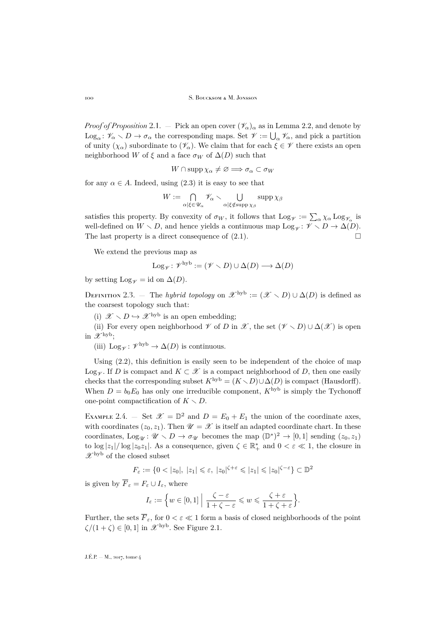*Proof of Proposition* [2.1.](#page-13-0) — Pick an open cover  $(\mathscr{V}_{\alpha})_{\alpha}$  as in Lemma [2.2,](#page-13-1) and denote by  $Log_{\alpha} : \mathscr{V}_{\alpha} \setminus D \to \sigma_{\alpha}$  the corresponding maps. Set  $\mathscr{V} := \bigcup_{\alpha} \mathscr{V}_{\alpha}$ , and pick a partition of unity  $(\chi_{\alpha})$  subordinate to  $(\mathscr{V}_{\alpha})$ . We claim that for each  $\xi \in \mathscr{V}$  there exists an open neighborhood W of  $\xi$  and a face  $\sigma_W$  of  $\Delta(D)$  such that

$$
W\cap\operatorname{supp}\chi_{\alpha}\neq\varnothing\Longrightarrow\sigma_{\alpha}\subset\sigma_W
$$

for any  $\alpha \in A$ . Indeed, using [\(2.3\)](#page-13-2) it is easy to see that

$$
W := \bigcap_{\alpha | \xi \in \mathscr{U}_\alpha} \mathscr{V}_\alpha \setminus \bigcup_{\alpha | \xi \notin \operatorname{supp} \chi_\beta} \operatorname{supp} \chi_\beta
$$

satisfies this property. By convexity of  $\sigma_W$ , it follows that  $\text{Log}_{\mathscr{V}} := \sum_{\alpha} \chi_{\alpha} \text{Log}_{\mathscr{V}_{\alpha}}$  is well-defined on  $W \setminus D$ , and hence yields a continuous map  $Log_{\mathscr{V}} : \mathscr{V} \setminus D \to \Delta(D)$ .<br>The last property is a direct consequence of (2.1) The last property is a direct consequence of [\(2.1\)](#page-13-3).

We extend the previous map as

$$
Log_{\mathscr{V}}\colon \mathscr{V}^{\mathrm{hyb}}:=(\mathscr{V}\smallsetminus D)\cup\Delta(D)\longrightarrow\Delta(D)
$$

by setting Log<sub> $\psi$ </sub> = id on  $\Delta(D)$ .

DEFINITION 2.3. — The *hybrid topology* on  $\mathscr{X}^{\text{hyb}} := (\mathscr{X} \setminus D) \cup \Delta(D)$  is defined as the coarsest topology such that:

(i)  $\mathscr{X} \setminus D \hookrightarrow \mathscr{X}^{\rm hyb}$  is an open embedding;

(ii) For every open neighborhood  $\mathscr V$  of D in  $\mathscr X$ , the set  $(\mathscr V \setminus D) \cup \Delta(\mathscr X)$  is open in  $\mathscr{X}^{\mathrm{hyb}}$ ;

(iii)  $Log_{\mathscr{V}}: \mathscr{V}^{hyb} \to \Delta(D)$  is continuous.

Using [\(2.2\)](#page-13-4), this definition is easily seen to be independent of the choice of map Log<sub> $\gamma$ </sub>. If D is compact and  $K \subset \mathcal{X}$  is a compact neighborhood of D, then one easily checks that the corresponding subset  $K^{\rm hyb} = (K \setminus D) \cup \Delta(D)$  is compact (Hausdorff). When  $D = b_0 E_0$  has only one irreducible component,  $K^{\rm hyb}$  is simply the Tychonoff one-point compactification of  $K \setminus D$ .

<span id="page-14-0"></span>EXAMPLE 2.4. – Set  $\mathscr{X} = \mathbb{D}^2$  and  $D = E_0 + E_1$  the union of the coordinate axes, with coordinates  $(z_0, z_1)$ . Then  $\mathscr{U} = \mathscr{X}$  is itself an adapted coordinate chart. In these coordinates,  $Log_{\mathscr{U}}: \mathscr{U} \setminus D \to \sigma_{\mathscr{U}}$  becomes the map  $(\mathbb{D}^*)^2 \to [0,1]$  sending  $(z_0, z_1)$ to  $\log |z_1|/\log |z_0z_1|$ . As a consequence, given  $\zeta \in \mathbb{R}_+^*$  and  $0 < \varepsilon \ll 1$ , the closure in  $\mathscr{X}^{\rm hyb}$  of the closed subset

$$
F_{\varepsilon} := \{ 0 < |z_0|, \ |z_1| \leqslant \varepsilon, \ |z_0|^{\zeta + \varepsilon} \leqslant |z_1| \leqslant |z_0|^{\zeta - \varepsilon} \} \subset \mathbb{D}^2
$$

is given by  $\overline{F}_{\varepsilon} = F_{\varepsilon} \cup I_{\varepsilon}$ , where

$$
I_{\varepsilon} := \Big\{ w \in [0,1] \; \Big| \; \frac{\zeta - \varepsilon}{1 + \zeta - \varepsilon} \leqslant w \leqslant \frac{\zeta + \varepsilon}{1 + \zeta + \varepsilon} \Big\}.
$$

Further, the sets  $\overline{F}_{\varepsilon}$ , for  $0 < \varepsilon \ll 1$  form a basis of closed neighborhoods of the point  $\zeta/(1+\zeta) \in [0,1]$  in  $\mathscr{X}^{\rm hyb}$ . See Figure [2.1.](#page-15-1)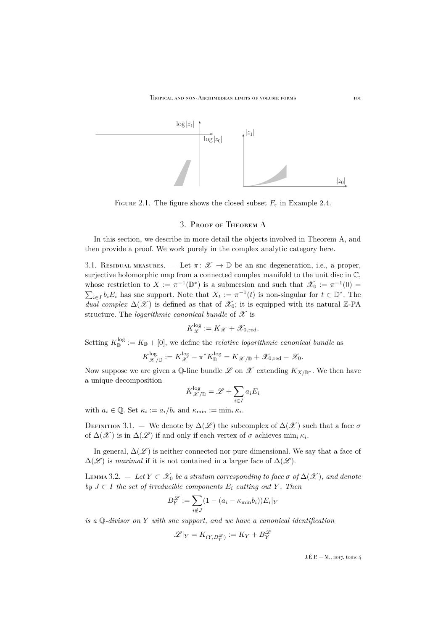

FIGURE 2.1. The figure shows the closed subset  $F<sub>\varepsilon</sub>$  in Example [2.4.](#page-14-0)

### <span id="page-15-1"></span>3. Proof of Theorem [A](#page-2-1)

<span id="page-15-0"></span>In this section, we describe in more detail the objects involved in Theorem A, and then provide a proof. We work purely in the complex analytic category here.

<span id="page-15-2"></span>3.1. RESIDUAL MEASURES. — Let  $\pi: \mathscr{X} \to \mathbb{D}$  be an snc degeneration, i.e., a proper, surjective holomorphic map from a connected complex manifold to the unit disc in C, whose restriction to  $X := \pi^{-1}(\mathbb{D}^*)$  is a submersion and such that  $\mathscr{X}_0 := \pi^{-1}(0)$  $\sum_{i\in I} b_i E_i$  has snc support. Note that  $X_t := \pi^{-1}(t)$  is non-singular for  $t \in \mathbb{D}^*$ . The *dual complex*  $\Delta(\mathcal{X})$  is defined as that of  $\mathcal{X}_0$ ; it is equipped with its natural Z-PA structure. The *logarithmic canonical bundle* of  $\mathscr X$  is

$$
K_{\mathscr{X}}^{\log} := K_{\mathscr{X}} + \mathscr{X}_{0, \text{red}}.
$$

Setting  $K_{\mathbb{D}}^{\log} := K_{\mathbb{D}} + [0],$  we define the *relative logarithmic canonical bundle* as

$$
K_{\mathscr{X}/\mathbb{D}}^{\log} := K_{\mathscr{X}}^{\log} - \pi^* K_{\mathbb{D}}^{\log} = K_{\mathscr{X}/\mathbb{D}} + \mathscr{X}_{0, \text{red}} - \mathscr{X}_{0}.
$$

Now suppose we are given a Q-line bundle L on  $\mathscr X$  extending  $K_{X/\mathbb{D}^*}$ . We then have a unique decomposition

$$
K_{\mathscr{X}/\mathbb{D}}^{\log} = \mathscr{L} + \sum_{i \in I} a_i E_i
$$

with  $a_i \in \mathbb{Q}$ . Set  $\kappa_i := a_i/b_i$  and  $\kappa_{\min} := \min_i \kappa_i$ .

DEFINITION 3.1. — We denote by  $\Delta(\mathscr{L})$  the subcomplex of  $\Delta(\mathscr{X})$  such that a face  $\sigma$ of  $\Delta(\mathscr{X})$  is in  $\Delta(\mathscr{L})$  if and only if each vertex of  $\sigma$  achieves  $\min_i \kappa_i$ .

In general,  $\Delta(\mathscr{L})$  is neither connected nor pure dimensional. We say that a face of  $\Delta(\mathscr{L})$  is *maximal* if it is not contained in a larger face of  $\Delta(\mathscr{L})$ .

LEMMA 3.2. — Let  $Y \subset \mathscr{X}_0$  be a stratum corresponding to face  $\sigma$  of  $\Delta(\mathscr{X})$ , and denote *by*  $J ⊂ I$  *the set of irreducible components*  $E_i$  *cutting out*  $Y$ *. Then* 

$$
B_Y^{\mathcal{L}} := \sum_{i \notin J} (1 - (a_i - \kappa_{\min} b_i)) E_i|_Y
$$

*is a* Q*-divisor on* Y *with snc support, and we have a canonical identification*

$$
\mathscr{L}|_Y = K_{(Y,B_Y^{\mathscr{L}})} := K_Y + B_Y^{\mathscr{L}}
$$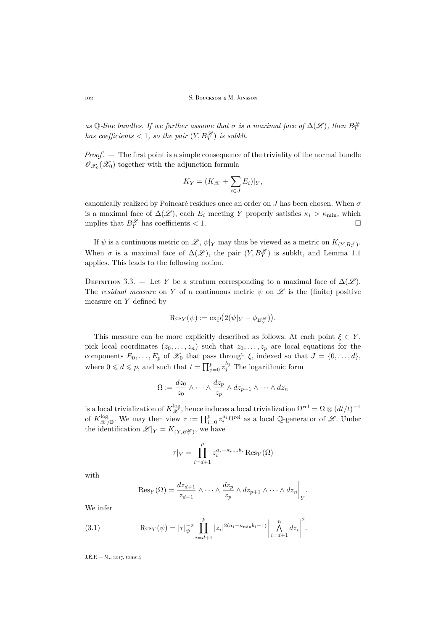*as* Q-line bundles. If we further assume that  $\sigma$  is a maximal face of  $\Delta(\mathscr{L})$ , then  $B_Y^{\mathscr{L}}$ *has coefficients*  $< 1$ *, so the pair*  $(Y, B_Y^{\mathscr{L}})$  *is subklt.* 

*Proof*. — The first point is a simple consequence of the triviality of the normal bundle  $\mathscr{O}_{\mathscr{X}_0}(\mathscr{X}_0)$  together with the adjunction formula

$$
K_Y = (K_{\mathcal{X}} + \sum_{i \in J} E_i)|_Y,
$$

canonically realized by Poincaré residues once an order on J has been chosen. When  $\sigma$ is a maximal face of  $\Delta(\mathscr{L})$ , each  $E_i$  meeting Y properly satisfies  $\kappa_i > \kappa_{\min}$ , which implies that  $B_Y^{\mathscr{L}}$  has coefficients  $< 1$ .

If  $\psi$  is a continuous metric on  $\mathscr{L}, \psi|_Y$  may thus be viewed as a metric on  $K_{(Y,B_Y^{\mathscr{L}})}$ . When  $\sigma$  is a maximal face of  $\Delta(\mathscr{L})$ , the pair  $(Y, B_Y^{\mathscr{L}})$  is subklt, and Lemma [1.1](#page-8-0) applies. This leads to the following notion.

DEFINITION 3.3. — Let Y be a stratum corresponding to a maximal face of  $\Delta(\mathscr{L})$ . The *residual measure* on Y of a continuous metric  $\psi$  on  $\mathscr L$  is the (finite) positive measure on Y defined by

$$
\mathrm{Res}_Y(\psi) := \exp\bigl(2(\psi|_Y - \phi_{B_Y^{\mathscr{L}}})\bigr).
$$

This measure can be more explicitly described as follows. At each point  $\xi \in Y$ , pick local coordinates  $(z_0, \ldots, z_n)$  such that  $z_0, \ldots, z_p$  are local equations for the components  $E_0, \ldots, E_p$  of  $\mathscr{X}_0$  that pass through  $\xi$ , indexed so that  $J = \{0, \ldots, d\}$ , where  $0 \leq d \leq p$ , and such that  $t = \prod_{j=0}^p z_j^{b_j}$  The logarithmic form

$$
\Omega := \frac{dz_0}{z_0} \wedge \dots \wedge \frac{dz_p}{z_p} \wedge dz_{p+1} \wedge \dots \wedge dz_n
$$

is a local trivialization of  $K_{\mathscr{X}}^{\log}$ , hence induces a local trivialization  $\Omega^{\text{rel}} = \Omega \otimes (dt/t)^{-1}$ of  $K_{\mathscr{X}/\mathbb{D}}^{\log}$ . We may then view  $\tau := \prod_{i=0}^p z_i^{a_i} \Omega^{\text{rel}}$  as a local Q-generator of  $\mathscr{L}$ . Under the identification  $\mathscr{L}|_Y = K_{(Y,B_Y^{\mathscr{L}})}$ , we have

$$
\tau|_Y = \prod_{i=d+1}^p z_i^{a_i - \kappa_{\min} b_i} \operatorname{Res}_Y(\Omega)
$$

with

$$
\operatorname{Res}_{Y}(\Omega) = \frac{dz_{d+1}}{z_{d+1}} \wedge \cdots \wedge \frac{dz_{p}}{z_{p}} \wedge dz_{p+1} \wedge \cdots \wedge dz_{n} \bigg|_{Y}.
$$

We infer

(3.1) 
$$
\operatorname{Res}_{Y}(\psi) = |\tau|_{\psi}^{-2} \prod_{i=d+1}^{p} |z_{i}|^{2(a_{i} - \kappa_{\min} b_{i} - 1)} \left| \bigwedge_{i=d+1}^{n} dz_{i} \right|^{2}.
$$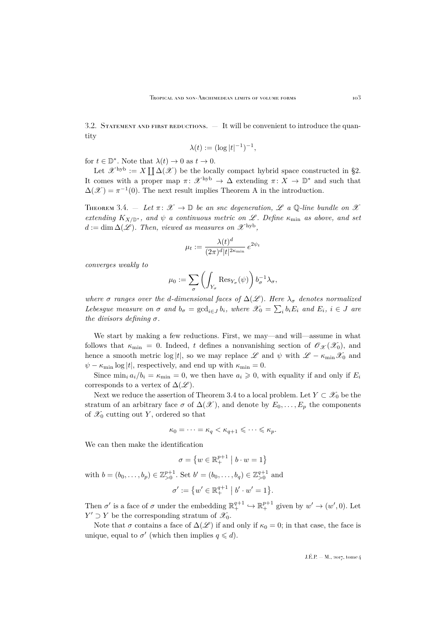<span id="page-17-1"></span>3.2. STATEMENT AND FIRST REDUCTIONS.  $-$  It will be convenient to introduce the quantity

$$
\lambda(t) := (\log |t|^{-1})^{-1},
$$

for  $t \in \mathbb{D}^*$ . Note that  $\lambda(t) \to 0$  as  $t \to 0$ .

Let  $\mathcal{X}^{\text{hyb}} := X \coprod \Delta(\mathcal{X})$  be the locally compact hybrid space constructed in [§2.](#page-12-0) It comes with a proper map  $\pi: \mathscr{X}^{\rm hyb} \to \Delta$  extending  $\pi: X \to \mathbb{D}^*$  and such that  $\Delta(\mathscr{X}) = \pi^{-1}(0)$ . The next result implies Theorem A in the introduction.

<span id="page-17-0"></span>THEOREM 3.4.  $-$  *Let*  $\pi: \mathscr{X} \to \mathbb{D}$  *be an snc degeneration,*  $\mathscr{L}$  *a*  $\mathbb{Q}$ *-line bundle on*  $\mathscr{X}$ *extending*  $K_{X/\mathbb{D}^*}$ *, and*  $\psi$  *a continuous metric on*  $\mathscr{L}$ *. Define*  $\kappa_{\min}$  *as above, and set*  $d := \dim \Delta(\mathscr{L})$ . Then, viewed as measures on  $\mathscr{X}^{\rm hyb}$ ,

$$
\mu_t := \frac{\lambda(t)^d}{(2\pi)^d |t|^{2\kappa_{\min}}} e^{2\psi_t}
$$

*converges weakly to*

$$
\mu_0 := \sum_{\sigma} \left( \int_{Y_{\sigma}} \text{Res}_{Y_{\sigma}}(\psi) \right) b_{\sigma}^{-1} \lambda_{\sigma},
$$

*where*  $\sigma$  *ranges over the d-dimensional faces of*  $\Delta(\mathscr{L})$ *. Here*  $\lambda_{\sigma}$  *denotes normalized Lebesgue measure on*  $\sigma$  *and*  $b_{\sigma} = \text{gcd}_{i \in J} b_i$ , where  $\mathscr{X}_0 = \sum_i b_i E_i$  *and*  $E_i$ ,  $i \in J$  *are the divisors defining*  $\sigma$ *.* 

We start by making a few reductions. First, we may—and will—assume in what follows that  $\kappa_{\min} = 0$ . Indeed, t defines a nonvanishing section of  $\mathscr{O}_{\mathscr{X}}(\mathscr{X}_0)$ , and hence a smooth metric log |t|, so we may replace L and  $\psi$  with  $\mathscr{L} - \kappa_{\min} \mathscr{X}_0$  and  $\psi - \kappa_{\min} \log|t|$ , respectively, and end up with  $\kappa_{\min} = 0$ .

Since  $\min_i a_i/b_i = \kappa_{\min} = 0$ , we then have  $a_i \geq 0$ , with equality if and only if  $E_i$ corresponds to a vertex of  $\Delta(\mathscr{L})$ .

Next we reduce the assertion of Theorem [3.4](#page-17-0) to a local problem. Let  $Y \subset \mathcal{X}_0$  be the stratum of an arbitrary face  $\sigma$  of  $\Delta(\mathscr{X})$ , and denote by  $E_0, \ldots, E_p$  the components of  $\mathscr{X}_0$  cutting out Y, ordered so that

$$
\kappa_0 = \cdots = \kappa_q < \kappa_{q+1} \leqslant \cdots \leqslant \kappa_p.
$$

We can then make the identification

$$
\sigma = \left\{ w \in \mathbb{R}^{p+1}_+ \mid b \cdot w = 1 \right\}
$$

with  $b = (b_0, ..., b_p) \in \mathbb{Z}_{>0}^{p+1}$ . Set  $b' = (b_0, ..., b_q) \in \mathbb{Z}_{>0}^{q+1}$  and

$$
\sigma' := \{w' \in \mathbb{R}^{q+1}_+ \mid b' \cdot w' = 1\}.
$$

Then  $\sigma'$  is a face of  $\sigma$  under the embedding  $\mathbb{R}^{q+1}_+ \hookrightarrow \mathbb{R}^{p+1}_+$  given by  $w' \to (w', 0)$ . Let  $Y' \supset Y$  be the corresponding stratum of  $\mathscr{X}_0$ .

Note that  $\sigma$  contains a face of  $\Delta(\mathscr{L})$  if and only if  $\kappa_0 = 0$ ; in that case, the face is unique, equal to  $\sigma'$  (which then implies  $q \leq d$ ).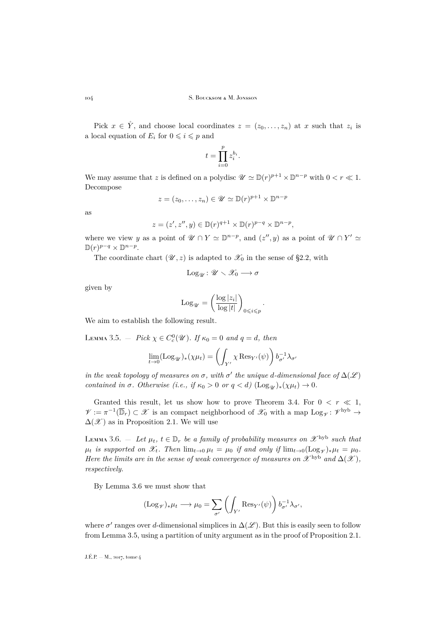Pick  $x \in \mathring{Y}$ , and choose local coordinates  $z = (z_0, \ldots, z_n)$  at x such that  $z_i$  is a local equation of  $E_i$  for  $0 \leq i \leq p$  and

$$
t = \prod_{i=0}^{p} z_i^{b_i}.
$$

We may assume that z is defined on a polydisc  $\mathscr{U} \simeq \mathbb{D}(r)^{p+1} \times \mathbb{D}^{n-p}$  with  $0 < r \ll 1$ . Decompose

$$
z = (z_0, \dots, z_n) \in \mathcal{U} \simeq \mathbb{D}(r)^{p+1} \times \mathbb{D}^{n-p}
$$

as

$$
z = (z', z'', y) \in \mathbb{D}(r)^{q+1} \times \mathbb{D}(r)^{p-q} \times \mathbb{D}^{n-p},
$$

where we view y as a point of  $\mathscr{U} \cap Y \simeq \mathbb{D}^{n-p}$ , and  $(z'', y)$  as a point of  $\mathscr{U} \cap Y' \simeq$  $\mathbb{D}(r)^{p-q} \times \mathbb{D}^{n-p}.$ 

The coordinate chart  $(\mathcal{U}, z)$  is adapted to  $\mathcal{X}_0$  in the sense of [§2.2,](#page-13-5) with

 $Log_{\mathscr{A}}: \mathscr{U} \setminus \mathscr{X}_0 \longrightarrow \sigma$ 

given by

$$
\mathrm{Log}_{\mathscr{U}} = \left(\frac{\log |z_i|}{\log |t|}\right)_{0 \leqslant i \leqslant p}.
$$

We aim to establish the following result.

<span id="page-18-1"></span>LEMMA 3.5. – *Pick*  $\chi \in C_c^0(\mathcal{U})$ *. If*  $\kappa_0 = 0$  *and*  $q = d$ *, then* 

$$
\lim_{t \to 0} (\mathrm{Log}_{\mathscr{U}})_*(\chi \mu_t) = \left( \int_{Y'} \chi \mathrm{Res}_{Y'}(\psi) \right) b_{\sigma'}^{-1} \lambda_{\sigma'}
$$

*in the weak topology of measures on*  $\sigma$ *, with*  $\sigma'$  *the unique d-dimensional face of*  $\Delta(\mathscr{L})$ *contained in*  $\sigma$ *. Otherwise* (*i.e., if*  $\kappa_0 > 0$  *or*  $q < d$ ) (Log<sub>W</sub>)<sub>\*</sub>( $\chi \mu_t$ )  $\rightarrow 0$ *.* 

Granted this result, let us show how to prove Theorem [3.4.](#page-17-0) For  $0 < r \ll 1$ ,  $\mathscr{V} := \pi^{-1}(\overline{\mathbb{D}}_r) \subset \mathscr{X}$  is an compact neighborhood of  $\mathscr{X}_0$  with a map  $\text{Log}_{\mathscr{V}}: \mathscr{V}^{\text{hyb}} \to$  $\Delta(\mathscr{X})$  as in Proposition [2.1.](#page-13-0) We will use

<span id="page-18-0"></span>LEMMA 3.6.  $-$  *Let*  $\mu_t$ ,  $t \in \mathbb{D}_r$  *be a family of probability measures on*  $\mathscr{X}^{\text{hyb}}$  *such that*  $\mu_t$  *is supported on*  $\mathscr{X}_t$ *. Then*  $\lim_{t\to 0} \mu_t = \mu_0$  *if and only if*  $\lim_{t\to 0} (\text{Log}_{\mathscr{V}})_*\mu_t = \mu_0$ *. Here the limits are in the sense of weak convergence of measures on*  $\mathscr{X}^{\text{hyb}}$  *and*  $\Delta(\mathscr{X})$ *, respectively.*

By Lemma [3.6](#page-18-0) we must show that

$$
(\mathrm{Log}_{\mathscr{V}})_*\mu_t \longrightarrow \mu_0 = \sum_{\sigma'} \left( \int_{Y'} \mathrm{Res}_{Y'}(\psi) \right) b_{\sigma'}^{-1} \lambda_{\sigma'},
$$

where  $\sigma'$  ranges over d-dimensional simplices in  $\Delta(\mathscr{L})$ . But this is easily seen to follow from Lemma [3.5,](#page-18-1) using a partition of unity argument as in the proof of Proposition [2.1.](#page-13-0)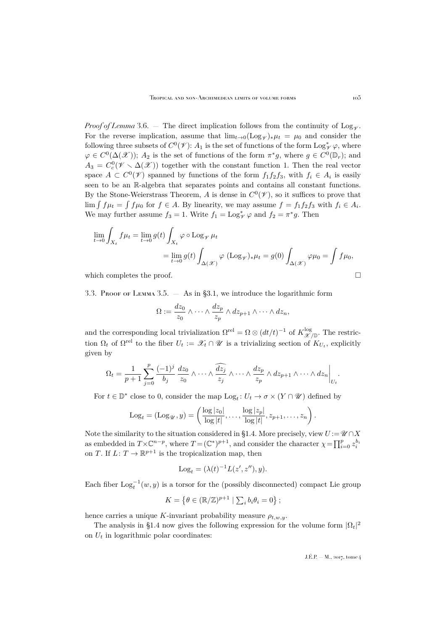*Proof of Lemma* [3.6.](#page-18-0) — The direct implication follows from the continuity of Log<sub> $\gamma$ </sub>. For the reverse implication, assume that  $\lim_{t\to 0} (\text{Log}_{\mathscr{V}})_*\mu_t = \mu_0$  and consider the following three subsets of  $C^0(\mathscr{V})$ :  $A_1$  is the set of functions of the form  $\text{Log}^*_{\mathscr{V}}\varphi$ , where  $\varphi \in C^0(\Delta(\mathcal{X}))$ ;  $A_2$  is the set of functions of the form  $\pi^*g$ , where  $g \in C^0(\mathbb{D}_r)$ ; and  $A_3 = C_c^0(\mathscr{V} \setminus \Delta(\mathscr{X}))$  together with the constant function 1. Then the real vector space  $A \subset C^0(\mathscr{V})$  spanned by functions of the form  $f_1 f_2 f_3$ , with  $f_i \in A_i$  is easily seen to be an R-algebra that separates points and contains all constant functions. By the Stone-Weierstrass Theorem, A is dense in  $C^0(\mathscr{V})$ , so it suffices to prove that  $\lim \int f \mu_t = \int f \mu_0$  for  $f \in A$ . By linearity, we may assume  $f = f_1 f_2 f_3$  with  $f_i \in A_i$ . We may further assume  $f_3 = 1$ . Write  $f_1 = \text{Log}_{\mathscr{V}}^* \varphi$  and  $f_2 = \pi^* g$ . Then

$$
\lim_{t \to 0} \int_{X_t} f \mu_t = \lim_{t \to 0} g(t) \int_{X_t} \varphi \circ \text{Log}_{\mathscr{V}} \mu_t
$$
  
= 
$$
\lim_{t \to 0} g(t) \int_{\Delta(\mathscr{X})} \varphi (\text{Log}_{\mathscr{V}})_* \mu_t = g(0) \int_{\Delta(\mathscr{X})} \varphi \mu_0 = \int f \mu_0,
$$

which completes the proof.  $\Box$ 

<span id="page-19-0"></span>3.3. Proof of Lemma [3.5.](#page-18-1)  $-$  As in [§3.1,](#page-15-2) we introduce the logarithmic form

$$
\Omega := \frac{dz_0}{z_0} \wedge \cdots \wedge \frac{dz_p}{z_p} \wedge dz_{p+1} \wedge \cdots \wedge dz_n,
$$

and the corresponding local trivialization  $\Omega^{rel} = \Omega \otimes (dt/t)^{-1}$  of  $K_{\mathscr{X}/\mathbb{D}}^{\log}$ . The restriction  $\Omega_t$  of  $\Omega^{\text{rel}}$  to the fiber  $U_t := \mathscr{X}_t \cap \mathscr{U}$  is a trivializing section of  $K_{U_t}$ , explicitly given by

$$
\Omega_t = \frac{1}{p+1} \sum_{j=0}^p \frac{(-1)^j}{b_j} \frac{dz_0}{z_0} \wedge \dots \wedge \frac{\widehat{dz_j}}{z_j} \wedge \dots \wedge \frac{dz_p}{z_p} \wedge dz_{p+1} \wedge \dots \wedge dz_n \bigg|_{U_t}.
$$

For  $t \in \mathbb{D}^*$  close to 0, consider the map  $\text{Log}_t: U_t \to \sigma \times (Y \cap \mathcal{U})$  defined by

$$
Log_t = (Log_{\mathscr{U}}, y) = \left(\frac{log |z_0|}{log |t|}, \dots, \frac{log |z_p|}{log |t|}, z_{p+1}, \dots, z_n\right)
$$

Note the similarity to the situation considered in [§1.4.](#page-10-1) More precisely, view  $U := \mathscr{U} \cap X$ as embedded in  $T \times \mathbb{C}^{n-p}$ , where  $T = (\mathbb{C}^*)^{p+1}$ , and consider the character  $\chi = \prod_{i=0}^p z_i^{b_i}$ on T. If  $L: T \to \mathbb{R}^{p+1}$  is the tropicalization map, then

$$
Logt = (\lambda(t)-1 L(z', z''), y).
$$

Each fiber  $\text{Log}_t^{-1}(w, y)$  is a torsor for the (possibly disconnected) compact Lie group

$$
K = \left\{ \theta \in (\mathbb{R}/\mathbb{Z})^{p+1} \mid \sum_i b_i \theta_i = 0 \right\};
$$

hence carries a unique K-invariant probability measure  $\rho_{t,w,y}$ .

The analysis in [§1.4](#page-10-1) now gives the following expression for the volume form  $|\Omega_t|^2$ on  $U_t$  in logarithmic polar coordinates:

.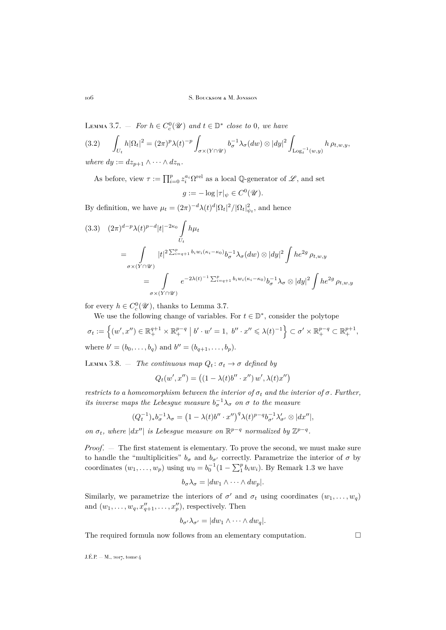<span id="page-20-0"></span>LEMMA 3.7. – For  $h \in C_c^0(\mathcal{U})$  and  $t \in \mathbb{D}^*$  close to 0, we have  $(3.2)$  $\int_{U_t} h |\Omega_t|^2 = (2\pi)^p \lambda(t)^{-p} \int$  $\sigma{\times}(Y\!\cap\!\mathscr{U})$  $b_\sigma^{-1}\lambda_\sigma(dw)\otimes|dy|^2$  $\int_{\mathrm{Log}_t^{-1}(w,y)} h \, \rho_{t,w,y},$ *where*  $dy := dz_{p+1} \wedge \cdots \wedge dz_n$ .

As before, view  $\tau := \prod_{i=0}^p z_i^{a_i} \Omega^{\text{rel}}$  as a local Q-generator of  $\mathscr{L}$ , and set

$$
g := -\log|\tau|_{\psi} \in C^0(\mathcal{U}).
$$

By definition, we have  $\mu_t = (2\pi)^{-d} \lambda(t)^d |\Omega_t|^2 / |\Omega_t|^2_{\psi_t}$ , and hence

<span id="page-20-1"></span>
$$
(3.3) (2\pi)^{d-p}\lambda(t)^{p-d}|t|^{-2\kappa_0}\int_{U_t}h\mu_t
$$
  
= 
$$
\int_{\sigma\times(Y\cap\mathscr{U})}|t|^{2\sum_{i=q+1}^p b_i w_i(\kappa_i-\kappa_0)}b_{\sigma}^{-1}\lambda_{\sigma}(dw)\otimes |dy|^2\int he^{2g}\rho_{t,w,y}
$$
  
= 
$$
\int_{\sigma\times(Y\cap\mathscr{U})}e^{-2\lambda(t)^{-1}\sum_{i=q+1}^p b_i w_i(\kappa_i-\kappa_0)}b_{\sigma}^{-1}\lambda_{\sigma}\otimes |dy|^2\int he^{2g}\rho_{t,w,y}
$$

for every  $h \in C_c^0(\mathcal{U})$ , thanks to Lemma [3.7.](#page-20-0)

We use the following change of variables. For  $t\in\mathbb{D}^*,$  consider the polytope

$$
\sigma_t := \left\{ (w', x'') \in \mathbb{R}^{q+1}_+ \times \mathbb{R}^{p-q}_+ \mid b' \cdot w' = 1, b'' \cdot x'' \leq \lambda(t)^{-1} \right\} \subset \sigma' \times \mathbb{R}^{p-q}_+ \subset \mathbb{R}^{p+1}_+,
$$
  
where  $b' = (b_0, \dots, b_q)$  and  $b'' = (b_{q+1}, \dots, b_p)$ .

<span id="page-20-2"></span>LEMMA 3.8. — *The continuous map*  $Q_t: \sigma_t \to \sigma$  *defined by* 

$$
Q_t(w',x'') = \left( (1-\lambda(t)b''\cdot x'')\, w', \lambda(t)x'' \right)
$$

*restricts to a homeomorphism between the interior of*  $\sigma_t$  *and the interior of*  $\sigma$ *. Further, its inverse maps the Lebesgue measure*  $b_{\sigma}^{-1}\lambda_{\sigma}$  *on*  $\sigma$  *to the measure* 

$$
(Q_t^{-1})_*b_{\sigma}^{-1}\lambda_{\sigma} = \left(1 - \lambda(t)b'' \cdot x''\right)^q \lambda(t)^{p-q} b_{\sigma'}^{-1}\lambda'_{\sigma'} \otimes |dx''|,
$$

*on*  $\sigma_t$ *, where*  $|dx''|$  *is Lebesgue measure on*  $\mathbb{R}^{p-q}$  *normalized by*  $\mathbb{Z}^{p-q}$ *.* 

*Proof*. — The first statement is elementary. To prove the second, we must make sure to handle the "multiplicities"  $b_\sigma$  and  $b_{\sigma'}$  correctly. Parametrize the interior of  $\sigma$  by coordinates  $(w_1, \ldots, w_p)$  using  $w_0 = b_0^{-1} (1 - \sum_1^p b_i w_i)$ . By Remark [1.3](#page-9-0) we have

$$
b_{\sigma} \lambda_{\sigma} = |dw_1 \wedge \cdots \wedge dw_p|.
$$

Similarly, we parametrize the interiors of  $\sigma'$  and  $\sigma_t$  using coordinates  $(w_1, \ldots, w_q)$ and  $(w_1, \ldots, w_q, x''_{q+1}, \ldots, x''_p)$ , respectively. Then

$$
b_{\sigma'}\lambda_{\sigma'}=|dw_1\wedge\cdots\wedge dw_q|.
$$

The required formula now follows from an elementary computation.  $\Box$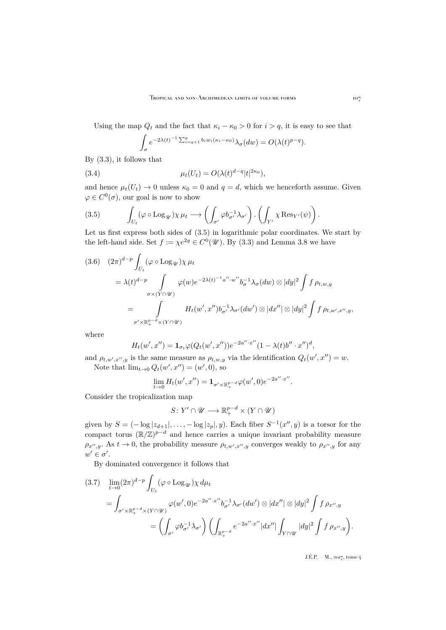Using the map  $Q_t$  and the fact that  $\kappa_i - \kappa_0 > 0$  for  $i > q$ , it is easy to see that

$$
\int_{\sigma} e^{-2\lambda(t)^{-1} \sum_{i=q+1}^p b_i w_i(\kappa_i - \kappa_0)} \lambda_{\sigma}(dw) = O(\lambda(t)^{p-q}).
$$

By [\(3.3\)](#page-20-1), it follows that

(3.4) 
$$
\mu_t(U_t) = O(\lambda(t)^{d-q} |t|^{2\kappa_0}),
$$

and hence  $\mu_t(U_t) \to 0$  unless  $\kappa_0 = 0$  and  $q = d$ , which we henceforth assume. Given  $\varphi \in C^0(\sigma)$ , our goal is now to show

<span id="page-21-0"></span>(3.5) 
$$
\int_{U_t} (\varphi \circ \mathrm{Log}_{\mathscr{U}}) \chi \mu_t \longrightarrow \left( \int_{\sigma'} \varphi b_{\sigma'}^{-1} \lambda_{\sigma'} \right) \cdot \left( \int_{Y'} \chi \mathrm{Res}_{Y'} (\psi) \right).
$$

Let us first express both sides of [\(3.5\)](#page-21-0) in logarithmic polar coordinates. We start by the left-hand side. Set  $f := \chi e^{2g} \in C^0(\mathcal{U})$ . By [\(3.3\)](#page-20-1) and Lemma [3.8](#page-20-2) we have

<span id="page-21-2"></span>
$$
(3.6) \quad (2\pi)^{d-p} \int_{U_t} (\varphi \circ \text{Log}_{\mathcal{U}}) \chi \mu_t
$$
  
\n
$$
= \lambda(t)^{d-p} \int_{\sigma \times (Y \cap \mathcal{U})} \varphi(w) e^{-2\lambda(t)^{-1}a'' \cdot w''} b_{\sigma}^{-1} \lambda_{\sigma}(dw) \otimes |dy|^2 \int f \rho_{t,w,y}
$$
  
\n
$$
= \int_{\sigma' \times \mathbb{R}_+^{p-d} \times (Y \cap \mathcal{U})} H_t(w', x'') b_{\sigma'}^{-1} \lambda_{\sigma'}(dw') \otimes |dx''| \otimes |dy|^2 \int f \rho_{t,w',x'',y}
$$

where

$$
H_t(w', x'') = \mathbf{1}_{\sigma_t} \varphi(Q_t(w', x'')) e^{-2a'' \cdot x''} (1 - \lambda(t) b'' \cdot x'')^d,
$$

and  $\rho_{t,w',x'',y}$  is the same measure as  $\rho_{t,w,y}$  via the identification  $Q_t(w',x'') = w$ . Note that  $\lim_{t\to 0} Q_t(w', x'') = (w', 0)$ , so

$$
\lim_{t\to 0}H_t(w',x'')=\mathbf{1}_{\sigma'\times\mathbb{R}^{p-d}_+}\varphi(w',0)e^{-2a''\cdot x''}.
$$

Consider the tropicalization map

$$
S\colon Y'\cap\mathscr{U}\longrightarrow\mathbb{R}^{p-d}_+\times(Y\cap\mathscr{U})
$$

given by  $S = (-\log |z_{d+1}|, \ldots, -\log |z_p|, y)$ . Each fiber  $S^{-1}(x'', y)$  is a torsor for the compact torus  $(\mathbb{R}/\mathbb{Z})^{p-d}$  and hence carries a unique invariant probability measure  $\rho_{x'',y}$ . As  $t \to 0$ , the probability measure  $\rho_{t,w',x'',y}$  converges weakly to  $\rho_{x'',y}$  for any  $w' \in \sigma'.$ 

By dominated convergence it follows that

<span id="page-21-1"></span>
$$
(3.7) \quad \lim_{t \to 0} (2\pi)^{d-p} \int_{U_t} (\varphi \circ \text{Log}_{\mathcal{U}}) \chi \, d\mu_t
$$
  
= 
$$
\int_{\sigma' \times \mathbb{R}_+^{p-d} \times (Y \cap \mathcal{U})} \varphi(w', 0) e^{-2a'' \cdot x''} b_{\sigma'}^{-1} \lambda_{\sigma'} (dw') \otimes |dx''| \otimes |dy|^2 \int f \, \rho_{x'', y}
$$
  
= 
$$
\left( \int_{\sigma'} \varphi b_{\sigma'}^{-1} \lambda_{\sigma'} \right) \left( \int_{\mathbb{R}_+^{p-d}} e^{-2a'' \cdot x''} |dx''| \int_{Y \cap \mathcal{U}} |dy|^2 \int f \, \rho_{x'', y} \right).
$$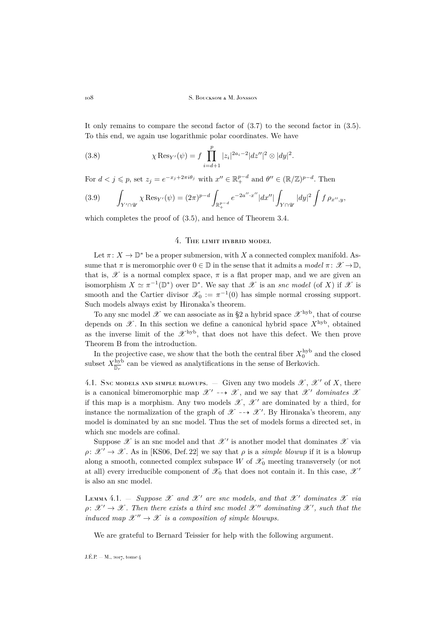It only remains to compare the second factor of [\(3.7\)](#page-21-1) to the second factor in [\(3.5\)](#page-21-0). To this end, we again use logarithmic polar coordinates. We have

<span id="page-22-2"></span>(3.8) 
$$
\chi \operatorname{Res}_{Y'}(\psi) = f \prod_{i=d+1}^p |z_i|^{2a_i - 2} |dz''|^2 \otimes |dy|^2.
$$

For  $d < j \leq p$ , set  $z_j = e^{-x_j + 2\pi i \theta_j}$  with  $x'' \in \mathbb{R}^{p-d}_+$  and  $\theta'' \in (\mathbb{R}/\mathbb{Z})^{p-d}$ . Then

<span id="page-22-3"></span>(3.9) 
$$
\int_{Y' \cap \mathscr{U}} \chi \operatorname{Res}_{Y'}(\psi) = (2\pi)^{p-d} \int_{\mathbb{R}^{p-d}_+} e^{-2a'' \cdot x''} |dx''| \int_{Y \cap \mathscr{U}} |dy|^2 \int f \rho_{x'',y},
$$

which completes the proof of  $(3.5)$ , and hence of Theorem [3.4.](#page-17-0)

## 4. The limit hybrid model

<span id="page-22-0"></span>Let  $\pi \colon X \to \mathbb{D}^*$  be a proper submersion, with  $X$  a connected complex manifold. Assume that  $\pi$  is meromorphic over  $0 \in \mathbb{D}$  in the sense that it admits a *model*  $\pi: \mathscr{X} \to \mathbb{D}$ , that is,  $\mathscr X$  is a normal complex space,  $\pi$  is a flat proper map, and we are given an isomorphism  $X \simeq \pi^{-1}(\mathbb{D}^*)$  over  $\mathbb{D}^*$ . We say that  $\mathscr X$  is an *snc model* (of X) if  $\mathscr X$  is smooth and the Cartier divisor  $\mathscr{X}_0 := \pi^{-1}(0)$  has simple normal crossing support. Such models always exist by Hironaka's theorem.

To any snc model  $\mathscr X$  we can associate as in [§2](#page-12-0) a hybrid space  $\mathscr X^{\rm hyb}$ , that of course depends on  $\mathscr{X}$ . In this section we define a canonical hybrid space  $X^{\mathrm{hyb}}$ , obtained as the inverse limit of the  $\mathscr{X}^{\rm hyb}$ , that does not have this defect. We then prove Theorem B from the introduction.

In the projective case, we show that the both the central fiber  $X_0^{\rm hyb}$  and the closed subset  $X_{\overline{\mathbb{D}_r}}^{\text{hyb}}$  can be viewed as analytifications in the sense of Berkovich.

4.1. SNC MODELS AND SIMPLE BLOWUPS. — Given any two models  $\mathscr{X}, \mathscr{X}'$  of X, there is a canonical bimeromorphic map  $\mathscr{X}' \dashrightarrow \mathscr{X}$ , and we say that  $\mathscr{X}'$  dominates  $\mathscr{X}$ if this map is a morphism. Any two models  $\mathscr{X}, \mathscr{X}'$  are dominated by a third, for instance the normalization of the graph of  $\mathscr{X} \dashrightarrow \mathscr{X}'$ . By Hironaka's theorem, any model is dominated by an snc model. Thus the set of models forms a directed set, in which snc models are cofinal.

Suppose  $\mathscr X$  is an snc model and that  $\mathscr X'$  is another model that dominates  $\mathscr X$  via  $\rho: \mathscr{X}' \to \mathscr{X}$ . As in [\[KS06,](#page-52-2) Def. 22] we say that  $\rho$  is a *simple blowup* if it is a blowup along a smooth, connected complex subspace  $W$  of  $\mathscr{X}_0$  meeting transversely (or not at all) every irreducible component of  $\mathscr{X}_0$  that does not contain it. In this case,  $\mathscr{X}'$ is also an snc model.

<span id="page-22-1"></span>LEMMA 4.1. – *Suppose*  $\mathscr X$  *and*  $\mathscr X'$  *are snc models, and that*  $\mathscr X'$  *dominates*  $\mathscr X$  *via*  $\rho \colon \mathscr{X}' \to \mathscr{X}$ . Then there exists a third snc model  $\mathscr{X}''$  dominating  $\mathscr{X}'$ , such that the *induced map*  $\mathscr{X}'' \to \mathscr{X}$  *is a composition of simple blowups.* 

We are grateful to Bernard Teissier for help with the following argument.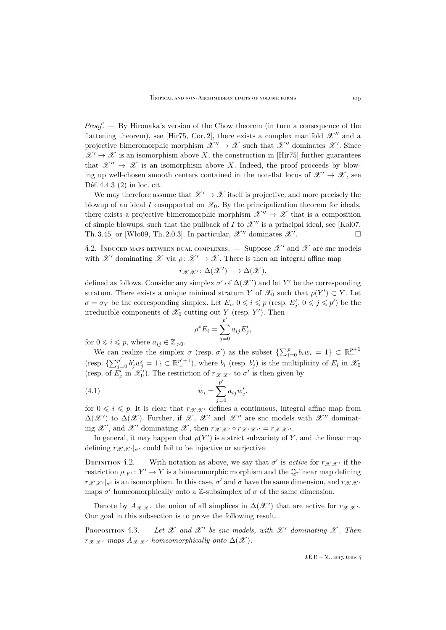*Proof*. — By Hironaka's version of the Chow theorem (in turn a consequence of the flattening theorem), see [\[Hir75,](#page-52-13) Cor. 2], there exists a complex manifold  $\mathscr{X}''$  and a projective bimeromorphic morphism  $\mathscr{X}'' \to \mathscr{X}$  such that  $\mathscr{X}''$  dominates  $\mathscr{X}'$ . Since  $\mathscr{X}' \to \mathscr{X}$  is an isomorphism above X, the construction in [\[Hir75\]](#page-52-13) further guarantees that  $\mathscr{X}'' \to \mathscr{X}$  is an isomorphism above X. Indeed, the proof proceeds by blowing up well-chosen smooth centers contained in the non-flat locus of  $\mathscr{X}' \to \mathscr{X}$ , see Déf. 4.4.3 (2) in loc. cit.

We may therefore assume that  $\mathscr{X}' \to \mathscr{X}$  itself is projective, and more precisely the blowup of an ideal I cosupported on  $\mathscr{X}_0$ . By the principalization theorem for ideals, there exists a projective bimeromorphic morphism  $\mathscr{X}'' \to \mathscr{X}$  that is a composition of simple blowups, such that the pullback of I to  $\mathcal{X}''$  is a principal ideal, see [\[Kol07,](#page-52-14) Th. 3.45] or [\[Wło09,](#page-53-10) Th. 2.0.3]. In particular,  $\mathscr{X}''$  dominates  $\mathscr{X}'$ . .

<span id="page-23-1"></span>4.2. INDUCED MAPS BETWEEN DUAL COMPLEXES.  $-$  Suppose  $\mathcal{X}'$  and  $\mathcal{X}$  are snc models with  $\mathscr{X}'$  dominating  $\mathscr{X}$  via  $\rho: \mathscr{X}' \to \mathscr{X}$ . There is then an integral affine map

$$
r_{\mathscr{X}\mathscr{X}'}\colon \Delta(\mathscr{X}') \longrightarrow \Delta(\mathscr{X}),
$$

defined as follows. Consider any simplex  $\sigma'$  of  $\Delta(\mathscr{X}')$  and let Y' be the corresponding stratum. There exists a unique minimal stratum Y of  $\mathscr{X}_0$  such that  $\rho(Y') \subset Y$ . Let  $\sigma = \sigma_Y$  be the corresponding simplex. Let  $E_i$ ,  $0 \leq i \leq p$  (resp.  $E'_j$ ,  $0 \leq j \leq p'$ ) be the irreducible components of  $\mathscr{X}_0$  cutting out Y (resp. Y'). Then

<span id="page-23-2"></span>
$$
\rho^* E_i = \sum_{j=0}^{p'} a_{ij} E'_j,
$$

for  $0 \leq i \leq p$ , where  $a_{ij} \in \mathbb{Z}_{>0}$ .

We can realize the simplex  $\sigma$  (resp.  $\sigma'$ ) as the subset  $\{\sum_{i=0}^p b_i w_i = 1\} \subset \mathbb{R}^{p+1}_+$ (resp.  $\{\sum_{j=0}^{p'}b'_jw'_j=1\}\subset\mathbb{R}^{p'+1}_+$ ), where  $b_i$  (resp.  $b'_j$ ) is the multiplicity of  $E_i$  in  $\mathscr{X}_0$ (resp. of  $E'_j$  in  $\mathscr{X}'_0$ ). The restriction of  $r_{\mathscr{X} \mathscr{X}'}$  to  $\sigma'$  is then given by

(4.1) 
$$
w_i = \sum_{j=0}^{p'} a_{ij} w'_j.
$$

for  $0 \leq i \leq p$ . It is clear that  $r_{\mathcal{X}|\mathcal{X}}$  defines a continuous, integral affine map from  $\Delta(\mathscr{X}')$  to  $\Delta(\mathscr{X})$ . Further, if  $\mathscr{X}, \mathscr{X}'$  and  $\mathscr{X}''$  are snc models with  $\mathscr{X}''$  dominating  $\mathscr{X}'$ , and  $\mathscr{X}'$  dominating  $\mathscr{X}$ , then  $r_{\mathscr{X}}\mathscr{X}'} \circ r_{\mathscr{X}'\mathscr{X}''} = r_{\mathscr{X}\mathscr{X}''}.$ 

In general, it may happen that  $\rho(Y')$  is a strict subvariety of Y, and the linear map defining  $r_{\mathscr{X} \mathscr{X}}$   $|_{\sigma'}$  could fail to be injective or surjective.

DEFINITION 4.2. – With notation as above, we say that  $\sigma'$  is *active* for  $r_{\mathscr{X} \mathscr{X}}$  if the restriction  $\rho|_{Y'} : Y' \to Y$  is a bimeromorphic morphism and the Q-linear map defining  $r_{\mathscr{X} \mathscr{X}'}|_{\sigma'}$  is an isomorphism. In this case,  $\sigma'$  and  $\sigma$  have the same dimension, and  $r_{\mathscr{X} \mathscr{X}'}$ maps  $\sigma'$  homeomorphically onto a Z-subsimplex of  $\sigma$  of the same dimension.

Denote by  $A_{\mathscr{X} \mathscr{X}}$  the union of all simplices in  $\Delta(\mathscr{X}')$  that are active for  $r_{\mathscr{X} \mathscr{X}}$ . Our goal in this subsection is to prove the following result.

<span id="page-23-0"></span>Proposition 4.3.  $-$  *Let*  $\mathscr X$  *and*  $\mathscr X'$  *be snc models, with*  $\mathscr X'$  *dominating*  $\mathscr X$ *. Then*  $r_{\mathscr{X} \mathscr{X}}$  *maps*  $A_{\mathscr{X} \mathscr{X}}$  *homeomorphically onto*  $\Delta(\mathscr{X})$ *.*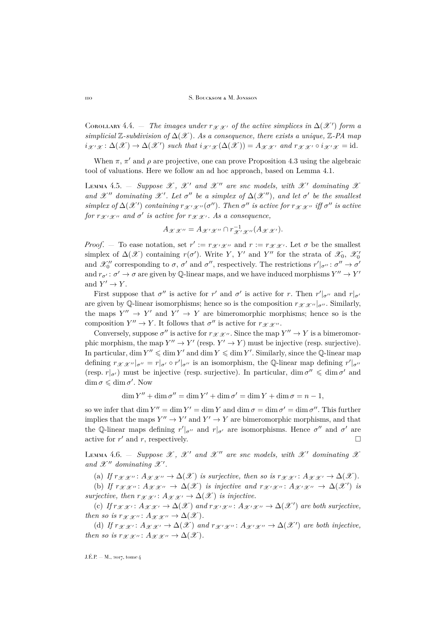COROLLARY 4.4.  $\bar{a}$  *- The images under*  $r_{\mathscr{X} \mathscr{X}}$  *of the active simplices in*  $\Delta(\mathscr{X}')$  *form a*  $simplified \mathbb{Z}-subdivision$  of  $\Delta(\mathcal{X})$ *. As a consequence, there exists a unique,*  $\mathbb{Z}-PA$  map  $i_{\mathscr{X}'}_{\mathscr{X}} : \Delta(\mathscr{X}) \to \Delta(\mathscr{X}')$  such that  $i_{\mathscr{X}'}_{\mathscr{X}}(\Delta(\mathscr{X})) = A_{\mathscr{X} \mathscr{X}'}$  and  $r_{\mathscr{X} \mathscr{X}'} \circ i_{\mathscr{X}'}_{\mathscr{X}} = id$ .

When  $\pi$ ,  $\pi'$  and  $\rho$  are projective, one can prove Proposition [4.3](#page-23-0) using the algebraic tool of valuations. Here we follow an ad hoc approach, based on Lemma [4.1.](#page-22-1)

LEMMA 4.5. – *Suppose*  $\mathscr{X}$ ,  $\mathscr{X}'$  and  $\mathscr{X}''$  are snc models, with  $\mathscr{X}'$  dominating  $\mathscr{X}$ *and*  $\mathscr{X}''$  *dominating*  $\mathscr{X}'$ *. Let*  $\sigma''$  *be a simplex of*  $\Delta(\mathscr{X}'')$ *, and let*  $\sigma'$  *be the smallest*  $simplex$  of  $\Delta(\mathscr{X}')$  containing  $r_{\mathscr{X}'}_{\mathscr{X}''}(\sigma'')$ . Then  $\sigma''$  is active for  $r_{\mathscr{X} \mathscr{X}''}$  iff  $\sigma''$  is active  $for~r_{\mathscr{X}'}\mathscr{X}''$  and  $\sigma'$  is active for  $r_{\mathscr{X}}\mathscr{X}'$ . As a consequence,

$$
A_{\mathscr{X}\mathscr{X}''}=A_{\mathscr{X}'\mathscr{X}''}\cap r_{\mathscr{X}'\mathscr{X}''}^{-1}(A_{\mathscr{X}\mathscr{X}'}).
$$

*Proof.* – To ease notation, set  $r' := r_{\mathcal{X}'\mathcal{X}''}$  and  $r := r_{\mathcal{X}\mathcal{X}'}$ . Let  $\sigma$  be the smallest simplex of  $\Delta(\mathscr{X})$  containing  $r(\sigma')$ . Write Y, Y' and Y'' for the strata of  $\mathscr{X}_0$ ,  $\mathscr{X}'_0$ and  $\mathscr{X}'''_0$  corresponding to  $\sigma$ ,  $\sigma'$  and  $\sigma''$ , respectively. The restrictions  $r'|_{\sigma''}: \sigma'' \to \sigma'$ and  $r_{\sigma'}: \sigma' \to \sigma$  are given by Q-linear maps, and we have induced morphisms  $Y'' \to Y'$ and  $Y' \to Y$ .

First suppose that  $\sigma''$  is active for r' and  $\sigma'$  is active for r. Then  $r'|_{\sigma''}$  and  $r|_{\sigma'}$ are given by Q-linear isomorphisms; hence so is the composition  $r_{\mathscr{X} \mathscr{X}''}|_{\sigma''}$ . Similarly, the maps  $Y'' \to Y'$  and  $Y' \to Y$  are bimeromorphic morphisms; hence so is the composition  $Y'' \to Y$ . It follows that  $\sigma''$  is active for  $r_{\mathscr{X} \mathscr{X}''}$ .

Conversely, suppose  $\sigma''$  is active for  $r_{\mathscr{X} \mathscr{X}''}$ . Since the map  $Y'' \to Y$  is a bimeromorphic morphism, the map  $Y'' \to Y'$  (resp.  $Y' \to Y$ ) must be injective (resp. surjective). In particular, dim  $Y'' \leq \dim Y'$  and dim  $Y \leq \dim Y'$ . Similarly, since the Q-linear map defining  $r_{\mathscr{X} \mathscr{X}''}|_{\sigma''} = r|_{\sigma'} \circ r'|_{\sigma''}$  is an isomorphism, the Q-linear map defining  $r'|_{\sigma''}$ (resp.  $r|_{\sigma'}$ ) must be injective (resp. surjective). In particular,  $\dim \sigma'' \leq \dim \sigma'$  and  $\dim \sigma \leqslant \dim \sigma'.$  Now

$$
\dim Y'' + \dim \sigma'' = \dim Y' + \dim \sigma' = \dim Y + \dim \sigma = n - 1,
$$

so we infer that  $\dim Y'' = \dim Y' = \dim Y$  and  $\dim \sigma = \dim \sigma' = \dim \sigma''$ . This further implies that the maps  $Y'' \to Y'$  and  $Y' \to Y$  are bimeromorphic morphisms, and that the Q-linear maps defining  $r'|_{\sigma''}$  and  $r|_{\sigma'}$  are isomorphisms. Hence  $\sigma''$  and  $\sigma'$  are active for  $r'$  and  $r$ , respectively.

<span id="page-24-0"></span>LEMMA 4.6. – *Suppose*  $\mathscr{X}$ ,  $\mathscr{X}'$  and  $\mathscr{X}''$  are snc models, with  $\mathscr{X}'$  dominating  $\mathscr{X}$ and  $\mathscr{X}''$  dominating  $\mathscr{X}'$ .

(a) *If*  $r_{\mathcal{X}}\chi\chi\chi\chi\chi\chi\chi\chi\chi\chi\chi$  is surjective, then so is  $r_{\mathcal{X}}\chi\chi\chi\chi\chi\chi\chi\chi\chi\chi\chi\chi\chi\chi\chi\chi\chi$ .

(b) If  $r_{\mathscr{X}\mathscr{X}}$ ":  $A_{\mathscr{X}\mathscr{X}}$ "  $\rightarrow \Delta(\mathscr{X})$  *is injective and*  $r_{\mathscr{X}'\mathscr{X}}$ ":  $A_{\mathscr{X}'\mathscr{X}}$ "  $\rightarrow \Delta(\mathscr{X}')$  *is surjective, then*  $r_{\mathscr{X} \mathscr{X}} : A_{\mathscr{X} \mathscr{X}} \to \Delta(\mathscr{X})$  *is injective.* 

(c) If  $r_{\mathscr{X}\mathscr{X}}$ :  $A_{\mathscr{X}\mathscr{X}} \to \Delta(\mathscr{X})$  and  $r_{\mathscr{X}'\mathscr{X}}$  :  $A_{\mathscr{X}'\mathscr{X}} \to \Delta(\mathscr{X}')$  are both surjective, *then so is r<sub>X X''</sub>* :  $A_{\mathcal{X} \mathcal{X}''} \to \Delta(\mathcal{X})$ .

(d) If  $r_{\mathscr{X}\mathscr{X}}$ :  $A_{\mathscr{X}\mathscr{X}}$   $\rightarrow \Delta(\mathscr{X})$  and  $r_{\mathscr{X}'\mathscr{X}}$   $\cdots$   $A_{\mathscr{X}'\mathscr{X}}$   $\rightarrow \Delta(\mathscr{X}')$  are both injective, *then so is*  $r_{\mathscr{X}}\mathscr{X}''$ :  $A_{\mathscr{X}}\mathscr{X}'' \to \Delta(\mathscr{X})$ .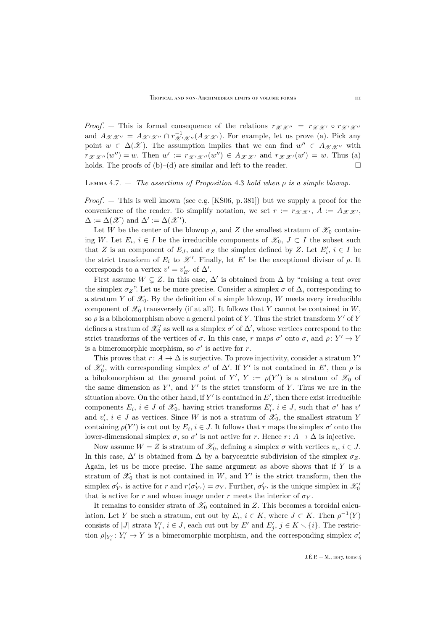*Proof.* — This is formal consequence of the relations  $r_{\mathscr{X} \mathscr{X}} = r_{\mathscr{X} \mathscr{X}} \circ r_{\mathscr{X}'} \circ r_{\mathscr{X}}$ and  $A_{\mathscr{X} \mathscr{X}''} = A_{\mathscr{X}' \mathscr{X}''} \cap r_{\mathscr{X}' \mathscr{X}''}^{-1}(A_{\mathscr{X} \mathscr{X}'})$ . For example, let us prove (a). Pick any point  $w \in \Delta(\mathscr{X})$ . The assumption implies that we can find  $w'' \in A_{\mathscr{X} \mathscr{X}''}$  with  $r_{\mathscr{X}\mathscr{X}}(w'')=w$ . Then  $w' := r_{\mathscr{X}'\mathscr{X}'}(w'') \in A_{\mathscr{X}\mathscr{X}'}$  and  $r_{\mathscr{X}\mathscr{X}'}(w') = w$ . Thus (a) holds. The proofs of (b)–(d) are similar and left to the reader.  $\Box$ 

### <span id="page-25-0"></span>Lemma 4.7. — *The assertions of Proposition* [4.3](#page-23-0) *hold when* ρ *is a simple blowup.*

*Proof*. — This is well known (see e.g. [\[KS06,](#page-52-2) p. 381]) but we supply a proof for the convenience of the reader. To simplify notation, we set  $r := r_{\mathscr{X} \mathscr{X}}$ ,  $A := A_{\mathscr{X} \mathscr{X}}$ ,  $\Delta := \Delta(\mathscr{X})$  and  $\Delta' := \Delta(\mathscr{X}')$ .

Let W be the center of the blowup  $\rho$ , and Z the smallest stratum of  $\mathscr{X}_0$  containing W. Let  $E_i$ ,  $i \in I$  be the irreducible components of  $\mathscr{X}_0$ ,  $J \subset I$  the subset such that Z is an component of  $E_J$ , and  $\sigma_Z$  the simplex defined by Z. Let  $E'_i$ ,  $i \in I$  be the strict transform of  $E_i$  to  $\mathscr{X}'$ . Finally, let  $E'$  be the exceptional divisor of  $\rho$ . It corresponds to a vertex  $v' = v'_{E'}$  of  $\Delta'$ .

First assume  $W \subsetneq Z$ . In this case,  $\Delta'$  is obtained from  $\Delta$  by "raising a tent over the simplex  $\sigma_Z$ ". Let us be more precise. Consider a simplex  $\sigma$  of  $\Delta$ , corresponding to a stratum Y of  $\mathscr{X}_0$ . By the definition of a simple blowup, W meets every irreducible component of  $\mathscr{X}_0$  transversely (if at all). It follows that Y cannot be contained in W, so  $\rho$  is a biholomorphism above a general point of Y. Thus the strict transform Y' of Y defines a stratum of  $\mathcal{X}'_0$  as well as a simplex  $\sigma'$  of  $\Delta'$ , whose vertices correspond to the strict transforms of the vertices of  $\sigma$ . In this case, r maps  $\sigma'$  onto  $\sigma$ , and  $\rho: Y' \to Y$ is a bimeromorphic morphism, so  $\sigma'$  is active for r.

This proves that  $r\colon A\to\Delta$  is surjective. To prove injectivity, consider a stratum  $Y'$ of  $\mathcal{X}'_0$ , with corresponding simplex  $\sigma'$  of  $\Delta'$ . If Y' is not contained in E', then  $\rho$  is a biholomorphism at the general point of Y',  $Y := \rho(Y')$  is a stratum of  $\mathscr{X}_0$  of the same dimension as  $Y'$ , and  $Y'$  is the strict transform of Y. Thus we are in the situation above. On the other hand, if Y' is contained in  $E'$ , then there exist irreducible components  $E_i$ ,  $i \in J$  of  $\mathscr{X}_0$ , having strict transforms  $E'_i$ ,  $i \in J$ , such that  $\sigma'$  has  $v'$ and  $v'_i$ ,  $i \in J$  as vertices. Since W is not a stratum of  $\mathscr{X}_0$ , the smallest stratum Y containing  $\rho(Y')$  is cut out by  $E_i$ ,  $i \in J$ . It follows that r maps the simplex  $\sigma'$  onto the lower-dimensional simplex  $\sigma$ , so  $\sigma'$  is not active for r. Hence  $r: A \to \Delta$  is injective.

Now assume  $W = Z$  is stratum of  $\mathscr{X}_0$ , defining a simplex  $\sigma$  with vertices  $v_i, i \in J$ . In this case,  $\Delta'$  is obtained from  $\Delta$  by a barycentric subdivision of the simplex  $\sigma_Z$ . Again, let us be more precise. The same argument as above shows that if  $Y$  is a stratum of  $\mathscr{X}_0$  that is not contained in W, and Y' is the strict transform, then the simplex  $\sigma'_{Y'}$  is active for r and  $r(\sigma'_{Y'}) = \sigma_Y$ . Further,  $\sigma'_{Y'}$  is the unique simplex in  $\mathscr{X}'_0$ that is active for r and whose image under r meets the interior of  $\sigma_Y$ .

It remains to consider strata of  $\mathscr{X}_0$  contained in Z. This becomes a toroidal calculation. Let Y be such a stratum, cut out by  $E_i$ ,  $i \in K$ , where  $J \subset K$ . Then  $\rho^{-1}(Y)$ consists of |J| strata  $Y'_i$ ,  $i \in J$ , each cut out by  $E'$  and  $E'_j$ ,  $j \in K \setminus \{i\}$ . The restriction  $\rho|_{Y'_i}: Y'_i \to Y$  is a bimeromorphic morphism, and the corresponding simplex  $\sigma'_i$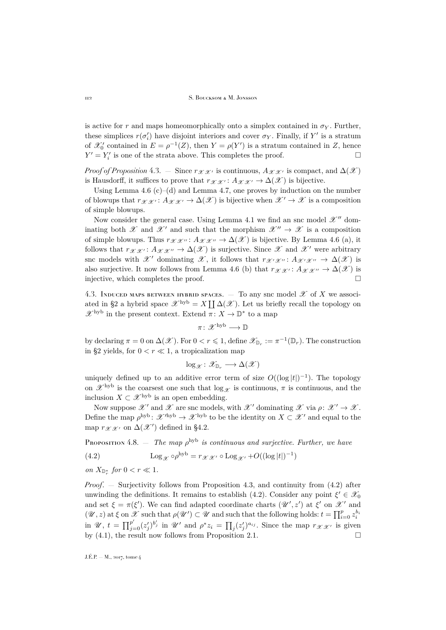is active for r and maps homeomorphically onto a simplex contained in  $\sigma_Y$ . Further, these simplices  $r(\sigma_i')$  have disjoint interiors and cover  $\sigma_Y$ . Finally, if Y' is a stratum of  $\mathcal{X}'_0$  contained in  $E = \rho^{-1}(Z)$ , then  $Y = \rho(Y')$  is a stratum contained in Z, hence  $Y' = Y'_i$  is one of the strata above. This completes the proof.

*Proof of Proposition* [4.3.](#page-23-0) — Since  $r_{\mathscr{X} \mathscr{X}}$  is continuous,  $A_{\mathscr{X} \mathscr{X}}$  is compact, and  $\Delta(\mathscr{X})$ is Hausdorff, it suffices to prove that  $r_{\mathscr{X} \mathscr{X}} : A_{\mathscr{X} \mathscr{X}} \to \Delta(\mathscr{X})$  is bijective.

Using Lemma [4.6](#page-24-0)  $(c)$ – $(d)$  and Lemma [4.7,](#page-25-0) one proves by induction on the number of blowups that  $r_{\mathscr{X} \mathscr{X}} : A_{\mathscr{X} \mathscr{X}} \to \Delta(\mathscr{X})$  is bijective when  $\mathscr{X}' \to \mathscr{X}$  is a composition of simple blowups.

Now consider the general case. Using Lemma [4.1](#page-22-1) we find an snc model  $\mathscr{X}''$  dominating both  $\mathscr X$  and  $\mathscr X'$  and such that the morphism  $\mathscr X'' \to \mathscr X$  is a composition of simple blowups. Thus  $r_{\mathcal{X} \mathcal{X}''}: A_{\mathcal{X} \mathcal{X}''} \to \Delta(\mathcal{X})$  is bijective. By Lemma [4.6](#page-24-0) (a), it follows that  $r_{\mathscr{X} \mathscr{X}} : A_{\mathscr{X} \mathscr{X}} \to \Delta(\mathscr{X})$  is surjective. Since  $\mathscr{X}$  and  $\mathscr{X}'$  were arbitrary snc models with X' dominating X, it follows that  $r_{\mathcal{X}'}\chi'' : A_{\mathcal{X}'}\chi'' \to \Delta(\mathcal{X})$  is also surjective. It now follows from Lemma [4.6](#page-24-0) (b) that  $r_{\mathscr{X} \mathscr{X}}$  :  $A_{\mathscr{X} \mathscr{X}} \to \Delta(\mathscr{X})$  is injective, which completes the proof.

4.3. INDUCED MAPS BETWEEN HYBRID SPACES.  $-$  To any snc model  $\mathscr X$  of X we associ-ated in [§2](#page-12-0) a hybrid space  $\mathscr{X}^{\text{hyb}} = X \coprod \Delta(\mathscr{X})$ . Let us briefly recall the topology on  $\mathscr{X}^{\mathrm{hyb}}$  in the present context. Extend  $\pi\colon X\to \mathbb{D}^*$  to a map

 $\pi \colon \mathscr{X}^{\mathrm{hyb}} \longrightarrow \mathbb{D}$ 

by declaring  $\pi = 0$  on  $\Delta(\mathscr{X})$ . For  $0 < r \leq 1$ , define  $\mathscr{X}_{\mathbb{D}_r} := \pi^{-1}(\mathbb{D}_r)$ . The construction in [§2](#page-12-0) yields, for  $0 < r \ll 1$ , a tropicalization map

$$
\log_{\mathscr{X}}\colon \mathscr{X}_{\mathbb{D}_r} \longrightarrow \Delta(\mathscr{X})
$$

uniquely defined up to an additive error term of size  $O((\log |t|)^{-1})$ . The topology on  $\mathscr{X}^{\text{hyb}}$  is the coarsest one such that  $\log_{\mathscr{X}}$  is continuous,  $\pi$  is continuous, and the inclusion  $X \subset \mathscr{X}^{\rm hyb}$  is an open embedding.

Now suppose  $\mathscr{X}'$  and  $\mathscr{X}$  are snc models, with  $\mathscr{X}'$  dominating  $\mathscr{X}$  via  $\rho: \mathscr{X}' \to \mathscr{X}$ . Define the map  $\rho^{\rm hyb}$ :  $\mathscr{X}'^{\rm hyb} \to \mathscr{X}^{\rm hyb}$  to be the identity on  $X \subset \mathscr{X}'$  and equal to the map  $r_{\mathscr{X} \mathscr{X}}$  on  $\Delta(\mathscr{X}')$  defined in [§4.2.](#page-23-1)

<span id="page-26-1"></span>PROPOSITION 4.8.  $-$  *The map*  $\rho^{\text{hyb}}$  *is continuous and surjective. Further, we have* 

<span id="page-26-0"></span>(4.2) 
$$
\operatorname{Log}_{\mathscr{X}} \circ \rho^{\text{hyb}} = r_{\mathscr{X} \mathscr{X}'} \circ \operatorname{Log}_{\mathscr{X}'} + O((\log|t|)^{-1})
$$

*on*  $X_{\mathbb{D}^*_{r}}$  *for*  $0 < r \ll 1$ *.* 

*Proof*. — Surjectivity follows from Proposition [4.3,](#page-23-0) and continuity from [\(4.2\)](#page-26-0) after unwinding the definitions. It remains to establish [\(4.2\)](#page-26-0). Consider any point  $\xi' \in \mathcal{X}_0$ and set  $\xi = \pi(\xi')$ . We can find adapted coordinate charts  $(\mathscr{U}', z')$  at  $\xi'$  on  $\mathscr{X}'$  and  $(\mathscr{U}, z)$  at  $\xi$  on  $\mathscr{X}$  such that  $\rho(\mathscr{U}') \subset \mathscr{U}$  and such that the following holds:  $t = \prod_{i=0}^p z_i^{b_i}$ in  $\mathscr{U}, t = \prod_{j=0}^{p'} (z'_j)^{b'_j}$  in  $\mathscr{U}'$  and  $\rho^* z_i = \prod_j (z'_j)^{a_{ij}}$ . Since the map  $r_{\mathscr{X}} x_j$  is given by  $(4.1)$ , the result now follows from Proposition [2.1.](#page-13-0)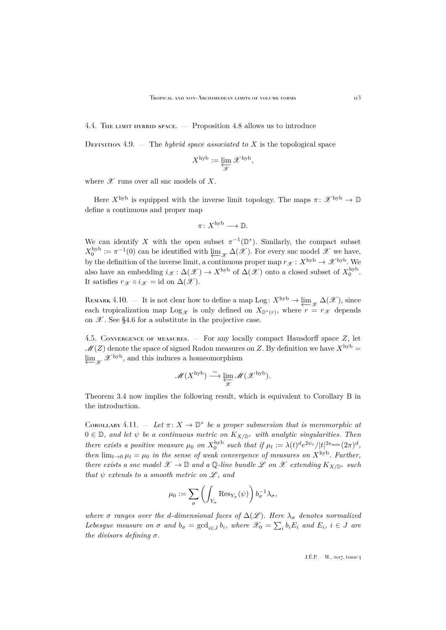4.4. The limit hybrid space. — Proposition [4.8](#page-26-1) allows us to introduce

DEFINITION 4.9.  $-$  The *hybrid space associated to* X is the topological space

$$
X^{\textrm{hyb}} := \varprojlim_{\mathscr{X}} \mathscr{X}^{\textrm{hyb}},
$$

where  $\mathscr X$  runs over all snc models of X.

Here  $X^{\text{hyb}}$  is equipped with the inverse limit topology. The maps  $\pi: \mathscr{X}^{\text{hyb}} \to \mathbb{D}$ define a continuous and proper map

$$
\pi\colon X^{\mathrm{hyb}}\longrightarrow \mathbb{D}.
$$

We can identify X with the open subset  $\pi^{-1}(\mathbb{D}^*)$ . Similarly, the compact subset  $X_0^{\rm hyb} := \pi^{-1}(0)$  can be identified with  $\varprojlim_{\mathscr{X}} \Delta(\mathscr{X})$ . For every snc model  $\mathscr{X}$  we have, by the definition of the inverse limit, a continuous proper map  $r_{\mathcal{X}}: X^{\text{hyb}} \to \mathcal{X}^{\text{hyb}}$ . We also have an embedding  $i_{\mathscr{X}}: \Delta(\mathscr{X}) \to X^{\rm hyb}$  of  $\Delta(\mathscr{X})$  onto a closed subset of  $X_0^{\rm hyb}$ . It satisfies  $r_{\mathscr{X}} \circ i_{\mathscr{X}} = id$  on  $\Delta(\mathscr{X})$ .

REMARK 4.10. – It is not clear how to define a map Log:  $X^{\rm hyb} \to \varprojlim_{\mathscr{X}} \Delta(\mathscr{X})$ , since each tropicalization map  $\text{Log}_{\mathscr{X}}$  is only defined on  $X_{\mathbb{D}^*(r)}$ , where  $r = r_{\mathscr{X}}$  depends on  $\mathscr{X}$ . See [§4.6](#page-28-0) for a substitute in the projective case.

4.5. Convergence of measures. — For any locally compact Hausdorff space Z, let  $\mathcal{M}(Z)$  denote the space of signed Radon measures on Z. By definition we have  $X^{\rm hyb} =$  $\varprojlim_{\mathscr{X}} \mathscr{X}^{\text{hyb}}$ , and this induces a homeomorphism

$$
\mathscr{M}(X^{\mathrm{hyb}}) \stackrel{\sim}{\longrightarrow} \varprojlim_{\mathscr{X}} \mathscr{M}(\mathscr{X}^{\mathrm{hyb}}).
$$

Theorem [3.4](#page-17-0) now implies the following result, which is equivalent to Corollary [B](#page-4-0) in the introduction.

COROLLARY 4.11.  $-$  Let  $\pi: X \to \mathbb{D}^*$  be a proper submersion that is meromorphic at <sup>0</sup> <sup>∈</sup> <sup>D</sup>*, and let* <sup>ψ</sup> *be a continuous metric on* <sup>K</sup>X/D<sup>∗</sup> *with analytic singularities. Then there exists a positive measure*  $\mu_0$  *on*  $X_0^{\text{hyb}}$  *such that if*  $\mu_t := \lambda(t)^d e^{2\psi_t} / |t|^{2\kappa_{\min}} (2\pi)^d$ , *then*  $\lim_{t\to 0} \mu_t = \mu_0$  *in the sense of weak convergence of measures on*  $X^{\text{hyb}}$ *. Further, there exists a snc model*  $\mathscr{X} \to \mathbb{D}$  *and a*  $\mathbb{Q}$ -line bundle  $\mathscr{L}$  *on*  $\mathscr{X}$  *extending*  $K_{X/\mathbb{D}^*}$  *such that*  $\psi$  *extends to a smooth metric on*  $\mathscr{L}$ *, and* 

$$
\mu_0 := \sum_{\sigma} \left( \int_{Y_{\sigma}} \text{Res}_{Y_{\sigma}}(\psi) \right) b_{\sigma}^{-1} \lambda_{\sigma},
$$

*where*  $\sigma$  *ranges over the d-dimensional faces of*  $\Delta(\mathscr{L})$ *. Here*  $\lambda_{\sigma}$  *denotes normalized Lebesgue measure on*  $\sigma$  *and*  $b_{\sigma} = \text{gcd}_{i \in J} b_i$ , where  $\mathscr{X}_0 = \sum_i b_i E_i$  *and*  $E_i$ ,  $i \in J$  *are the divisors defining* σ*.*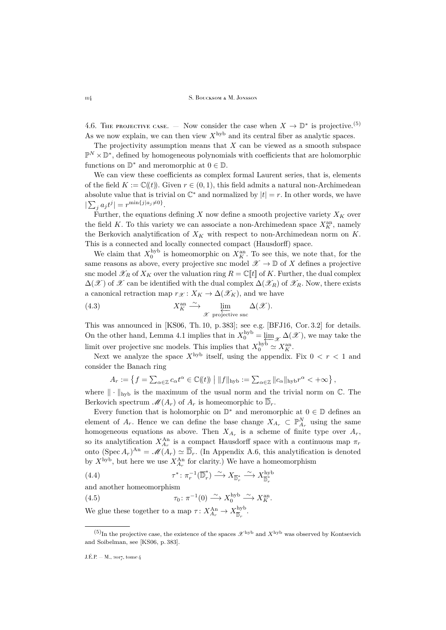<span id="page-28-0"></span>4.6. The projective case.  $-$  Now consider the case when  $X \to \mathbb{D}^*$  is projective.<sup>(5)</sup> As we now explain, we can then view  $X^{\rm hyb}$  and its central fiber as analytic spaces.

The projectivity assumption means that  $X$  can be viewed as a smooth subspace  $\mathbb{P}^N\times\mathbb{D}^*,$  defined by homogeneous polynomials with coefficients that are holomorphic functions on  $\mathbb{D}^*$  and meromorphic at  $0 \in \mathbb{D}$ .

We can view these coefficients as complex formal Laurent series, that is, elements of the field  $K := \mathbb{C}(\ell t)$ . Given  $r \in (0, 1)$ , this field admits a natural non-Archimedean absolute value that is trivial on  $\mathbb{C}^*$  and normalized by  $|t| = r$ . In other words, we have  $|\sum_j a_j t^j| = r^{\min\{j|a_j \neq 0\}}.$ 

Further, the equations defining  $X$  now define a smooth projective variety  $X_K$  over the field K. To this variety we can associate a non-Archimedean space  $X_K^{\text{an}}$ , namely the Berkovich analytification of  $X_K$  with respect to non-Archimedean norm on K. This is a connected and locally connected compact (Hausdorff) space.

We claim that  $X_0^{\text{hyb}}$  is homeomorphic on  $X_K^{\text{an}}$ . To see this, we note that, for the same reasons as above, every projective snc model  $\mathscr{X} \to \mathbb{D}$  of X defines a projective snc model  $\mathscr{X}_R$  of  $X_K$  over the valuation ring  $R = \mathbb{C}[[t]]$  of K. Further, the dual complex  $\Delta(\mathscr{X})$  of  $\mathscr{X}$  can be identified with the dual complex  $\Delta(\mathscr{X}_R)$  of  $\mathscr{X}_R$ . Now, there exists a canonical retraction map  $r_{\mathcal{X}} : X_K \to \Delta(\mathcal{X}_K)$ , and we have

<span id="page-28-3"></span>(4.3) 
$$
X_K^{\text{an}} \xrightarrow{\sim} \lim_{\mathscr{X} \text{ projective snc}} \Delta(\mathscr{X}).
$$

This was announced in [\[KS06,](#page-52-2) Th. 10, p. 383]; see e.g. [\[BFJ16,](#page-51-4) Cor. 3.2] for details. On the other hand, Lemma [4.1](#page-22-1) implies that in  $X_0^{\text{hyb}} = \varprojlim_{\mathscr{X}} \Delta(\mathscr{X})$ , we may take the limit over projective snc models. This implies that  $X_0^{\text{hyb}} \simeq X_K^{\text{an}}$ .

Next we analyze the space  $X^{\text{hyb}}$  itself, using the appendix. Fix  $0 < r < 1$  and consider the Banach ring

$$
A_r := \left\{ f = \sum_{\alpha \in \mathbb{Z}} c_{\alpha} t^{\alpha} \in \mathbb{C}(\!(t)\!) \; \middle| \; \|f\|_{\text{hyb}} := \sum_{\alpha \in \mathbb{Z}} \|c_{\alpha}\|_{\text{hyb}} r^{\alpha} < +\infty \right\},
$$

where  $\|\cdot\|_{\text{hyb}}$  is the maximum of the usual norm and the trivial norm on  $\mathbb{C}$ . The Berkovich spectrum  $\mathscr{M}(A_r)$  of  $A_r$  is homeomorphic to  $\overline{\mathbb{D}}_r$ .

Every function that is holomorphic on  $\mathbb{D}^*$  and meromorphic at  $0 \in \mathbb{D}$  defines an element of  $A_r$ . Hence we can define the base change  $X_{A_r} \subset \mathbb{P}_{A_r}^N$  using the same homogeneous equations as above. Then  $X_{A_r}$  is a scheme of finite type over  $A_r$ , so its analytification  $X_{A_r}^{\text{An}}$  is a compact Hausdorff space with a continuous map  $\pi_r$ onto  $(\operatorname{Spec} A_r)^{\operatorname{An}} = \mathscr{M}(A_r) \simeq \overline{\mathbb{D}}_r$ . (In Appendix [A.6,](#page-50-0) this analytification is denoted by  $X^{\text{hyb}}$ , but here we use  $X_{A_r}^{\text{An}}$  for clarity.) We have a homeomorphism

<span id="page-28-1"></span>(4.4) 
$$
\tau^* \colon \pi_r^{-1}(\overline{\mathbb{D}}_r^*) \xrightarrow{\sim} X_{\overline{\mathbb{D}}_r^*} \xrightarrow{\sim} X_{\overline{\mathbb{D}}_r^*}^{hyb}
$$

<span id="page-28-2"></span>and another homeomorphism

(4.5) 
$$
\tau_0 \colon \pi^{-1}(0) \xrightarrow{\sim} X_0^{\text{hyb}} \xrightarrow{\sim} X_K^{\text{an}}
$$

We glue these together to a map  $\tau \colon X_{A_r}^{\text{An}} \to X_{\overline{\mathbb{D}}_r}^{\text{hyb}}$ .

 $(5)$ In the projective case, the existence of the spaces  $\mathcal{X}$ <sup>hyb</sup> and  $X$ <sup>hyb</sup> was observed by Kontsevich</sub> and Soibelman, see [\[KS06,](#page-52-2) p. 383].

J.É.P. — M., 2017, tome 4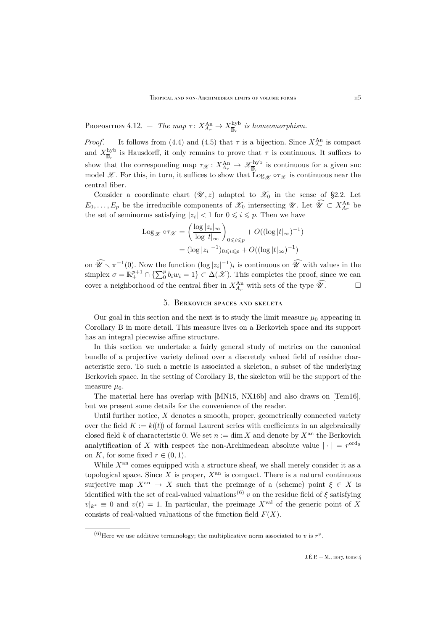Proposition 4.12.  $-$  *The map*  $\tau \colon X_{A_r}^{\text{An}} \to X_{\overline{\mathbb{D}}_r}^{\text{hyb}}$  *is homeomorphism.* 

*Proof.* – It follows from [\(4.4\)](#page-28-1) and [\(4.5\)](#page-28-2) that  $\tau$  is a bijection. Since  $X_{A_r}^{\text{An}}$  is compact and  $X_{\overline{\mathbb{D}}_r}^{\text{hyb}}$  is Hausdorff, it only remains to prove that  $\tau$  is continuous. It suffices to show that the corresponding map  $\tau_{\mathscr{X}}: X_{A_r}^{\text{An}} \to \mathscr{X}_{\overline{\mathbb{D}}_r}^{\text{hyb}}$  is continuous for a given snc model X. For this, in turn, it suffices to show that  $\text{Log}_{\mathscr{X}} \circ \tau_{\mathscr{X}}$  is continuous near the central fiber.

Consider a coordinate chart  $(\mathscr{U}, z)$  adapted to  $\mathscr{X}_0$  in the sense of [§2.2.](#page-13-5) Let  $E_0, \ldots, E_p$  be the irreducible components of  $\mathscr{X}_0$  intersecting  $\mathscr{U}$ . Let  $\widehat{\mathscr{U}} \subset X^{An}_{A_r}$  be the set of seminorms satisfying  $|z_i| < 1$  for  $0 \leq i \leq p$ . Then we have

$$
\begin{aligned} \text{Log}_{\mathscr{X}} \circ \tau_{\mathscr{X}} &= \left(\frac{\log|z_i|_{\infty}}{\log|t|_{\infty}}\right)_{0 \leqslant i \leqslant p} + O((\log|t|_{\infty})^{-1}) \\ &= (\log|z_i|^{-1})_{0 \leqslant i \leqslant p} + O((\log|t|_{\infty})^{-1}) \end{aligned}
$$

on  $\widehat{\mathscr{U}} \setminus \pi^{-1}(0)$ . Now the function  $(\log |z_i|^{-1})_i$  is continuous on  $\widehat{\mathscr{U}}$  with values in the simplex  $\sigma = \mathbb{R}^{p+1}_+ \cap {\sum_{i=0}^{p} b_i w_i = 1} \subset \Delta(\mathscr{X})$ . This completes the proof, since we can cover a neighborhood of the central fiber in  $X_{A_r}^{\text{An}}$  with sets of the type  $\widehat{\mathscr{U}}$ .

## 5. Berkovich spaces and skeleta

<span id="page-29-0"></span>Our goal in this section and the next is to study the limit measure  $\mu_0$  appearing in Corollary [B](#page-4-0) in more detail. This measure lives on a Berkovich space and its support has an integral piecewise affine structure.

In this section we undertake a fairly general study of metrics on the canonical bundle of a projective variety defined over a discretely valued field of residue characteristic zero. To such a metric is associated a skeleton, a subset of the underlying Berkovich space. In the setting of Corollary [B,](#page-4-0) the skeleton will be the support of the measure  $\mu_0$ .

The material here has overlap with [\[MN15,](#page-52-3) [NX16b\]](#page-52-4) and also draws on [\[Tem16\]](#page-53-11), but we present some details for the convenience of the reader.

Until further notice,  $X$  denotes a smooth, proper, geometrically connected variety over the field  $K := k(t)$  of formal Laurent series with coefficients in an algebraically closed field k of characteristic 0. We set  $n := \dim X$  and denote by  $X^{\text{an}}$  the Berkovich analytification of X with respect the non-Archimedean absolute value  $|\cdot| = r^{\text{ord}_0}$ on K, for some fixed  $r \in (0, 1)$ .

While  $X<sup>an</sup>$  comes equipped with a structure sheaf, we shall merely consider it as a topological space. Since X is proper,  $X^{\text{an}}$  is compact. There is a natural continuous surjective map  $X^{\text{an}} \to X$  such that the preimage of a (scheme) point  $\xi \in X$  is identified with the set of real-valued valuations<sup>(6)</sup> v on the residue field of  $\xi$  satisfying  $v|_{k^*} \equiv 0$  and  $v(t) = 1$ . In particular, the preimage  $X^{\text{val}}$  of the generic point of X consists of real-valued valuations of the function field  $F(X)$ .

<sup>&</sup>lt;sup>(6)</sup>Here we use additive terminology; the multiplicative norm associated to v is  $r^v$ .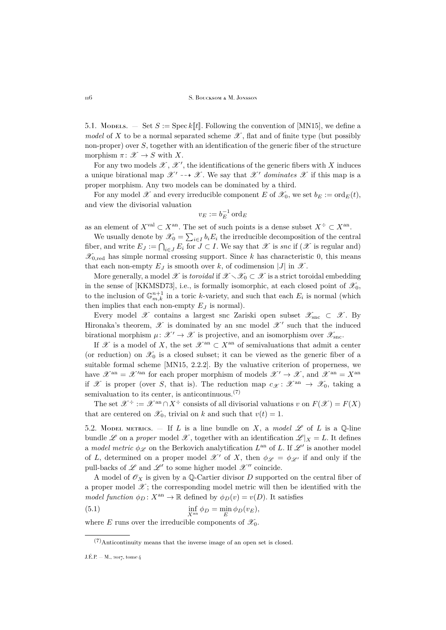5.1. Modelling.  $\leq$  Set  $S :=$  Spec k[t]. Following the convention of [\[MN15\]](#page-52-3), we define a *model* of X to be a normal separated scheme  $\mathscr X$ , flat and of finite type (but possibly non-proper) over S, together with an identification of the generic fiber of the structure morphism  $\pi \colon \mathscr{X} \to S$  with X.

For any two models  $\mathscr{X}, \mathscr{X}'$ , the identifications of the generic fibers with X induces a unique birational map  $\mathscr{X}' \dashrightarrow \mathscr{X}$ . We say that  $\mathscr{X}'$  dominates  $\mathscr{X}$  if this map is a proper morphism. Any two models can be dominated by a third.

For any model  $\mathscr X$  and every irreducible component E of  $\mathscr X_0$ , we set  $b_E := \text{ord}_E(t)$ , and view the divisorial valuation

$$
v_E := b_E^{-1} \operatorname{ord}_E
$$

as an element of  $X^{\text{val}} \subset X^{\text{an}}$ . The set of such points is a dense subset  $X^{\div} \subset X^{\text{an}}$ .

We usually denote by  $\mathscr{X}_0 = \sum_{i \in I} b_i E_i$  the irreducible decomposition of the central fiber, and write  $E_J := \bigcap_{i \in J} E_i$  for  $J \subset I$ . We say that  $\mathscr X$  is *snc* if  $(\mathscr X$  is regular and)  $\mathscr{X}_{0, \text{red}}$  has simple normal crossing support. Since k has characteristic 0, this means that each non-empty  $E_J$  is smooth over k, of codimension |J| in  $\mathscr{X}$ .

More generally, a model  $\mathscr X$  is *toroidal* if  $\mathscr X \setminus \mathscr X_0 \subset \mathscr X$  is a strict toroidal embedding in the sense of [\[KKMSD73\]](#page-52-12), i.e., is formally isomorphic, at each closed point of  $\mathscr{X}_0$ , to the inclusion of  $\mathbb{G}_{m,k}^{n+1}$  in a toric k-variety, and such that each  $E_i$  is normal (which then implies that each non-empty  $E_J$  is normal).

Every model X contains a largest snc Zariski open subset  $\mathscr{X}_{\text{src}} \subset \mathscr{X}$ . By Hironaka's theorem,  $\mathscr X$  is dominated by an snc model  $\mathscr X'$  such that the induced birational morphism  $\mu: \mathcal{X}' \to \mathcal{X}$  is projective, and an isomorphism over  $\mathcal{X}_{\text{src}}$ .

If X is a model of X, the set  $\mathscr{X}^{\rm an} \subset X^{\rm an}$  of semivaluations that admit a center (or reduction) on  $\mathscr{X}_0$  is a closed subset; it can be viewed as the generic fiber of a suitable formal scheme [\[MN15,](#page-52-3) 2.2.2]. By the valuative criterion of properness, we have  $\mathscr{X}^{an} = \mathscr{X}^{\prime an}$  for each proper morphism of models  $\mathscr{X}' \to \mathscr{X}$ , and  $\mathscr{X}^{an} = X^{an}$ if X is proper (over S, that is). The reduction map  $c_{\mathcal{X}}: \mathcal{X}^{an} \to \mathcal{X}_0$ , taking a semivaluation to its center, is anticontinuous. $(7)$ 

The set  $\mathscr{X}^{\div} := \mathscr{X}^{\text{an}} \cap X^{\div}$  consists of all divisorial valuations v on  $F(\mathscr{X}) = F(X)$ that are centered on  $\mathscr{X}_0$ , trivial on k and such that  $v(t) = 1$ .

5.2. Model metrics.  $-$  If L is a line bundle on X, a model  $\mathscr L$  of L is a Q-line bundle  $\mathscr L$  on a *proper* model  $\mathscr X$ , together with an identification  $\mathscr L|_X = L$ . It defines a *model metric*  $\phi_{\mathscr{L}}$  on the Berkovich analytification  $L^{\text{an}}$  of L. If  $\mathscr{L}'$  is another model of L, determined on a proper model  $\mathscr{X}'$  of X, then  $\phi_{\mathscr{L}} = \phi_{\mathscr{L}}$  if and only if the pull-backs of  $\mathscr L$  and  $\mathscr L'$  to some higher model  $\mathscr X''$  coincide.

A model of  $\mathscr{O}_X$  is given by a Q-Cartier divisor D supported on the central fiber of a proper model  $\mathscr{X}$ ; the corresponding model metric will then be identified with the *model function*  $\phi_D : X^{\text{an}} \to \mathbb{R}$  defined by  $\phi_D(v) = v(D)$ . It satisfies

<span id="page-30-0"></span>(5.1) 
$$
\inf_{X^{\text{an}}} \phi_D = \min_E \phi_D(v_E),
$$

where E runs over the irreducible components of  $\mathscr{X}_0$ .

<sup>(7)</sup>Anticontinuity means that the inverse image of an open set is closed.

J.É.P. — M., 2017, tome 4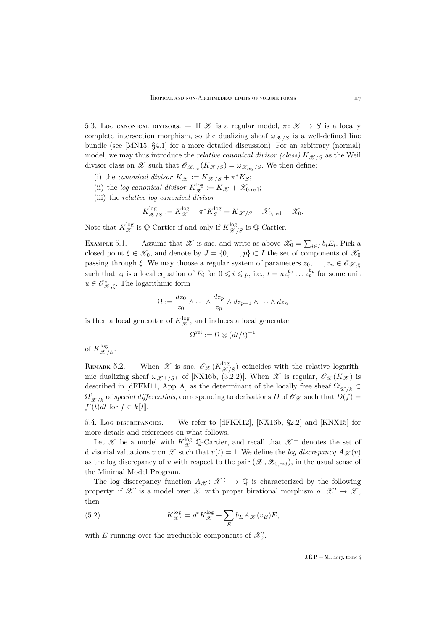5.3. Log canonical divisors. — If  $\mathscr X$  is a regular model,  $\pi: \mathscr X \to S$  is a locally complete intersection morphism, so the dualizing sheaf  $\omega_{\mathcal{X}/S}$  is a well-defined line bundle (see [\[MN15,](#page-52-3) §4.1] for a more detailed discussion). For an arbitrary (normal) model, we may thus introduce the *relative canonical divisor (class)*  $K_{\mathcal{X}/S}$  as the Weil divisor class on  $\mathscr X$  such that  $\mathscr O_{\mathscr X_{\text{reg}}}(K_{\mathscr X/S})=\omega_{\mathscr X_{\text{reg}}/S}$ . We then define:

- (i) the *canonical divisor*  $K_{\mathcal{X}} := K_{\mathcal{X}/S} + \pi^* K_S;$
- (ii) the *log canonical divisor*  $K_{\mathscr{X}}^{\log} := K_{\mathscr{X}} + \mathscr{X}_{0, \text{red}};$
- (iii) the *relative log canonical divisor*

$$
K_{\mathscr{X}/S}^{\log} := K_{\mathscr{X}}^{\log} - \pi^* K_S^{\log} = K_{\mathscr{X}/S} + \mathscr{X}_{0, \text{red}} - \mathscr{X}_0.
$$

Note that  $K_{\mathscr{X}}^{\log}$  is  $\mathbb{Q}$ -Cartier if and only if  $K_{\mathscr{X}/S}^{\log}$  is  $\mathbb{Q}$ -Cartier.

<span id="page-31-1"></span>EXAMPLE 5.1. – Assume that  $\mathscr X$  is snc, and write as above  $\mathscr X_0 = \sum_{i \in I} b_i E_i$ . Pick a closed point  $\xi \in \mathscr{X}_0$ , and denote by  $J = \{0, \ldots, p\} \subset I$  the set of components of  $\mathscr{X}_0$ passing through  $\xi$ . We may choose a regular system of parameters  $z_0, \ldots, z_n \in \mathscr{O}_{\mathscr{X},\xi}$ such that  $z_i$  is a local equation of  $E_i$  for  $0 \leqslant i \leqslant p$ , i.e.,  $t = u z_0^{b_0} \dots z_p^{b_p}$  for some unit  $u\in \mathscr{O}_{\mathscr{X},\xi}^{*}.$  The logarithmic form

$$
\Omega := \frac{dz_0}{z_0} \wedge \dots \wedge \frac{dz_p}{z_p} \wedge dz_{p+1} \wedge \dots \wedge dz_n
$$

is then a local generator of  $K_{\mathscr{X}}^{\log}$ , and induces a local generator

$$
\Omega^{\text{rel}} := \Omega \otimes (dt/t)^{-1}
$$

of  $K_{\mathscr{X}/S}^{\log}$ .

REMARK 5.2. – When  $\mathscr X$  is snc,  $\mathscr O_{\mathscr X}(K_{\mathscr X/S}^{\log})$  coincides with the relative logarithmic dualizing sheaf  $\omega_{\mathcal{X}^+/S^+}$  of [\[NX16b,](#page-52-4) (3.2.2)]. When  $\mathcal X$  is regular,  $\mathcal O_{\mathcal X}(K_{\mathcal X})$  is described in [\[dFEM11,](#page-52-15) App. A] as the determinant of the locally free sheaf  $\Omega'_{\mathscr{X}/k} \subset$  $\Omega^1_{\mathscr{X}/k}$  of *special differentials*, corresponding to derivations D of  $\mathscr{O}_{\mathscr{X}}$  such that  $D(f)$  $f'(t)dt$  for  $f \in k[[t]]$ .

5.4. Log discrepancies. — We refer to [\[dFKX12\]](#page-52-16), [\[NX16b,](#page-52-4) §2.2] and [\[KNX15\]](#page-52-7) for more details and references on what follows.

Let X be a model with  $K_{\mathscr{X}}^{\log}$  Q-Cartier, and recall that  $\mathscr{X}^{\div}$  denotes the set of divisorial valuations v on X such that  $v(t) = 1$ . We define the *log discrepancy*  $A_{\mathcal{X}}(v)$ as the log discrepancy of v with respect to the pair  $(\mathscr{X}, \mathscr{X}_{0, \text{red}})$ , in the usual sense of the Minimal Model Program.

The log discrepancy function  $A_{\mathscr{X}}: \mathscr{X}^{\div} \to \mathbb{Q}$  is characterized by the following property: if  $\mathscr{X}'$  is a model over  $\mathscr{X}$  with proper birational morphism  $\rho \colon \mathscr{X}' \to \mathscr{X}$ , then

<span id="page-31-0"></span>(5.2) 
$$
K_{\mathscr{X}'}^{\log} = \rho^* K_{\mathscr{X}}^{\log} + \sum_{E} b_E A_{\mathscr{X}}(v_E) E,
$$

with E running over the irreducible components of  $\mathcal{X}'_0$ .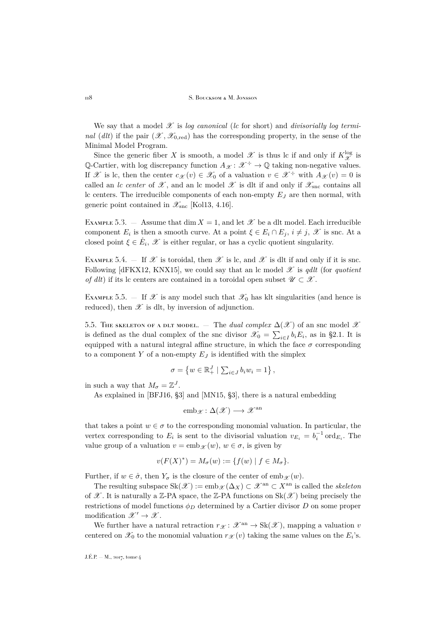We say that a model  $\mathscr X$  is *log canonical* (*lc* for short) and *divisorially log terminal* (*dlt*) if the pair  $(\mathscr{X}, \mathscr{X}_{0 \text{ red}})$  has the corresponding property, in the sense of the Minimal Model Program.

Since the generic fiber X is smooth, a model  $\mathscr X$  is thus lc if and only if  $K_{\mathscr X}^{\log}$  is Q-Cartier, with log discrepancy function  $A_{\mathscr{X}}: \mathscr{X}^{\div} \to \mathbb{Q}$  taking non-negative values. If X is lc, then the center  $c_{\mathcal{X}}(v) \in \mathcal{X}_0$  of a valuation  $v \in \mathcal{X}^{\div}$  with  $A_{\mathcal{X}}(v) = 0$  is called an *lc center* of  $\mathscr X$ , and an *lc* model  $\mathscr X$  is dlt if and only if  $\mathscr X_{\text{src}}$  contains all lc centers. The irreducible components of each non-empty  $E_J$  are then normal, with generic point contained in  $\mathscr{X}_{\text{snc}}$  [\[Kol13,](#page-52-17) 4.16].

EXAMPLE 5.3.  $-$  Assume that dim  $X = 1$ , and let  $\mathscr X$  be a dlt model. Each irreducible component  $E_i$  is then a smooth curve. At a point  $\xi \in E_i \cap E_j$ ,  $i \neq j$ ,  $\mathscr X$  is snc. At a closed point  $\xi \in \mathring{E}_i$ ,  $\mathscr{X}$  is either regular, or has a cyclic quotient singularity.

EXAMPLE 5.4. — If X is toroidal, then X is lc, and X is dlt if and only if it is snc. Following  $\left[\text{dFKX12, KNX15}\right]$ , we could say that an lc model  $\mathscr X$  is *qdlt* (for *quotient of dlt*) if its lc centers are contained in a toroidal open subset  $\mathscr{U} \subset \mathscr{X}$ .

EXAMPLE 5.5.  $-$  If  $\mathscr X$  is any model such that  $\mathscr X_0$  has klt singularities (and hence is reduced), then  $\mathscr X$  is dlt, by inversion of adjunction.

5.5. The skeleton of a plt model. — The *dual complex*  $\Delta(\mathscr{X})$  of an snc model  $\mathscr{X}$ is defined as the dual complex of the snc divisor  $\mathscr{X}_0 = \sum_{i \in I} b_i E_i$ , as in [§2.1.](#page-12-1) It is equipped with a natural integral affine structure, in which the face  $\sigma$  corresponding to a component Y of a non-empty  $E_J$  is identified with the simplex

$$
\sigma = \left\{ w \in \mathbb{R}_+^J \mid \sum_{i \in J} b_i w_i = 1 \right\},\
$$

in such a way that  $M_{\sigma} = \mathbb{Z}^{J}$ .

As explained in [\[BFJ16,](#page-51-4) §3] and [\[MN15,](#page-52-3) §3], there is a natural embedding

$$
emb_{\mathscr{X}} \colon \Delta(\mathscr{X}) \longrightarrow \mathscr{X}^{an}
$$

that takes a point  $w \in \sigma$  to the corresponding monomial valuation. In particular, the vertex corresponding to  $E_i$  is sent to the divisorial valuation  $v_{E_i} = b_i^{-1} \text{ord}_{E_i}$ . The value group of a valuation  $v = \text{emb}_{\mathscr{X}}(w)$ ,  $w \in \sigma$ , is given by

$$
v(F(X)^*) = M_{\sigma}(w) := \{f(w) \mid f \in M_{\sigma}\}.
$$

Further, if  $w \in \mathring{\sigma}$ , then  $Y_{\sigma}$  is the closure of the center of emb $\mathscr{X}(w)$ .

The resulting subspace  $\text{Sk}(\mathscr{X}) := \text{emb}_{\mathscr{X}}(\Delta_X) \subset \mathscr{X}^{\text{an}} \subset X^{\text{an}}$  is called the *skeleton* of  $\mathscr X$ . It is naturally a Z-PA space, the Z-PA functions on Sk( $\mathscr X$ ) being precisely the restrictions of model functions  $\phi_D$  determined by a Cartier divisor D on some proper modification  $\mathscr{X}' \to \mathscr{X}$ .

We further have a natural retraction  $r_{\mathscr{X}}: \mathscr{X}^{\rm an} \to \text{Sk}(\mathscr{X})$ , mapping a valuation v centered on  $\mathscr{X}_0$  to the monomial valuation  $r_{\mathscr{X}}(v)$  taking the same values on the  $E_i$ 's.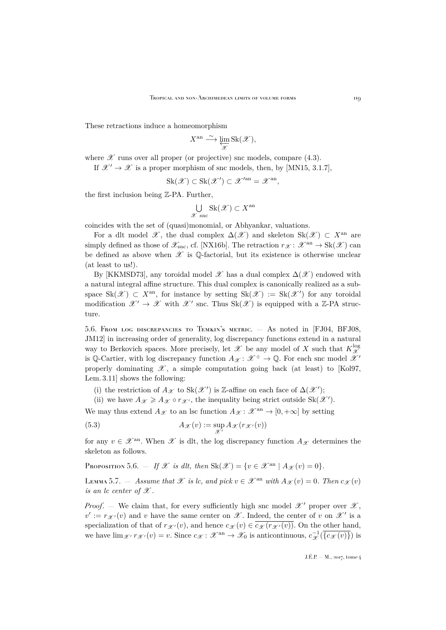These retractions induce a homeomorphism

$$
X^{\mathrm{an}} \xrightarrow{\sim} \varprojlim_{\mathscr{X}} \mathrm{Sk}(\mathscr{X}),
$$

where  $\mathscr X$  runs over all proper (or projective) snc models, compare [\(4.3\)](#page-28-3).

If  $\mathscr{X}' \to \mathscr{X}$  is a proper morphism of snc models, then, by [\[MN15,](#page-52-3) 3.1.7].

$$
Sk(\mathscr{X}) \subset Sk(\mathscr{X}') \subset \mathscr{X}'^{an} = \mathscr{X}^{an},
$$

the first inclusion being Z-PA. Further,

$$
\bigcup_{\mathscr{X} \text{ sinc}} \text{Sk}(\mathscr{X}) \subset X^{\text{an}}
$$

coincides with the set of (quasi)monomial, or Abhyankar, valuations.

For a dlt model  $\mathscr{X}$ , the dual complex  $\Delta(\mathscr{X})$  and skeleton Sk( $\mathscr{X}) \subset X^{\text{an}}$  are simply defined as those of  $\mathscr{X}_{\text{snc}}$ , cf. [\[NX16b\]](#page-52-4). The retraction  $r_{\mathscr{X}}: \mathscr{X}^{\text{an}} \to \text{Sk}(\mathscr{X})$  can be defined as above when  $\mathscr X$  is Q-factorial, but its existence is otherwise unclear (at least to us!).

By [\[KKMSD73\]](#page-52-12), any toroidal model  $\mathcal X$  has a dual complex  $\Delta(\mathcal X)$  endowed with a natural integral affine structure. This dual complex is canonically realized as a subspace  $\text{Sk}(\mathscr{X}) \subset X^{\text{an}}$ , for instance by setting  $\text{Sk}(\mathscr{X}) := \text{Sk}(\mathscr{X}')$  for any toroidal modification  $\mathscr{X}' \to \mathscr{X}$  with  $\mathscr{X}'$  snc. Thus  $Sk(\mathscr{X})$  is equipped with a Z-PA structure.

5.6. From log discrepancies to Temkin's metric. — As noted in [\[FJ04,](#page-52-18) [BFJ08,](#page-51-13) [JM12\]](#page-52-19) in increasing order of generality, log discrepancy functions extend in a natural way to Berkovich spaces. More precisely, let  $\mathscr X$  be any model of X such that  $K_{\mathscr X}^{\log}$  $\mathscr X$ is Q-Cartier, with log discrepancy function  $A_{\mathscr{X}}: \mathscr{X}^{\div} \to \mathbb{Q}$ . For each snc model  $\mathscr{X}'$ properly dominating  $\mathscr{X}$ , a simple computation going back (at least) to [\[Kol97,](#page-52-20) Lem. 3.11] shows the following:

(i) the restriction of  $A_{\mathscr{X}}$  to  $\text{Sk}(\mathscr{X}')$  is Z-affine on each face of  $\Delta(\mathscr{X}')$ ;

<span id="page-33-0"></span>(ii) we have  $A_{\mathscr{X}} \geq A_{\mathscr{X}} \circ r_{\mathscr{X}'}$ , the inequality being strict outside  $\text{Sk}(\mathscr{X}')$ .

We may thus extend  $A_{\mathscr{X}}$  to an lsc function  $A_{\mathscr{X}}: \mathscr{X}^{\rm an} \to [0, +\infty]$  by setting

(5.3) 
$$
A_{\mathscr{X}}(v) := \sup_{\mathscr{X}'} A_{\mathscr{X}}(r_{\mathscr{X}'}(v))
$$

for any  $v \in \mathscr{X}^{\text{an}}$ . When  $\mathscr{X}$  is dlt, the log discrepancy function  $A_{\mathscr{X}}$  determines the skeleton as follows.

<span id="page-33-1"></span>PROPOSITION 5.6. — *If*  $\mathscr X$  *is dlt, then*  $Sk(\mathscr X) = \{v \in \mathscr X^{\rm an} \mid A_{\mathscr X}(v) = 0\}.$ 

<span id="page-33-2"></span>LEMMA 5.7. — *Assume that*  $\mathscr X$  *is lc. and pick*  $v \in \mathscr X^{\text{an}}$  with  $A_{\mathscr X}(v) = 0$ . Then  $c_{\mathscr X}(v)$ *is an lc center of*  $\mathscr X$ .

*Proof.* — We claim that, for every sufficiently high snc model  $\mathscr{X}'$  proper over  $\mathscr{X}$ ,  $v' := r_{\mathscr{X}'}(v)$  and v have the same center on  $\mathscr{X}$ . Indeed, the center of v on  $\mathscr{X}'$  is a specialization of that of  $r_{\mathscr{X}}(v)$ , and hence  $c_{\mathscr{X}}(v) \in c_{\mathscr{X}}(r_{\mathscr{X}}(v))$ . On the other hand, we have  $\lim_{\mathscr{X}'} r_{\mathscr{X}'}(v) = v$ . Since  $c_{\mathscr{X}}: \mathscr{X}^{\text{an}} \to \mathscr{X}_0$  is anticontinuous,  $c_{\mathscr{X}}^{-1}(\overline{\{c_{\mathscr{X}}(v)\}})$  is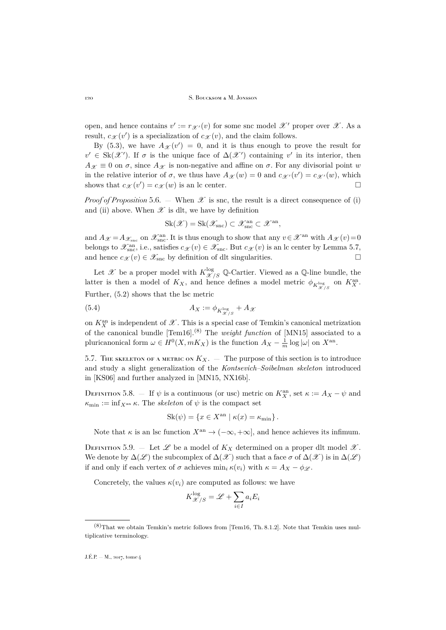open, and hence contains  $v' := r_{\mathscr{X}'}(v)$  for some snc model  $\mathscr{X}'$  proper over  $\mathscr{X}$ . As a result,  $c_{\mathscr{X}}(v')$  is a specialization of  $c_{\mathscr{X}}(v)$ , and the claim follows.

By [\(5.3\)](#page-33-0), we have  $A_{\mathscr{X}}(v') = 0$ , and it is thus enough to prove the result for  $v' \in Sk(\mathscr{X}')$ . If  $\sigma$  is the unique face of  $\Delta(\mathscr{X}')$  containing v' in its interior, then  $A_{\mathscr{X}} \equiv 0$  on  $\sigma$ , since  $A_{\mathscr{X}}$  is non-negative and affine on  $\sigma$ . For any divisorial point w in the relative interior of  $\sigma$ , we thus have  $A_{\mathscr{X}}(w) = 0$  and  $c_{\mathscr{X}'}(v') = c_{\mathscr{X}'}(w)$ , which shows that  $c_{\mathcal{X}}(v') = c_{\mathcal{X}}(w)$  is an lc center.

*Proof of Proposition* [5.6.](#page-33-1) — When  $\mathscr X$  is snc, the result is a direct consequence of (i) and (ii) above. When  $\mathscr X$  is dlt, we have by definition

$$
\operatorname{Sk}(\mathscr{X})=\operatorname{Sk}(\mathscr{X}_{\text{snc}})\subset \mathscr{X}_{\text{snc}}^{\text{an}}\subset \mathscr{X}^{\text{an}},
$$

and  $A_{\mathscr{X}} = A_{\mathscr{X}_{\text{smc}}}$  on  $\mathscr{X}_{\text{smc}}^{\text{an}}$ . It is thus enough to show that any  $v \in \mathscr{X}^{\text{an}}$  with  $A_{\mathscr{X}}(v) = 0$ belongs to  $\mathscr{X}_{\text{snc}}^{\text{an}}$ , i.e., satisfies  $c_{\mathscr{X}}(v) \in \mathscr{X}_{\text{snc}}$ . But  $c_{\mathscr{X}}(v)$  is an lc center by Lemma [5.7,](#page-33-2) and hence  $c_{\mathcal{X}}(v) \in \mathcal{X}_{\text{snc}}$  by definition of dlt singularities.

Let  $\mathscr X$  be a proper model with  $K_{\mathscr X/S}^{\log}$  Q-Cartier. Viewed as a Q-line bundle, the latter is then a model of  $K_X$ , and hence defines a model metric  $\phi_{K_{\mathscr{X}/S}^{\log}}$  on  $K_X^{\text{an}}$ . Further, [\(5.2\)](#page-31-0) shows that the lsc metric

$$
(5.4) \t\t\t A_X := \phi_{K_{\mathscr{X}/S}^{\log}} + A_{\mathscr{X}}
$$

on  $K_X^{\text{an}}$  is independent of  $\mathscr X$ . This is a special case of Temkin's canonical metrization of the canonical bundle [\[Tem16\]](#page-53-11).(8) The *weight function* of [\[MN15\]](#page-52-3) associated to a pluricanonical form  $\omega \in H^0(X, mK_X)$  is the function  $A_X - \frac{1}{m} \log |\omega|$  on  $X^{\text{an}}$ .

5.7. The skeleton of a metric on  $K_X$ . — The purpose of this section is to introduce and study a slight generalization of the *Kontsevich–Soibelman skeleton* introduced in [\[KS06\]](#page-52-2) and further analyzed in [\[MN15,](#page-52-3) [NX16b\]](#page-52-4).

DEFINITION 5.8. – If  $\psi$  is a continuous (or usc) metric on  $K_X^{\text{an}}$ , set  $\kappa := A_X - \psi$  and  $\kappa_{\min} := \inf_{X^{\text{an}}} \kappa$ . The *skeleton* of  $\psi$  is the compact set

$$
Sk(\psi) = \{ x \in X^{\text{an}} \mid \kappa(x) = \kappa_{\min} \}.
$$

Note that  $\kappa$  is an lsc function  $X^{\text{an}} \to (-\infty, +\infty]$ , and hence achieves its infimum.

DEFINITION 5.9. – Let  $\mathscr L$  be a model of  $K_X$  determined on a proper dlt model  $\mathscr X$ . We denote by  $\Delta(\mathscr{L})$  the subcomplex of  $\Delta(\mathscr{X})$  such that a face  $\sigma$  of  $\Delta(\mathscr{X})$  is in  $\Delta(\mathscr{L})$ if and only if each vertex of  $\sigma$  achieves  $\min_i \kappa(v_i)$  with  $\kappa = A_X - \phi_{\mathscr{L}}$ .

Concretely, the values  $\kappa(v_i)$  are computed as follows: we have

$$
K_{\mathcal{X}/S}^{\log} = \mathcal{L} + \sum_{i \in I} a_i E_i
$$

 $(8)$ That we obtain Temkin's metric follows from [\[Tem16,](#page-53-11) Th. 8.1.2]. Note that Temkin uses multiplicative terminology.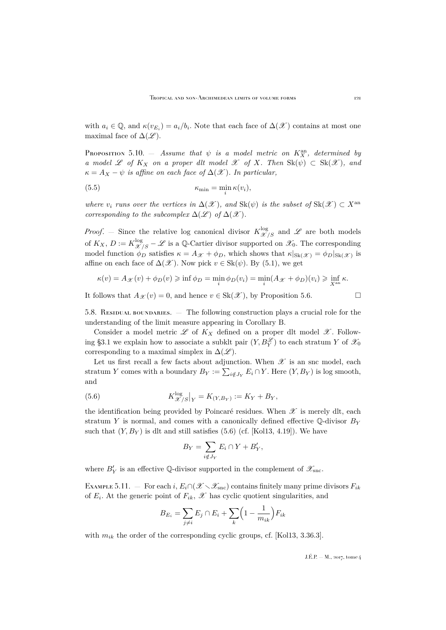with  $a_i \in \mathbb{Q}$ , and  $\kappa(v_{E_i}) = a_i/b_i$ . Note that each face of  $\Delta(\mathscr{X})$  contains at most one maximal face of  $\Delta(\mathscr{L})$ .

<span id="page-35-1"></span>PROPOSITION 5.10.  $-$  *Assume that*  $\psi$  *is a model metric on*  $K_X^{\text{an}}$ *, determined by a model* L *of*  $K_X$  *on a proper dlt model* L *of* X. Then  $Sk(\psi) \subset Sk(\mathcal{X})$ *, and*  $\kappa = A_X - \psi$  *is affine on each face of*  $\Delta(\mathscr{X})$ *. In particular,* 

(5.5) 
$$
\kappa_{\min} = \min_{i} \kappa(v_i),
$$

*where*  $v_i$  *runs over the vertices in*  $\Delta(\mathcal{X})$ *, and*  $Sk(\psi)$  *is the subset of*  $Sk(\mathcal{X}) \subset X^{an}$ *corresponding to the subcomplex*  $\Delta(\mathscr{L})$  *of*  $\Delta(\mathscr{X})$ *.* 

*Proof.* – Since the relative log canonical divisor  $K_{\mathscr{X}/S}^{\log}$  and  $\mathscr{L}$  are both models of  $K_X$ ,  $D := K_{\mathscr{X}/S}^{\log} - \mathscr{L}$  is a Q-Cartier divisor supported on  $\mathscr{X}_0$ . The corresponding model function  $\phi_D$  satisfies  $\kappa = A_{\mathcal{X}} + \phi_D$ , which shows that  $\kappa|_{\text{Sk}(\mathcal{X})} = \phi_D|_{\text{Sk}(\mathcal{X})}$  is affine on each face of  $\Delta(\mathscr{X})$ . Now pick  $v \in Sk(\psi)$ . By [\(5.1\)](#page-30-0), we get

$$
\kappa(v) = A_{\mathcal{X}}(v) + \phi_D(v) \ge \inf \phi_D = \min_i \phi_D(v_i) = \min_i (A_{\mathcal{X}} + \phi_D)(v_i) \ge \inf_{X^{\mathrm{an}}} \kappa.
$$

It follows that  $A_{\mathscr{X}}(v) = 0$ , and hence  $v \in Sk(\mathscr{X})$ , by Proposition [5.6.](#page-33-1)

5.8. RESIDUAL BOUNDARIES. — The following construction plays a crucial role for the understanding of the limit measure appearing in Corollary [B.](#page-4-0)

Consider a model metric  $\mathscr L$  of  $K_X$  defined on a proper dlt model  $\mathscr X$ . Follow-ing [§3.1](#page-15-2) we explain how to associate a subklt pair  $(Y, B_Y^{\mathscr{L}})$  to each stratum Y of  $\mathscr{X}_0$ corresponding to a maximal simplex in  $\Delta(\mathscr{L})$ .

Let us first recall a few facts about adjunction. When  $\mathscr X$  is an snc model, each stratum Y comes with a boundary  $B_Y := \sum_{i \notin J_Y} E_i \cap Y$ . Here  $(Y, B_Y)$  is log smooth, and

(5.6) 
$$
K_{\mathscr{X}/S}^{\log}|_{Y} = K_{(Y,B_{Y})} := K_{Y} + B_{Y},
$$

the identification being provided by Poincaré residues. When  $\mathscr X$  is merely dlt, each stratum Y is normal, and comes with a canonically defined effective  $\mathbb{Q}$ -divisor  $B_Y$ such that  $(Y, B_Y)$  is dlt and still satisfies [\(5.6\)](#page-35-0) (cf. [\[Kol13,](#page-52-17) 4.19]). We have

<span id="page-35-0"></span>
$$
B_Y = \sum_{i \notin J_Y} E_i \cap Y + B'_Y,
$$

where  $B_Y'$  is an effective Q-divisor supported in the complement of  $\mathscr{X}_{\textrm{snc}}$ .

EXAMPLE 5.11. — For each i,  $E_i \cap (\mathscr{X} \setminus \mathscr{X}_{\text{snc}})$  contains finitely many prime divisors  $F_{ik}$ of  $E_i$ . At the generic point of  $F_{ik}$ ,  $\mathscr X$  has cyclic quotient singularities, and

$$
B_{E_i} = \sum_{j \neq i} E_j \cap E_i + \sum_k \left(1 - \frac{1}{m_{ik}}\right) F_{ik}
$$

with  $m_{ik}$  the order of the corresponding cyclic groups, cf. [\[Kol13,](#page-52-17) 3.36.3].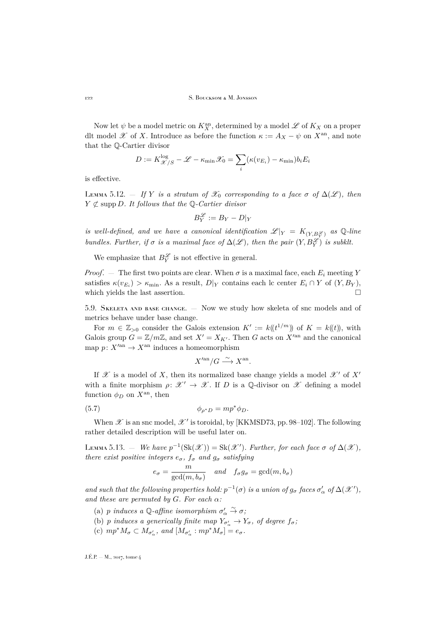Now let  $\psi$  be a model metric on  $K_X^{\text{an}}$ , determined by a model  $\mathscr L$  of  $K_X$  on a proper dlt model  $\mathscr X$  of X. Introduce as before the function  $\kappa := A_X - \psi$  on  $X^{\text{an}}$ , and note that the Q-Cartier divisor

$$
D := K_{\mathcal{X}/S}^{\log} - \mathcal{L} - \kappa_{\min} \mathcal{X}_0 = \sum_i (\kappa(v_{E_i}) - \kappa_{\min}) b_i E_i
$$

is effective.

<span id="page-36-1"></span>LEMMA 5.12. — *If* Y *is a stratum of*  $\mathscr{X}_0$  *corresponding to a face*  $\sigma$  *of*  $\Delta(\mathscr{L})$ *, then*  $Y \not\subset \text{supp } D$ . It follows that the  $\mathbb{Q}$ -Cartier divisor

$$
B_Y^{\mathscr{L}} := B_Y - D|_Y
$$

*is well-defined, and we have a canonical identification*  $\mathscr{L}|_Y = K_{(Y,B_Y^{\mathscr{L}})}$  *as* Q-line *bundles. Further, if*  $\sigma$  *is a maximal face of*  $\Delta(\mathscr{L})$ *, then the pair*  $(Y, B_Y^{\mathscr{L}})$  *is subklt.* 

We emphasize that  $B_Y^{\mathscr{L}}$  is not effective in general.

*Proof.* — The first two points are clear. When  $\sigma$  is a maximal face, each  $E_i$  meeting Y satisfies  $\kappa(v_{E_i}) > \kappa_{\min}$ . As a result,  $D|_Y$  contains each lc center  $E_i \cap Y$  of  $(Y, B_Y)$ , which yields the last assertion.  $\Box$ 

5.9. Skeleta and base change. — Now we study how skeleta of snc models and of metrics behave under base change.

For  $m \in \mathbb{Z}_{>0}$  consider the Galois extension  $K' := k(\ell^{1/m})$  of  $K = k(\ell)$ , with Galois group  $G = \mathbb{Z}/m\mathbb{Z}$ , and set  $X' = X_{K'}$ . Then G acts on  $X'^{an}$  and the canonical map  $p: X'^{an} \to X^{an}$  induces a homeomorphism

<span id="page-36-0"></span>
$$
X^{\prime\mathrm{an}}/G \xrightarrow{\sim} X^{\mathrm{an}}.
$$

If  $\mathscr X$  is a model of X, then its normalized base change yields a model  $\mathscr X'$  of  $X'$ with a finite morphism  $\rho: \mathcal{X}' \to \mathcal{X}$ . If D is a Q-divisor on X defining a model function  $\phi_D$  on  $X^{\text{an}}$ , then

$$
\phi_{\rho^*D} = mp^* \phi_D.
$$

When  $\mathscr X$  is an snc model,  $\mathscr X'$  is toroidal, by [\[KKMSD73,](#page-52-12) pp. 98–102]. The following rather detailed description will be useful later on.

<span id="page-36-2"></span>LEMMA 5.13. — We have  $p^{-1}(\text{Sk}(\mathcal{X})) = \text{Sk}(\mathcal{X}')$ . Further, for each face  $\sigma$  of  $\Delta(\mathcal{X})$ , *there exist positive integers*  $e_{\sigma}$ ,  $f_{\sigma}$  *and*  $g_{\sigma}$  *satisfying* 

$$
e_{\sigma} = \frac{m}{\gcd(m, b_{\sigma})}
$$
 and  $f_{\sigma}g_{\sigma} = \gcd(m, b_{\sigma})$ 

and such that the following properties hold:  $p^{-1}(\sigma)$  is a union of  $g_{\sigma}$  faces  $\sigma'_{\alpha}$  of  $\Delta(\mathscr{X}')$ , *and these are permuted by* G*. For each* α*:*

- (a) *p induces*  $a \mathbb{Q}$ -*affine isomorphism*  $\sigma'_\alpha \xrightarrow{\sim} \sigma$ ;
- (b) *p* induces a generically finite map  $Y_{\sigma'_\alpha} \to Y_{\sigma}$ , of degree  $f_{\sigma}$ ;
- (c)  $mp^*M_{\sigma} \subset M_{\sigma'_{\alpha}}$ , and  $[M_{\sigma'_{\alpha}} : mp^*M_{\sigma}] = e_{\sigma}$ .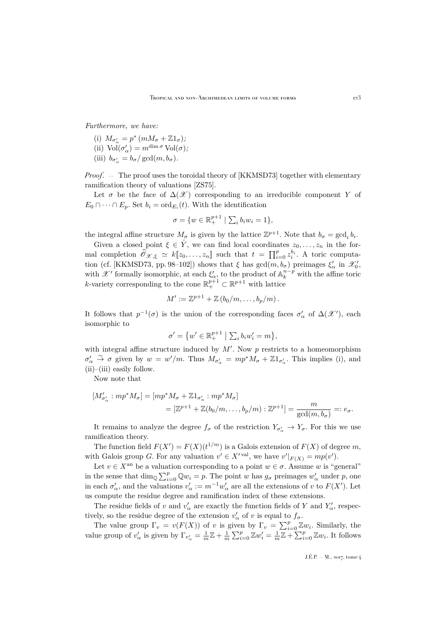*Furthermore, we have:*

- (i)  $M_{\sigma'_\alpha} = p^* (mM_\sigma + \mathbb{Z}1_\sigma);$
- (ii)  $\text{Vol}(\sigma'_{\alpha}) = m^{\dim \sigma} \text{Vol}(\sigma);$
- (iii)  $b_{\sigma'_\alpha} = b_\sigma / \gcd(m, b_\sigma)$ *.*

*Proof*. — The proof uses the toroidal theory of [\[KKMSD73\]](#page-52-12) together with elementary ramification theory of valuations [\[ZS75\]](#page-53-12).

Let  $\sigma$  be the face of  $\Delta(\mathscr{X})$  corresponding to an irreducible component Y of  $E_0 \cap \cdots \cap E_p$ . Set  $b_i = \text{ord}_{E_i}(t)$ . With the identification

$$
\sigma = \{ w \in \mathbb{R}_+^{p+1} \mid \sum_i b_i w_i = 1 \},\
$$

the integral affine structure  $M_{\sigma}$  is given by the lattice  $\mathbb{Z}^{p+1}$ . Note that  $b_{\sigma} = \gcd_i b_i$ .

Given a closed point  $\xi \in \overset{\circ}{Y}$ , we can find local coordinates  $z_0, \ldots, z_n$  in the formal completion  $\widehat{\mathscr{O}}_{\mathscr{X},\xi} \simeq k[\![z_0,\ldots,z_n]\!]$  such that  $t = \prod_{i=0}^p z_i^{b_i}$ . A toric computa-tion (cf. [\[KKMSD73,](#page-52-12) pp. 98–102]) shows that  $\xi$  has  $gcd(m, b_{\sigma})$  preimages  $\xi'_{\alpha}$  in  $\mathscr{X}'_{0}$ , with  $\mathscr{X}'$  formally isomorphic, at each  $\xi'_{\alpha}$ , to the product of  $\mathbb{A}_k^{n-p}$  with the affine toric *k*-variety corresponding to the cone  $\mathbb{R}^{p+1}_+ \subset \mathbb{R}^{p+1}$  with lattice

$$
M' := \mathbb{Z}^{p+1} + \mathbb{Z} (b_0/m, \ldots, b_p/m).
$$

It follows that  $p^{-1}(\sigma)$  is the union of the corresponding faces  $\sigma'_\alpha$  of  $\Delta(\mathscr{X}')$ , each isomorphic to

$$
\sigma' = \{ w' \in \mathbb{R}^{p+1}_+ \mid \sum_i b_i w'_i = m \},\
$$

with integral affine structure induced by  $M'$ . Now  $p$  restricts to a homeomorphism  $\sigma'_\alpha \stackrel{\sim}{\to} \sigma$  given by  $w = w'/m$ . Thus  $M_{\sigma'_\alpha} = mp^* M_\sigma + \mathbb{Z}1_{\sigma'_\alpha}$ . This implies (i), and  $(ii)$ – $(iii)$  easily follow.

Now note that

$$
[M'_{\sigma'_{\alpha}} : mp^*M_{\sigma}] = [mp^*M_{\sigma} + \mathbb{Z}1_{\sigma'_{\alpha}} : mp^*M_{\sigma}]
$$
  

$$
= [\mathbb{Z}^{p+1} + \mathbb{Z}(b_0/m, \dots, b_p/m) : \mathbb{Z}^{p+1}] = \frac{m}{\gcd(m, b_{\sigma})} =: e_{\sigma}.
$$

It remains to analyze the degree  $f_{\sigma}$  of the restriction  $Y_{\sigma'_{\alpha}} \to Y_{\sigma}$ . For this we use ramification theory.

The function field  $F(X') = F(X)(t^{1/m})$  is a Galois extension of  $F(X)$  of degree m, with Galois group G. For any valuation  $v' \in X'^{val}$ , we have  $v'|_{F(X)} = mp(v')$ .

Let  $v \in X^{\text{an}}$  be a valuation corresponding to a point  $w \in \sigma$ . Assume w is "general" in the sense that  $\dim_{\mathbb{Q}} \sum_{i=0}^{p} \mathbb{Q} w_i = p$ . The point w has  $g_{\sigma}$  preimages  $w'_{\alpha}$  under p, one in each  $\sigma'_\alpha$ , and the valuations  $v'_\alpha := m^{-1}w'_\alpha$  are all the extensions of v to  $F(X')$ . Let us compute the residue degree and ramification index of these extensions.

The residue fields of v and  $v'_\alpha$  are exactly the function fields of Y and  $Y'_\alpha$ , respectively, so the residue degree of the extension  $v'_{\alpha}$  of v is equal to  $f_{\sigma}$ .

The value group  $\Gamma_v = v(F(X))$  of v is given by  $\Gamma_v = \sum_{i=0}^p \mathbb{Z}w_i$ . Similarly, the value group of  $v'_\alpha$  is given by  $\Gamma_{v'_\alpha} = \frac{1}{m}\mathbb{Z} + \frac{1}{m}\sum_{i=0}^p \mathbb{Z}w'_i = \frac{1}{m}\mathbb{Z} + \sum_{i=0}^p \mathbb{Z}w_i$ . It follows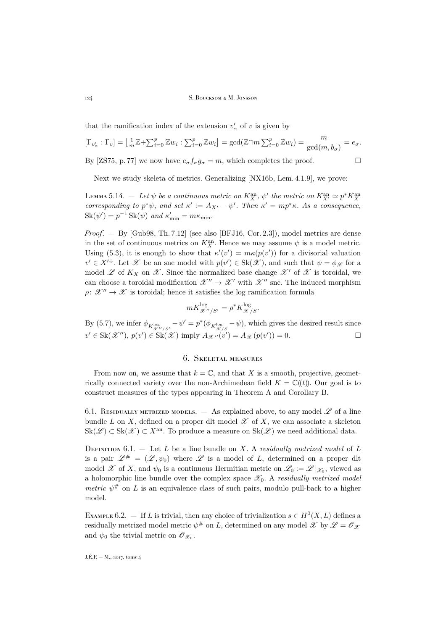that the ramification index of the extension  $v'_\alpha$  of v is given by

$$
[\Gamma_{v'_\alpha} : \Gamma_v] = [\frac{1}{m}\mathbb{Z} + \sum_{i=0}^p \mathbb{Z}w_i : \sum_{i=0}^p \mathbb{Z}w_i] = \gcd(\mathbb{Z} \cap m \sum_{i=0}^p \mathbb{Z}w_i) = \frac{m}{\gcd(m, b_\sigma)} = e_\sigma.
$$
  
By [ZS75, p. 77] we now have  $e_\sigma f_\sigma g_\sigma = m$ , which completes the proof.

Next we study skeleta of metrics. Generalizing [\[NX16b,](#page-52-4) Lem. 4.1.9], we prove:

<span id="page-38-1"></span>LEMMA 5.14.  $-$  Let  $\psi$  be a continuous metric on  $K_X^{\text{an}}, \psi'$  the metric on  $K_{X'}^{\text{an}} \simeq p^*K_X^{\text{an}}$ *corresponding to*  $p^*\psi$ *, and set*  $\kappa' := A_{X'} - \psi'$ *. Then*  $\kappa' = mp^*\kappa$ *. As a consequence,*  $\operatorname{Sk}(\psi') = p^{-1} \operatorname{Sk}(\psi)$  *and*  $\kappa'_{\min} = m\kappa_{\min}$ .

*Proof*. — By [\[Gub98,](#page-52-21) Th. 7.12] (see also [\[BFJ16,](#page-51-4) Cor. 2.3]), model metrics are dense in the set of continuous metrics on  $K_X^{\text{an}}$ . Hence we may assume  $\psi$  is a model metric. Using [\(5.3\)](#page-33-0), it is enough to show that  $\kappa'(v') = m\kappa(p(v'))$  for a divisorial valuation  $v' \in X'^{\div}$ . Let  $\mathscr X$  be an snc model with  $p(v') \in Sk(\mathscr X)$ , and such that  $\psi = \phi_{\mathscr L}$  for a model L of  $K_X$  on  $\mathscr X$ . Since the normalized base change  $\mathscr X'$  of  $\mathscr X$  is toroidal, we can choose a toroidal modification  $\mathscr{X}'' \to \mathscr{X}'$  with  $\mathscr{X}''$  snc. The induced morphism  $\rho: \mathscr{X}'' \to \mathscr{X}$  is toroidal; hence it satisfies the log ramification formula

$$
mK^{\log}_{\mathscr{X}''/S'} = \rho^*K^{\log}_{\mathscr{X}/S}.
$$

By [\(5.7\)](#page-36-0), we infer  $\phi_{K_{\mathscr{X''/S'}}^{\log}} - \psi' = p^*(\phi_{K_{\mathscr{X/S}}^{\log}} - \psi)$ , which gives the desired result since  $v' \in Sk(\mathscr{X}'')$ ,  $p(v') \in Sk(\mathscr{X})$  imply  $A_{\mathscr{X}''}(v') = A_{\mathscr{X}}(p(v')) = 0$ .

## 6. Skeletal measures

<span id="page-38-0"></span>From now on, we assume that  $k = \mathbb{C}$ , and that X is a smooth, projective, geometrically connected variety over the non-Archimedean field  $K = \mathbb{C}(\ell t)$ . Our goal is to construct measures of the types appearing in Theorem [A](#page-2-1) and Corollary [B.](#page-4-0)

6.1. RESIDUALLY METRIZED MODELS.  $-$  As explained above, to any model  $\mathscr L$  of a line bundle L on X, defined on a proper dlt model  $\mathscr X$  of X, we can associate a skeleton  $\text{Sk}(\mathscr{L}) \subset \text{Sk}(\mathscr{X}) \subset X^{\text{an}}$ . To produce a measure on  $\text{Sk}(\mathscr{L})$  we need additional data.

DEFINITION  $6.1.$  — Let L be a line bundle on X. A *residually metrized model* of L is a pair  $\mathscr{L}^{\#} = (\mathscr{L}, \psi_0)$  where  $\mathscr{L}$  is a model of L, determined on a proper dlt model  $\mathscr X$  of X, and  $\psi_0$  is a continuous Hermitian metric on  $\mathscr L_0 := \mathscr L |_{\mathscr X_0}$ , viewed as a holomorphic line bundle over the complex space  $\mathscr{X}_0$ . A *residually metrized model metric*  $\psi^{\#}$  on L is an equivalence class of such pairs, modulo pull-back to a higher model.

EXAMPLE 6.2. – If L is trivial, then any choice of trivialization  $s \in H^0(X, L)$  defines a residually metrized model metric  $\psi^{\#}$  on L, determined on any model  $\mathscr X$  by  $\mathscr L=\mathscr O_{\mathscr X}$ and  $\psi_0$  the trivial metric on  $\mathscr{O}_{\mathscr{X}_0}$ .

J.  
É.P. 
$$
-
$$
 M., 2017, tome 4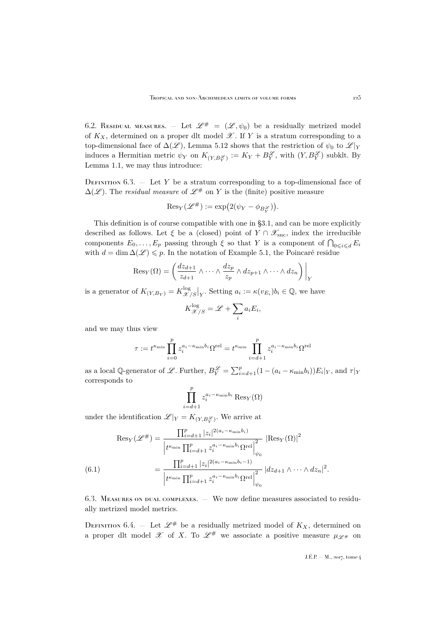<span id="page-39-0"></span>6.2. RESIDUAL MEASURES.  $-$  Let  $\mathscr{L}^{\#} = (\mathscr{L}, \psi_0)$  be a residually metrized model of  $K_X$ , determined on a proper dlt model  $\mathscr X$ . If Y is a stratum corresponding to a top-dimensional face of  $\Delta(\mathscr{L})$ , Lemma [5.12](#page-36-1) shows that the restriction of  $\psi_0$  to  $\mathscr{L}|_Y$ induces a Hermitian metric  $\psi_Y$  on  $K_{(Y,B_Y^{\mathscr{L}})} := K_Y + B_Y^{\mathscr{L}}$ , with  $(Y, B_Y^{\mathscr{L}})$  subklt. By Lemma [1.1,](#page-8-0) we may thus introduce:

DEFINITION  $6.3.$  — Let Y be a stratum corresponding to a top-dimensional face of  $\Delta(\mathscr{L})$ . The *residual measure* of  $\mathscr{L}^{\#}$  on Y is the (finite) positive measure

$$
\text{Res}_Y(\mathscr{L}^{\#}) := \exp\bigl(2(\psi_Y - \phi_{B_Y^{\mathscr{L}}})\bigr).
$$

This definition is of course compatible with one in [§3.1,](#page-15-2) and can be more explicitly described as follows. Let  $\xi$  be a (closed) point of  $Y \cap \mathscr{X}_{\text{snc}}$ , index the irreducible components  $E_0, \ldots, E_p$  passing through  $\xi$  so that Y is a component of  $\bigcap_{0 \leq i \leq d} E_i$ with  $d = \dim \Delta(\mathscr{L}) \leq p$ . In the notation of Example [5.1,](#page-31-1) the Poincaré residue

$$
Res_Y(\Omega) = \left(\frac{dz_{d+1}}{z_{d+1}} \wedge \cdots \wedge \frac{dz_p}{z_p} \wedge dz_{p+1} \wedge \cdots \wedge dz_n\right)\Big|_Y
$$

is a generator of  $K_{(Y,B_Y)} = K^{\log}_\mathscr{X}$  $\left.\frac{\log}{\mathscr{X}/S}\right|_{Y}$ . Setting  $a_i := \kappa(v_{E_i})b_i \in \mathbb{Q}$ , we have

$$
K_{\mathscr{X}/S}^{\log} = \mathscr{L} + \sum_{i} a_i E_i,
$$

and we may thus view

$$
\tau := t^{\kappa_{\min}} \prod_{i=0}^{p} z_i^{a_i - \kappa_{\min} b_i} \Omega^{\text{rel}} = t^{\kappa_{\min}} \prod_{i=d+1}^{p} z_i^{a_i - \kappa_{\min} b_i} \Omega^{\text{rel}}
$$

as a local Q-generator of L. Further,  $B_Y^{\mathcal{L}} = \sum_{i=d+1}^p (1 - (a_i - \kappa_{\min} b_i)) E_i|_Y$ , and  $\tau|_Y$ corresponds to

$$
\prod_{i=d+1}^{p} z_i^{a_i - \kappa_{\min} b_i} \operatorname{Res}_{Y}(\Omega)
$$

under the identification  $\mathscr{L}|_Y = K_{(Y,B_Y^{\mathscr{L}})}$ . We arrive at

(6.1) 
$$
\operatorname{Res}_{Y}(\mathscr{L}^{\#}) = \frac{\prod_{i=d+1}^{p} |z_{i}|^{2(a_{i}-\kappa_{\min}b_{i})}}{\left| t^{\kappa_{\min}} \prod_{i=d+1}^{p} z_{i}^{a_{i}-\kappa_{\min}b_{i}} \Omega^{\text{rel}} \right|_{\psi_{0}}^{2}} \left| \operatorname{Res}_{Y}(\Omega) \right|^{2}
$$

$$
= \frac{\prod_{i=d+1}^{p} |z_{i}|^{2(a_{i}-\kappa_{\min}b_{i}-1)}}{\left| t^{\kappa_{\min}} \prod_{i=d+1}^{p} z_{i}^{a_{i}-\kappa_{\min}b_{i}} \Omega^{\text{rel}} \right|_{\psi_{0}}^{2}} \left| dz_{d+1} \wedge \cdots \wedge dz_{n} \right|^{2}.
$$

6.3. Measures on dual complexes. — We now define measures associated to residually metrized model metrics.

DEFINITION 6.4. – Let  $\mathscr{L}^{\#}$  be a residually metrized model of  $K_X$ , determined on a proper dlt model  $\mathscr X$  of X. To  $\mathscr L^{\#}$  we associate a positive measure  $\mu_{\mathscr L^{\#}}$  on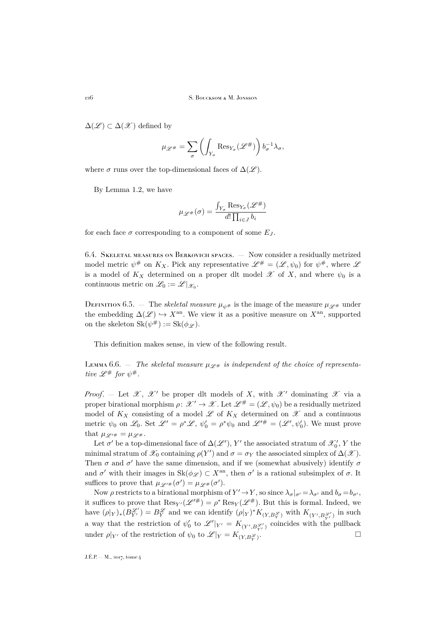$\Delta(\mathscr{L}) \subset \Delta(\mathscr{X})$  defined by

$$
\mu_{\mathscr{L}^{\#}} = \sum_{\sigma} \left( \int_{Y_{\sigma}} \text{Res}_{Y_{\sigma}} (\mathscr{L}^{\#}) \right) b_{\sigma}^{-1} \lambda_{\sigma},
$$

where  $\sigma$  runs over the top-dimensional faces of  $\Delta(\mathscr{L})$ .

By Lemma [1.2,](#page-9-1) we have

$$
\mu_{\mathscr{L}^{\#}}(\sigma) = \frac{\int_{Y_{\sigma}} \text{Res}_{Y_{\sigma}}(\mathscr{L}^{\#})}{d! \prod_{i \in J} b_i}
$$

for each face  $\sigma$  corresponding to a component of some  $E_J$ .

6.4. Skeletal measures on Berkovich spaces. — Now consider a residually metrized model metric  $\psi^{\#}$  on  $K_X$ . Pick any representative  $\mathscr{L}^{\#} = (\mathscr{L}, \psi_0)$  for  $\psi^{\#}$ , where  $\mathscr{L}$ is a model of  $K_X$  determined on a proper dlt model  $\mathscr X$  of X, and where  $\psi_0$  is a continuous metric on  $\mathcal{L}_0 := \mathcal{L}|_{\mathcal{X}_0}$ .

DEFINITION 6.5. — The *skeletal measure*  $\mu_{\psi^*}$  is the image of the measure  $\mu_{\mathscr{L}^*}$  under the embedding  $\Delta(\mathscr{L}) \hookrightarrow X^{\text{an}}$ . We view it as a positive measure on  $X^{\text{an}}$ , supported on the skeleton  $\text{Sk}(\psi^{\#}) := \text{Sk}(\phi_{\mathscr{L}}).$ 

This definition makes sense, in view of the following result.

Lemma 6.6.  $\bar{ }$  *The skeletal measure*  $\mu \varphi_{\#}$  *is independent of the choice of representative*  $\mathscr{L}^{\#}$  *for*  $\psi^{\#}$ *.* 

*Proof.* – Let  $\mathscr{X}, \mathscr{X}'$  be proper dlt models of X, with  $\mathscr{X}'$  dominating  $\mathscr{X}$  via a proper birational morphism  $\rho: \mathcal{X}' \to \mathcal{X}$ . Let  $\mathcal{L}^{\#} = (\mathcal{L}, \psi_0)$  be a residually metrized model of  $K_X$  consisting of a model  $\mathscr L$  of  $K_X$  determined on  $\mathscr X$  and a continuous metric  $\psi_0$  on  $\mathscr{L}_0$ . Set  $\mathscr{L}' = \rho^* \mathscr{L}$ ,  $\psi'_0 = \rho^* \psi_0$  and  $\mathscr{L}'^{\#} = (\mathscr{L}', \psi'_0)$ . We must prove that  $\mu \varphi_{\ell \#} = \mu \varphi_{\#}$ .

Let  $\sigma'$  be a top-dimensional face of  $\Delta(\mathscr{L}'), Y'$  the associated stratum of  $\mathscr{X}'_0, Y$  the minimal stratum of  $\mathcal{X}_0$  containing  $\rho(Y')$  and  $\sigma = \sigma_Y$  the associated simplex of  $\Delta(\mathcal{X})$ . Then  $\sigma$  and  $\sigma'$  have the same dimension, and if we (somewhat abusively) identify  $\sigma$ and  $\sigma'$  with their images in  $\text{Sk}(\phi_{\mathscr{L}}) \subset X^{\text{an}}$ , then  $\sigma'$  is a rational subsimplex of  $\sigma$ . It suffices to prove that  $\mu_{\mathscr{L}^{\prime\#}}(\sigma') = \mu_{\mathscr{L}^{\#}}(\sigma')$ .

Now  $\rho$  restricts to a birational morphism of  $Y' \to Y$ , so since  $\lambda_{\sigma}|_{\sigma'} = \lambda_{\sigma'}$  and  $b_{\sigma} = b_{\sigma'}$ , it suffices to prove that  $\text{Res}_{Y'}(\mathscr{L}'^{\#}) = \rho^* \text{Res}_{Y}(\mathscr{L}^{\#})$ . But this is formal. Indeed, we have  $(\rho|_Y)_*(B_{Y'}^{\mathscr{L}'}) = B_Y^{\mathscr{L}}$  and we can identify  $(\rho|_Y)^* K_{(Y,B_{Y}^{\mathscr{L}})}$  with  $K_{(Y',B_{Y'}^{\mathscr{L}'})}$  in such a way that the restriction of  $\psi'_0$  to  $\mathscr{L}'|_{Y'} = K_{(Y', B_{Y'}^{\mathscr{L}'})}$  coincides with the pullback under  $\rho|_{Y'}$  of the restriction of  $\psi_0$  to  $\mathscr{L}|_Y = K_{(Y,B_Y^{\mathscr{L}})}$ .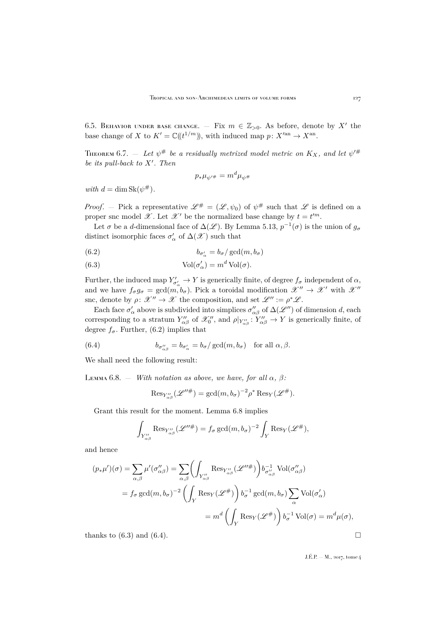6.5. BEHAVIOR UNDER BASE CHANGE.  $-$  Fix  $m \in \mathbb{Z}_{>0}$ . As before, denote by X' the base change of X to  $K' = \mathbb{C}((t^{1/m}))$ , with induced map  $p: X'^{an} \to X^{an}$ .

<span id="page-41-4"></span>THEOREM 6.7.  $-$  Let  $\psi^{\#}$  be a residually metrized model metric on  $K_{X},$  and let  $\psi^{\prime\#}$ *be its pull-back to X'. Then* 

$$
p_*\mu_{\psi'^\#}=m^d\mu_{\psi^\#}
$$

 $with d = \dim Sk(\psi^{\#})$ .

*Proof.* – Pick a representative  $\mathscr{L}^{\#} = (\mathscr{L}, \psi_0)$  of  $\psi^{\#}$  such that  $\mathscr{L}$  is defined on a proper snc model  $\mathscr X$ . Let  $\mathscr X'$  be the normalized base change by  $t = t^{\prime m}$ .

Let  $\sigma$  be a d-dimensional face of  $\Delta(\mathscr{L})$ . By Lemma [5.13,](#page-36-2)  $p^{-1}(\sigma)$  is the union of  $g_{\sigma}$ distinct isomorphic faces  $\sigma'_\alpha$  of  $\Delta(\mathscr{X})$  such that

<span id="page-41-0"></span>(6.2) 
$$
b_{\sigma'_\alpha} = b_\sigma / \gcd(m, b_\sigma)
$$

<span id="page-41-2"></span>(6.3) 
$$
Vol(\sigma'_{\alpha}) = m^d Vol(\sigma).
$$

Further, the induced map  $Y'_{\sigma'_\alpha} \to Y$  is generically finite, of degree  $f_\sigma$  independent of  $\alpha$ , and we have  $f_{\sigma}g_{\sigma} = \gcd(m, b_{\sigma})$ . Pick a toroidal modification  $\mathcal{X}'' \to \mathcal{X}'$  with  $\mathcal{X}''$ snc, denote by  $\rho: \mathscr{X}'' \to \mathscr{X}$  the composition, and set  $\mathscr{L}'' := \rho^* \mathscr{L}$ .

Each face  $\sigma'_\alpha$  above is subdivided into simplices  $\sigma''_{\alpha\beta}$  of  $\Delta(\mathscr{L}'')$  of dimension d, each corresponding to a stratum  $Y''_{\alpha\beta}$  of  $\mathcal{X}''_0$ , and  $\rho|_{Y''_{\alpha\beta}} : Y''_{\alpha\beta} \to Y$  is generically finite, of degree  $f_{\sigma}$ . Further, [\(6.2\)](#page-41-0) implies that

(6.4) 
$$
b_{\sigma''_{\alpha\beta}} = b_{\sigma'_{\alpha}} = b_{\sigma}/\gcd(m, b_{\sigma}) \text{ for all } \alpha, \beta.
$$

We shall need the following result:

<span id="page-41-1"></span>LEMMA 6.8.  $-$  *With notation as above, we have, for all*  $\alpha$ ,  $\beta$ *:* 

<span id="page-41-3"></span>
$$
\text{Res}_{Y''_{\alpha\beta}}(\mathscr{L}''^{\#}) = \gcd(m, b_{\sigma})^{-2} \rho^* \text{Res}_{Y}(\mathscr{L}^{\#}).
$$

Grant this result for the moment. Lemma [6.8](#page-41-1) implies

$$
\int_{Y''_{\alpha\beta}} \text{Res}_{Y''_{\alpha\beta}}(\mathscr{L}''^{\#}) = f_{\sigma} \gcd(m, b_{\sigma})^{-2} \int_{Y} \text{Res}_{Y}(\mathscr{L}^{\#}),
$$

and hence

$$
(p_*\mu')(\sigma) = \sum_{\alpha,\beta} \mu'(\sigma''_{\alpha\beta}) = \sum_{\alpha,\beta} \left( \int_{Y''_{\alpha\beta}} \text{Res}_{Y''_{\alpha\beta}}(\mathscr{L}''^{\#}) \right) b_{\sigma''_{\alpha\beta}}^{-1} \text{ Vol}(\sigma''_{\alpha\beta})
$$
  
=  $f_{\sigma} \gcd(m, b_{\sigma})^{-2} \left( \int_Y \text{Res}_{Y}(\mathscr{L}^{\#}) \right) b_{\sigma}^{-1} \gcd(m, b_{\sigma}) \sum_{\alpha} \text{Vol}(\sigma'_{\alpha})$   
=  $m^d \left( \int_Y \text{Res}_{Y}(\mathscr{L}^{\#}) \right) b_{\sigma}^{-1} \text{ Vol}(\sigma) = m^d \mu(\sigma),$ 

thanks to [\(6.3\)](#page-41-2) and [\(6.4\)](#page-41-3).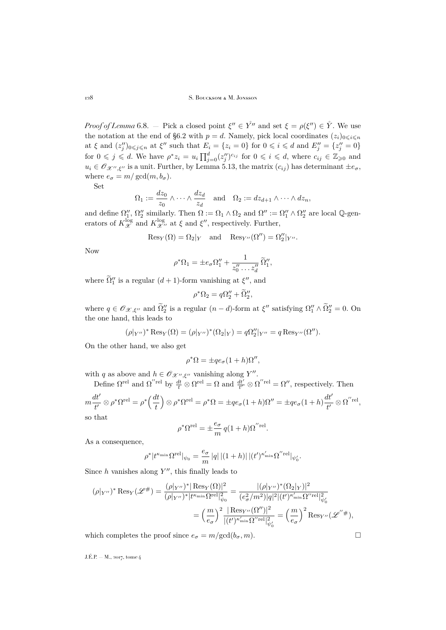*Proof of Lemma* [6.8.](#page-41-1) – Pick a closed point  $\xi'' \in Y^{\gamma''}$  and set  $\xi = \rho(\xi'') \in \overset{\circ}{Y}$ . We use the notation at the end of [§6.2](#page-39-0) with  $p = d$ . Namely, pick local coordinates  $(z_i)_{0 \le i \le n}$ at  $\xi$  and  $(z_j'')_{0 \leq j \leq n}$  at  $\xi''$  such that  $E_i = \{z_i = 0\}$  for  $0 \leq i \leq d$  and  $E_j'' = \{z_j'' = 0\}$ for  $0 \leqslant j \leqslant d$ . We have  $\rho^* z_i = u_i \prod_{j=0}^d (z_j'')^{c_{ij}}$  for  $0 \leqslant i \leqslant d$ , where  $c_{ij} \in \mathbb{Z}_{\geqslant 0}$  and  $u_i \in \mathscr{O}_{\mathscr{X}'',\xi''}$  is a unit. Further, by Lemma [5.13,](#page-36-2) the matrix  $(c_{ij})$  has determinant  $\pm e_{\sigma}$ , where  $e_{\sigma} = m/\gcd(m, b_{\sigma})$ .

Set

$$
\Omega_1 := \frac{dz_0}{z_0} \wedge \cdots \wedge \frac{dz_d}{z_d} \quad \text{and} \quad \Omega_2 := dz_{d+1} \wedge \cdots \wedge dz_n,
$$

and define  $\Omega''_1$ ,  $\Omega''_2$  similarly. Then  $\Omega := \Omega_1 \wedge \Omega_2$  and  $\Omega'' := \Omega''_1 \wedge \Omega''_2$  are local Q-generators of  $K_{\mathscr{X}}^{\log}$  and  $K_{\mathscr{X}''}^{\log}$  at  $\xi$  and  $\xi''$ , respectively. Further,

$$
Res_Y(\Omega) = \Omega_2|_Y
$$
 and  $Res_{Y''}(\Omega'') = \Omega_2''|_{Y''}$ .

Now

$$
\rho^*\Omega_1 = \pm e_\sigma \Omega_1'' + \frac{1}{z_0'' \dots z_d''} \widetilde{\Omega}_1'',
$$

where  $\tilde{\Omega}'_1$  is a regular  $(d+1)$ -form vanishing at  $\xi''$ , and

$$
\rho^*\Omega_2 = q\Omega_2'' + \widetilde{\Omega}_2'',
$$

where  $q \in \mathcal{O}_{\mathcal{X},\xi''}$  and  $\tilde{\Omega}_2''$  is a regular  $(n-d)$ -form at  $\xi''$  satisfying  $\Omega_1'' \wedge \tilde{\Omega}_2'' = 0$ . On the one hand, this leads to

$$
(\rho|_{Y''})^* \operatorname{Res}_{Y}(\Omega) = (\rho|_{Y''})^* (\Omega_2|_{Y}) = q\Omega_2''|_{Y''} = q \operatorname{Res}_{Y''}(\Omega'').
$$

On the other hand, we also get

$$
\rho^* \Omega = \pm q e_\sigma (1 + h) \Omega'',
$$

with q as above and  $h \in \mathcal{O}_{\mathcal{X}'',\xi''}$  vanishing along Y''.

Define 
$$
\Omega^{\text{rel}}
$$
 and  $\Omega^{\prime\prime\text{rel}}$  by  $\frac{dt}{t} \otimes \Omega^{\text{rel}} = \Omega$  and  $\frac{dt'}{t'} \otimes \Omega^{\prime\text{rel}} = \Omega''$ , respectively. Then  
\n
$$
m\frac{dt'}{t'} \otimes \rho^* \Omega^{\text{rel}} = \rho^* \left(\frac{dt}{t}\right) \otimes \rho^* \Omega^{\text{rel}} = \rho^* \Omega = \pm q e_\sigma (1+h) \Omega'' = \pm q e_\sigma (1+h) \frac{dt'}{t'} \otimes \Omega^{\prime\prime\text{rel}},
$$

so that

$$
\rho^* \Omega^{\text{rel}} = \pm \frac{e_{\sigma}}{m} q (1 + h) \Omega^{\prime \prime \text{rel}}.
$$

As a consequence,

$$
\rho^*|t^{\kappa_{\min}}\Omega^{\mathrm{rel}}|_{\psi_0}=\frac{e_\sigma}{m}\,|q|\,|(1+h)|\,|(t')^{\kappa_{\min}'}\Omega^{''\mathrm{rel}}|_{\psi_0'}.
$$

Since  $h$  vanishes along  $Y''$ , this finally leads to

$$
(\rho|_{Y''})^* Res_Y(\mathcal{L}^{\#}) = \frac{(\rho|_{Y''})^* Res_Y(\Omega)|^2}{(\rho|_{Y''})^* |t^{\kappa_{\min}} \Omega^{\text{rel}}|_{\psi_0}^2} = \frac{|(\rho|_{Y''})^* (\Omega_2|_{Y})|^2}{(e_{\sigma}^2/m^2)|q|^2 |(t')^{\kappa'_{\min}} \Omega^{\prime\text{rel}}|_{\psi_0'}^2}
$$

$$
= \left(\frac{m}{e_{\sigma}}\right)^2 \frac{|Res_{Y''}(\Omega'')|^2}{|(t')^{\kappa'_{\min}} \Omega^{\prime\text{rel}}|_{\psi_0'}^2} = \left(\frac{m}{e_{\sigma}}\right)^2 Res_{Y''}(\mathcal{L}^{''\#}),
$$

which completes the proof since  $e_{\sigma} = m/\text{gcd}(b_{\sigma}, m)$ .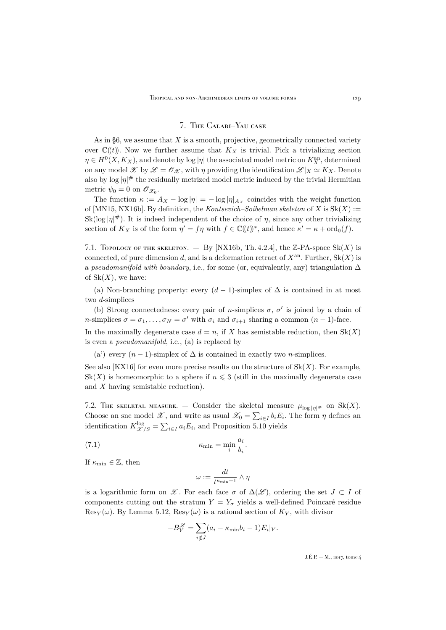### 7. The Calabi–Yau case

<span id="page-43-0"></span>As in  $\S6$ , we assume that X is a smooth, projective, geometrically connected variety over  $\mathbb{C}(\!(t)\!)$ . Now we further assume that  $K_X$  is trivial. Pick a trivializing section  $\eta \in H^0(X, K_X)$ , and denote by log  $|\eta|$  the associated model metric on  $K_X^{\mathrm{an}}$ , determined on any model  $\mathscr X$  by  $\mathscr L = \mathscr O_{\mathscr X}$ , with  $\eta$  providing the identification  $\mathscr L|_X \simeq K_X$ . Denote also by  $\log |\eta|^\#$  the residually metrized model metric induced by the trivial Hermitian metric  $\psi_0 = 0$  on  $\mathscr{O}_{\mathscr{X}_0}$ .

The function  $\kappa := A_X - \log |\eta| = -\log |\eta|_{A_X}$  coincides with the weight function of  $[MN15,NX16b]$  $[MN15,NX16b]$ . By definition, the *Kontsevich–Soibelman skeleton* of X is  $Sk(X)$  :=  $\text{Sk}(\log |\eta|^{#})$ . It is indeed independent of the choice of  $\eta$ , since any other trivializing section of  $K_X$  is of the form  $\eta' = f\eta$  with  $f \in \mathbb{C}(\!(t)\!)^*$ , and hence  $\kappa' = \kappa + \text{ord}_0(f)$ .

7.1. Topology of the skeleton.  $-$  By [\[NX16b,](#page-52-4) Th. 4.2.4], the Z-PA-space Sk(X) is connected, of pure dimension d, and is a deformation retract of  $X^{\text{an}}$ . Further,  $\text{Sk}(X)$  is a *pseudomanifold with boundary*, i.e., for some (or, equivalently, any) triangulation ∆ of  $Sk(X)$ , we have:

(a) Non-branching property: every  $(d-1)$ -simplex of  $\Delta$  is contained in at most two d-simplices

(b) Strong connectedness: every pair of *n*-simplices  $\sigma$ ,  $\sigma'$  is joined by a chain of *n*-simplices  $\sigma = \sigma_1, \ldots, \sigma_N = \sigma'$  with  $\sigma_i$  and  $\sigma_{i+1}$  sharing a common  $(n-1)$ -face.

In the maximally degenerate case  $d = n$ , if X has semistable reduction, then  $Sk(X)$ is even a *pseudomanifold*, i.e., (a) is replaced by

(a') every  $(n-1)$ -simplex of  $\Delta$  is contained in exactly two *n*-simplices.

See also [\[KX16\]](#page-52-22) for even more precise results on the structure of  $Sk(X)$ . For example,  $Sk(X)$  is homeomorphic to a sphere if  $n \leqslant 3$  (still in the maximally degenerate case and X having semistable reduction).

7.2. The skeletal measure. — Consider the skeletal measure  $\mu_{\log |\eta|^\#}$  on  $Sk(X)$ . Choose an snc model  $\mathscr{X}$ , and write as usual  $\mathscr{X}_0 = \sum_{i \in I} b_i E_i$ . The form  $\eta$  defines an identification  $K_{\mathscr{X}/S}^{\log} = \sum_{i \in I} a_i E_i$ , and Proposition [5.10](#page-35-1) yields

(7.1) 
$$
\kappa_{\min} = \min_{i} \frac{a_i}{b_i}.
$$

If  $\kappa_{\min} \in \mathbb{Z}$ , then

<span id="page-43-1"></span>
$$
\omega:=\frac{dt}{t^{\kappa_{\min}+1}}\wedge\eta
$$

is a logarithmic form on X. For each face  $\sigma$  of  $\Delta(\mathscr{L})$ , ordering the set  $J \subset I$  of components cutting out the stratum  $Y = Y_{\sigma}$  yields a well-defined Poincaré residue  $\operatorname{Res}_Y(\omega)$ . By Lemma [5.12,](#page-36-1)  $\operatorname{Res}_Y(\omega)$  is a rational section of  $K_Y$ , with divisor

$$
-B_Y^{\mathcal{L}} = \sum_{i \notin J} (a_i - \kappa_{\min} b_i - 1) E_i|_Y.
$$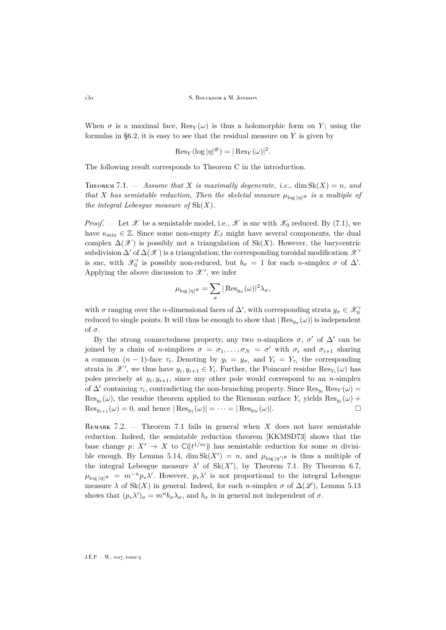When  $\sigma$  is a maximal face,  $\text{Res}_Y(\omega)$  is thus a holomorphic form on Y; using the formulas in  $\S6.2$ , it is easy to see that the residual measure on Y is given by

$$
\operatorname{Res}_Y(\log|\eta|^{\#}) = |\operatorname{Res}_Y(\omega)|^2.
$$

The following result corresponds to Theorem [C](#page-5-0) in the introduction.

<span id="page-44-0"></span>**THEOREM** 7.1.  $-$  *Assume that* X *is maximally degenerate, i.e.,* dim  $Sk(X) = n$ *, and that* X *has semistable reduction, Then the skeletal measure*  $\mu_{\log |\eta|^\#}$  *is a multiple of the integral Lebesgue measure of* Sk(X)*.*

*Proof.* – Let X be a semistable model, i.e., X is snc with  $\mathscr{X}_0$  reduced. By [\(7.1\)](#page-43-1), we have  $\kappa_{\min} \in \mathbb{Z}$ . Since some non-empty  $E_J$  might have several components, the dual complex  $\Delta(\mathscr{X})$  is possibly not a triangulation of Sk(X). However, the barycentric subdivision  $\Delta'$  of  $\Delta(\mathscr{X})$  is a triangulation; the corresponding toroidal modification  $\mathscr{X}'$ is snc, with  $\mathcal{X}'_0$  is possibly non-reduced, but  $b_{\sigma} = 1$  for each *n*-simplex  $\sigma$  of  $\Delta'$ . Applying the above discussion to  $\mathscr{X}^{\prime}$ , we infer

$$
\mu_{\log |\eta|^\#} = \sum_{\sigma} |\operatorname{Res}_{y_\sigma}(\omega)|^2 \lambda_\sigma,
$$

with  $\sigma$  ranging over the *n*-dimensional faces of  $\Delta'$ , with corresponding strata  $y_{\sigma} \in \mathcal{X}'_0$ reduced to single points. It will thus be enough to show that  $|\operatorname{Res}_{y_{\sigma}}(\omega)|$  is independent of  $\sigma$ .

By the strong connectedness property, any two n-simplices  $\sigma$ ,  $\sigma'$  of  $\Delta'$  can be joined by a chain of *n*-simplices  $\sigma = \sigma_1, \ldots, \sigma_N = \sigma'$  with  $\sigma_i$  and  $\sigma_{i+1}$  sharing a common  $(n-1)$ -face  $\tau_i$ . Denoting by  $y_i = y_{\sigma_i}$  and  $Y_i = Y_{\tau_i}$  the corresponding strata in  $\mathscr{X}'$ , we thus have  $y_i, y_{i+1} \in Y_i$ . Further, the Poincaré residue  $\text{Res}_{Y_i}(\omega)$  has poles precisely at  $y_i, y_{i+1}$ , since any other pole would correspond to an *n*-simplex of  $\Delta'$  containing  $\tau_i$ , contradicting the non-branching property. Since  $\text{Res}_{y_i} \text{Res}_{Y}(\omega)$  $\text{Res}_{y_i}(\omega)$ , the residue theorem applied to the Riemann surface  $Y_i$  yields  $\text{Res}_{y_i}(\omega)$  +  $\text{Res}_{y_{i+1}}(\omega) = 0$ , and hence  $|\text{Res}_{y_1}(\omega)| = \cdots = |\text{Res}_{y_N}(\omega)|$ .

REMARK 7.2.  $-$  Theorem [7.1](#page-44-0) fails in general when X does not have semistable reduction. Indeed, the semistable reduction theorem [\[KKMSD73\]](#page-52-12) shows that the base change  $p: X' \to X$  to  $\mathbb{C}(\ell^{1/m})$  has semistable reduction for some m divisi-ble enough. By Lemma [5.14,](#page-38-1) dim  $Sk(X') = n$ , and  $\mu_{\log |\eta'|^{\#}}$  is thus a multiple of the integral Lebesgue measure  $\lambda'$  of Sk(X'), by Theorem [7.1.](#page-44-0) By Theorem [6.7,](#page-41-4)  $\mu_{\log |\eta|^\#} = m^{-n} p_* \lambda'$ . However,  $p_* \lambda'$  is not proportional to the integral Lebesgue measure  $\lambda$  of Sk(X) in general. Indeed, for each *n*-simplex  $\sigma$  of  $\Delta(\mathscr{L})$ , Lemma [5.13](#page-36-2) shows that  $(p_*\lambda')_\sigma = m^n b_\sigma \lambda_\sigma$ , and  $b_\sigma$  is in general not independent of  $\sigma$ .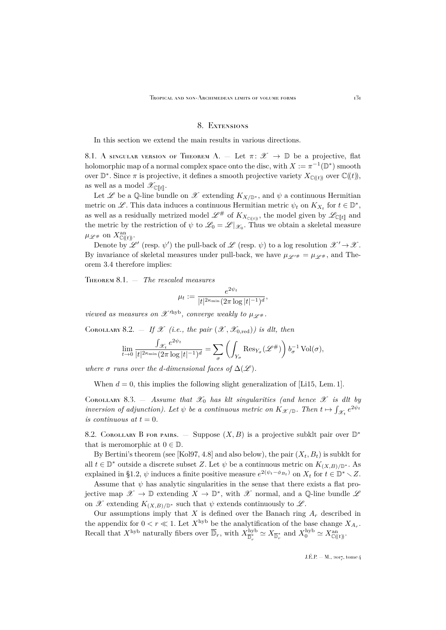#### 8. Extensions

<span id="page-45-0"></span>In this section we extend the main results in various directions.

8.1. A singular version of Theorem A. – Let  $\pi: \mathscr{X} \to \mathbb{D}$  be a projective, flat holomorphic map of a normal complex space onto the disc, with  $X := \pi^{-1}(\mathbb{D}^*)$  smooth over  $\mathbb{D}^*$ . Since  $\pi$  is projective, it defines a smooth projective variety  $X_{\mathbb{C}(\!(t)\!)}$  over  $\mathbb{C}(\!(t)\!)$ , as well as a model  $\mathscr{X}_{\mathbb{C}[t]}$ .

Let L be a Q-line bundle on L extending  $K_{X/\mathbb{D}^*}$ , and  $\psi$  a continuous Hermitian metric on  $\mathscr{L}$ . This data induces a continuous Hermitian metric  $\psi_t$  on  $K_{X_t}$  for  $t \in \mathbb{D}^*$ , as well as a residually metrized model  $\mathscr{L}^\#$  of  $K_{X_{\mathbb{C}(\!(t)\!)}},$  the model given by  $\mathscr{L}_{\mathbb{C}[\![t]\!]}$  and the metric by the restriction of  $\psi$  to  $\mathcal{L}_0 = \mathcal{L}|_{\mathcal{X}_0}$ . Thus we obtain a skeletal measure  $\mu_{\mathscr{L}^{\#}}$  on  $X_{\mathbb{C}(\!(t)\!)}^{\text{an}}$ .

Denote by  $\mathscr{L}'$  (resp.  $\psi'$ ) the pull-back of  $\mathscr{L}$  (resp.  $\psi$ ) to a log resolution  $\mathscr{X}' \to \mathscr{X}$ . By invariance of skeletal measures under pull-back, we have  $\mu_{\mathscr{L}^{\prime\#}} = \mu_{\mathscr{L}^{\#}}$ , and Theorem [3.4](#page-17-0) therefore implies:

Theorem 8.1. — *The rescaled measures*

$$
\mu_t := \frac{e^{2\psi_t}}{|t|^{2\kappa_{\min}} (2\pi \log |t|^{-1})^d},
$$

*viewed as measures on*  $\mathscr{X}'^{hyp}$ *, converge weakly to*  $\mu_{\mathscr{L}^{\#}}$ *.* 

COROLLARY 8.2.  $\equiv$  *If X (i.e., the pair*  $(\mathscr{X}, \mathscr{X}_{0, \text{red}})$ ) is dlt, then

$$
\lim_{t \to 0} \frac{\int_{\mathcal{X}_t} e^{2\psi_t}}{|t|^{2\kappa_{\min}} (2\pi \log |t|^{-1})^d} = \sum_{\sigma} \left( \int_{Y_{\sigma}} \text{Res}_{Y_{\sigma}}(\mathcal{L}^{\#}) \right) b_{\sigma}^{-1} \text{Vol}(\sigma),
$$

*where*  $\sigma$  *runs over the d-dimensional faces of*  $\Delta(\mathscr{L})$ *.* 

When  $d = 0$ , this implies the following slight generalization of [\[Li15,](#page-52-23) Lem. 1].

COROLLARY 8.3.  $-$  *Assume that*  $\mathscr{X}_0$  *has klt singularities (and hence*  $\mathscr{X}$  *is dlt by inversion of adjunction). Let*  $\psi$  *be a continuous metric on*  $K_{\mathscr{X}/\mathbb{D}}$ *. Then*  $t \mapsto \int_{\mathscr{X}_t} e^{2\psi_t}$ *is continuous at*  $t = 0$ *.* 

8.2. COROLLARY [B](#page-4-0) FOR PAIRS.  $-$  Suppose  $(X, B)$  is a projective subklt pair over  $\mathbb{D}^*$ that is meromorphic at  $0 \in \mathbb{D}$ .

By Bertini's theorem (see [\[Kol97,](#page-52-20) 4.8] and also below), the pair  $(X_t, B_t)$  is subklt for all  $t \in \mathbb{D}^*$  outside a discrete subset Z. Let  $\psi$  be a continuous metric on  $K_{(X,B)/\mathbb{D}^*}$ . As explained in [§1.2,](#page-7-0)  $\psi$  induces a finite positive measure  $e^{2(\psi_t - \phi_{B_t})}$  on  $X_t$  for  $t \in \mathbb{D}^* \setminus Z$ .

Assume that  $\psi$  has analytic singularities in the sense that there exists a flat projective map  $\mathscr{X} \to \mathbb{D}$  extending  $X \to \mathbb{D}^*$ , with  $\mathscr{X}$  normal, and a Q-line bundle  $\mathscr{L}$ on X extending  $K_{(X,B)/\mathbb{D}^*}$  such that  $\psi$  extends continuously to  $\mathscr{L}$ .

Our assumptions imply that  $X$  is defined over the Banach ring  $A_r$  described in the appendix for  $0 < r \ll 1$ . Let  $X^{\text{hyb}}$  be the analytification of the base change  $X_{A_r}$ . Recall that  $X^{\text{hyb}}$  naturally fibers over  $\overline{\mathbb{D}}_r$ , with  $X^{\text{hyb}}_{\overline{\mathbb{D}}_r^*} \simeq X_{\overline{\mathbb{D}}_r^*}$  and  $X^{\text{hyb}}_0 \simeq X^{\text{an}}_{\mathbb{C}(\!(t)\!)}$ .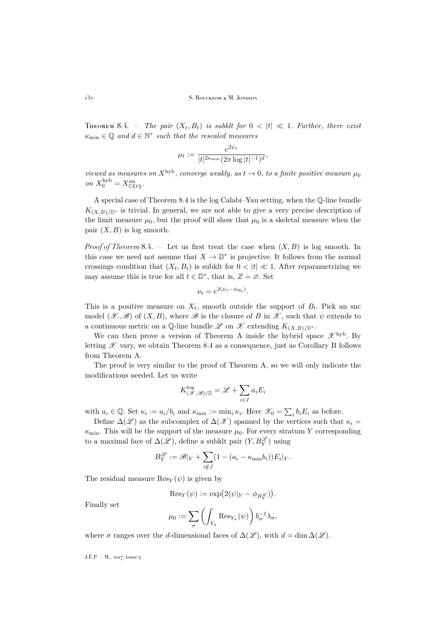<span id="page-46-0"></span>THEOREM 8.4. – *The pair*  $(X_t, B_t)$  *is subklt for*  $0 < |t| \ll 1$ *. Further, there exist*  $\kappa_{\min} \in \mathbb{Q}$  and  $d \in \mathbb{N}^*$  such that the rescaled measures

$$
\mu_t := \frac{e^{2\psi_t}}{|t|^{2\kappa_{\min}}(2\pi \log|t|^{-1})^d},
$$

*viewed as measures on*  $X^{\text{hyb}}$ *, converge weakly, as*  $t \to 0$ *, to a finite positive measure*  $\mu_0$  $\text{on } X_0^{\text{hyb}} = X_{\mathbb{C}(\!(t)\!)}^{\text{an}}.$ 

A special case of Theorem [8.4](#page-46-0) is the log Calabi–Yau setting, when the Q-line bundle  $K_{(X,B)/\mathbb{D}^*}$  is trivial. In general, we are not able to give a very precise description of the limit measure  $\mu_0$ , but the proof will show that  $\mu_0$  is a skeletal measure when the pair  $(X, B)$  is log smooth.

*Proof of Theorem* [8.4.](#page-46-0)  $-$  Let us first treat the case when  $(X, B)$  is log smooth. In this case we need not assume that  $X \to \mathbb{D}^*$  is projective. It follows from the normal crossings condition that  $(X_t, B_t)$  is subklt for  $0 < |t| \ll 1$ . After reparametrizing we may assume this is true for all  $t \in \mathbb{D}^*$ , that is,  $Z = \emptyset$ . Set

$$
\nu_t = e^{2(\psi_t - \phi_{B_t})}.
$$

This is a positive measure on  $X_t$ , smooth outside the support of  $B_t$ . Pick an snc model  $(\mathscr{X}, \mathscr{B})$  of  $(X, B)$ , where  $\mathscr{B}$  is the closure of B in  $\mathscr{X}$ , such that  $\psi$  extends to a continuous metric on a Q-line bundle L on X extending  $K_{(X,B)/\mathbb{D}^*}$ .

We can then prove a version of Theorem [A](#page-2-1) inside the hybrid space  $\mathscr{X}^{\rm hyb}$ . By letting  $\mathscr X$  vary, we obtain Theorem [8.4](#page-46-0) as a consequence, just as Corollary [B](#page-4-0) follows from Theorem [A.](#page-2-1)

The proof is very similar to the proof of Theorem [A,](#page-2-1) so we will only indicate the modifications needed. Let us write

$$
K^{\log}_{(\mathcal{X},\mathcal{B})/\mathbb{D}} = \mathcal{L} + \sum_{i \in I} a_i E_i
$$

with  $a_i \in \mathbb{Q}$ . Set  $\kappa_i := a_i/b_i$  and  $\kappa_{\min} := \min_i \kappa_i$ . Here  $\mathscr{X}_0 = \sum_i b_i E_i$  as before.

Define  $\Delta(\mathscr{L})$  as the subcomplex of  $\Delta(\mathscr{X})$  spanned by the vertices such that  $\kappa_i =$  $\kappa_{\min}$ . This will be the support of the measure  $\mu_0$ . For every stratum Y corresponding to a maximal face of  $\Delta(\mathscr{L})$ , define a subklt pair  $(Y, B_Y^{\mathscr{L}})$  using

$$
B_Y^{\mathscr{L}} := \mathscr{B}|_Y + \sum_{i \notin J} (1 - (a_i - \kappa_{\min} b_i)) E_i|_Y.
$$

The residual measure  $\text{Res}_Y(\psi)$  is given by

$$
\text{Res}_Y(\psi) := \exp\bigl(2(\psi|_Y - \phi_{B_Y^{\mathscr{L}}})\bigr).
$$

Finally set

$$
\mu_0 := \sum_{\sigma} \left( \int_{Y_{\sigma}} \text{Res}_{Y_{\sigma}}(\psi) \right) b_{\sigma}^{-1} \lambda_{\sigma},
$$

where  $\sigma$  ranges over the d-dimensional faces of  $\Delta(\mathscr{L})$ , with  $d = \dim \Delta(\mathscr{L})$ .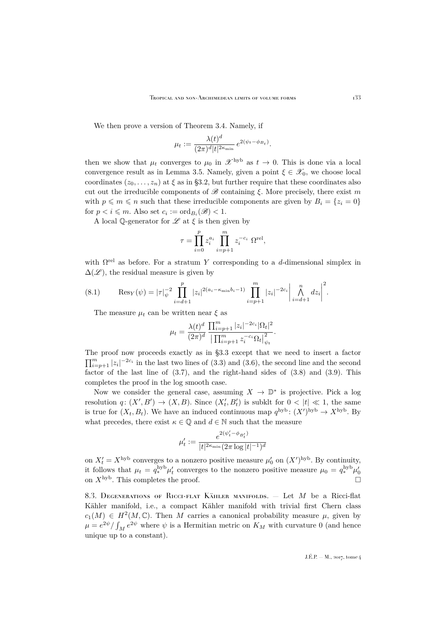We then prove a version of Theorem [3.4.](#page-17-0) Namely, if

$$
\mu_t := \frac{\lambda(t)^d}{(2\pi)^d |t|^{2\kappa_{\min}}} e^{2(\psi_t - \phi_{B_t})}.
$$

then we show that  $\mu_t$  converges to  $\mu_0$  in  $\mathscr{X}^{\rm hyb}$  as  $t \to 0$ . This is done via a local convergence result as in Lemma [3.5.](#page-18-1) Namely, given a point  $\xi \in \mathscr{X}_0$ , we choose local coordinates  $(z_0, \ldots, z_n)$  at  $\xi$  as in [§3.2,](#page-17-1) but further require that these coordinates also cut out the irreducible components of  $\mathscr{B}$  containing  $\xi$ . More precisely, there exist m with  $p \leq m \leq n$  such that these irreducible components are given by  $B_i = \{z_i = 0\}$ for  $p < i \leq m$ . Also set  $c_i := \text{ord}_{B_i}(\mathscr{B}) < 1$ .

A local Q-generator for  $\mathscr L$  at  $\xi$  is then given by

$$
\tau = \prod_{i=0}^{p} z_i^{a_i} \prod_{i=p+1}^{m} z_i^{-c_i} \Omega^{\text{rel}},
$$

with  $\Omega^{\text{rel}}$  as before. For a stratum Y corresponding to a d-dimensional simplex in  $\Delta(\mathscr{L})$ , the residual measure is given by

(8.1) 
$$
\operatorname{Res}_{Y}(\psi) = |\tau|_{\psi}^{-2} \prod_{i=d+1}^{p} |z_{i}|^{2(a_{i}-\kappa_{\min}b_{i}-1)} \prod_{i=p+1}^{m} |z_{i}|^{-2c_{i}} \left| \bigwedge_{i=d+1}^{n} dz_{i} \right|^{2}.
$$

The measure  $\mu_t$  can be written near  $\xi$  as

$$
\mu_t = \frac{\lambda(t)^d}{(2\pi)^d} \frac{\prod_{i=p+1}^m |z_i|^{-2c_i} |\Omega_t|^2}{\left| \prod_{i=p+1}^m z_i^{-c_i} \Omega_t \right|_{\psi_t}^2}.
$$

The proof now proceeds exactly as in [§3.3](#page-19-0) except that we need to insert a factor  $\prod_{i=p+1}^{m} |z_i|^{-2c_i}$  in the last two lines of [\(3.3\)](#page-20-1) and [\(3.6\)](#page-21-2), the second line and the second factor of the last line of  $(3.7)$ , and the right-hand sides of  $(3.8)$  and  $(3.9)$ . This completes the proof in the log smooth case.

Now we consider the general case, assuming  $X \to \mathbb{D}^*$  is projective. Pick a log resolution  $q: (X', B') \to (X, B)$ . Since  $(X'_t, B'_t)$  is subklt for  $0 < |t| \ll 1$ , the same is true for  $(X_t, B_t)$ . We have an induced continuous map  $q^{\text{hyb}}$ :  $(X')^{\text{hyb}} \to X^{\text{hyb}}$ . By what precedes, there exist  $\kappa \in \mathbb{Q}$  and  $d \in \mathbb{N}$  such that the measure

$$
\mu_t' := \frac{e^{2(\psi_t' - \phi_{B_t'})}}{|t|^{2\kappa_{\min}}(2\pi \log|t|^{-1})^d}
$$

on  $X'_t = X^{\text{hyb}}$  converges to a nonzero positive measure  $\mu'_0$  on  $(X')^{\text{hyb}}$ . By continuity, it follows that  $\mu_t = q_*^{\text{hyb}} \mu'_t$  converges to the nonzero positive measure  $\mu_0 = q_*^{\text{hyb}} \mu'_0$ on  $X^{\mathrm{hyb}}$ . This completes the proof.

8.3. DEGENERATIONS OF RICCI-FLAT KÄHLER MANIFOLDS.  $-$  Let M be a Ricci-flat Kähler manifold, i.e., a compact Kähler manifold with trivial first Chern class  $c_1(M) \in H^2(M,\mathbb{C})$ . Then M carries a canonical probability measure  $\mu$ , given by  $\mu = e^{2\psi} / \int_M e^{2\psi}$  where  $\psi$  is a Hermitian metric on  $K_M$  with curvature 0 (and hence unique up to a constant).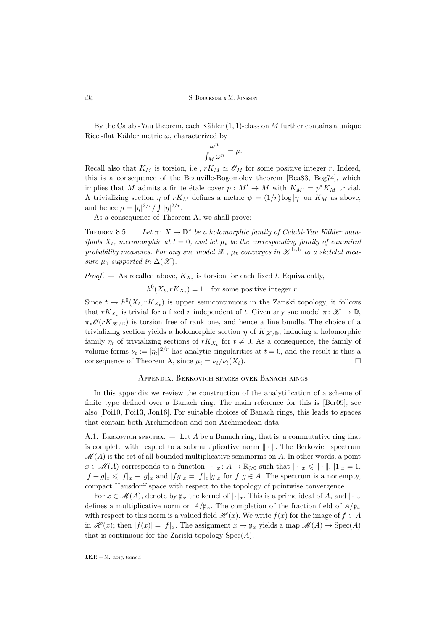By the Calabi-Yau theorem, each Kähler  $(1, 1)$ -class on M further contains a unique Ricci-flat Kähler metric  $\omega$ , characterized by

$$
\frac{\omega^n}{\int_M \omega^n} = \mu.
$$

Recall also that  $K_M$  is torsion, i.e.,  $rK_M \simeq \mathcal{O}_M$  for some positive integer r. Indeed, this is a consequence of the Beauville-Bogomolov theorem [\[Bea83,](#page-51-14) [Bog74\]](#page-51-15), which implies that M admits a finite étale cover  $p : M' \to M$  with  $K_{M'} = p^*K_M$  trivial. A trivializing section  $\eta$  of  $rK_M$  defines a metric  $\psi = (1/r) \log |\eta|$  on  $K_M$  as above, and hence  $\mu = |\eta|^{2/r} / \int |\eta|^{2/r}$ .

As a consequence of Theorem A, we shall prove:

THEOREM 8.5.  $-$  Let  $\pi: X \to \mathbb{D}^*$  be a holomorphic family of Calabi-Yau Kähler man*ifolds*  $X_t$ , meromorphic at  $t = 0$ , and let  $\mu_t$  be the corresponding family of canonical probability measures. For any snc model  $\mathscr{X}$ ,  $\mu_t$  converges in  $\mathscr{X}^{\text{hyb}}$  to a skeletal mea*sure*  $\mu_0$  *supported in*  $\Delta(\mathcal{X})$ *.* 

*Proof.*  $-$  As recalled above,  $K_{X_t}$  is torsion for each fixed t. Equivalently,

 $h^0(X_t, rK_{X_t}) = 1$  for some positive integer r.

Since  $t \mapsto h^0(X_t, rK_{X_t})$  is upper semicontinuous in the Zariski topology, it follows that  $rK_{X_t}$  is trivial for a fixed r independent of t. Given any snc model  $\pi: \mathscr{X} \to \mathbb{D}$ ,  $\pi_*\mathscr{O}(rK_{\mathscr{X}/\mathbb{D}})$  is torsion free of rank one, and hence a line bundle. The choice of a trivializing section yields a holomorphic section  $\eta$  of  $K_{\mathscr{X}/\mathbb{D}}$ , inducing a holomorphic family  $\eta_t$  of trivializing sections of  $rK_{X_t}$  for  $t \neq 0$ . As a consequence, the family of volume forms  $\nu_t := |\eta_t|^{2/r}$  has analytic singularities at  $t = 0$ , and the result is thus a consequence of Theorem A, since  $\mu_t = \nu_t / \nu_t(X_t)$ .

#### <span id="page-48-0"></span>Appendix. Berkovich spaces over Banach rings

In this appendix we review the construction of the analytification of a scheme of finite type defined over a Banach ring. The main reference for this is [\[Ber09\]](#page-51-5); see also [\[Poi10,](#page-53-13) [Poi13,](#page-53-14) [Jon16\]](#page-52-24). For suitable choices of Banach rings, this leads to spaces that contain both Archimedean and non-Archimedean data.

A.1. BERKOVICH SPECTRA.  $-$  Let A be a Banach ring, that is, a commutative ring that is complete with respect to a submultiplicative norm  $\|\cdot\|$ . The Berkovich spectrum  $\mathscr{M}(A)$  is the set of all bounded multiplicative seminorms on A. In other words, a point  $x \in \mathscr{M}(A)$  corresponds to a function  $|\cdot|_x \colon A \to \mathbb{R}_{\geqslant 0}$  such that  $|\cdot|_x \leqslant ||\cdot||, |1|_x = 1$ ,  $|f + g|_x \leq |f|_x + |g|_x$  and  $|fg|_x = |f|_x |g|_x$  for  $f, g \in A$ . The spectrum is a nonempty, compact Hausdorff space with respect to the topology of pointwise convergence.

For  $x \in \mathcal{M}(A)$ , denote by  $\mathfrak{p}_x$  the kernel of  $|\cdot|_x$ . This is a prime ideal of A, and  $|\cdot|_x$ defines a multiplicative norm on  $A/\mathfrak{p}_x$ . The completion of the fraction field of  $A/\mathfrak{p}_x$ with respect to this norm is a valued field  $\mathscr{H}(x)$ . We write  $f(x)$  for the image of  $f \in A$ in  $\mathscr{H}(x)$ ; then  $|f(x)| = |f|_x$ . The assignment  $x \mapsto \mathfrak{p}_x$  yields a map  $\mathscr{M}(A) \to \mathrm{Spec}(A)$ that is continuous for the Zariski topology  $Spec(A)$ .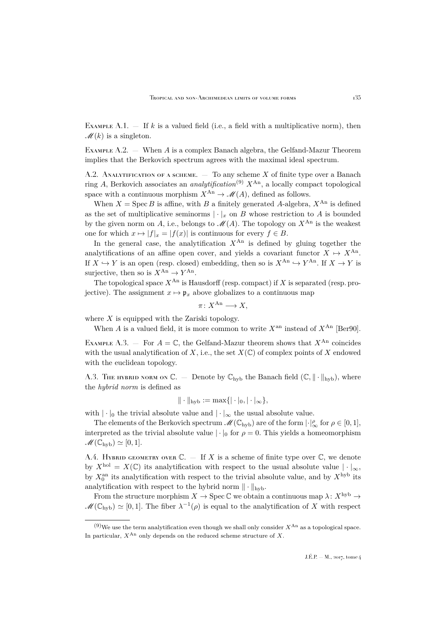EXAMPLE A.1.  $-$  If k is a valued field (i.e., a field with a multiplicative norm), then  $\mathscr{M}(k)$  is a singleton.

EXAMPLE  $A.2.$  — When A is a complex Banach algebra, the Gelfand-Mazur Theorem implies that the Berkovich spectrum agrees with the maximal ideal spectrum.

A.2. ANALYTIFICATION OF A SCHEME.  $-$  To any scheme X of finite type over a Banach ring A, Berkovich associates an *analytification*<sup>(9)</sup>  $X^{An}$ , a locally compact topological space with a continuous morphism  $X^{An} \to \mathcal{M}(A)$ , defined as follows.

When  $X = \text{Spec } B$  is affine, with B a finitely generated A-algebra,  $X^{An}$  is defined as the set of multiplicative seminorms  $|\cdot|_x$  on B whose restriction to A is bounded by the given norm on A, i.e., belongs to  $\mathcal{M}(A)$ . The topology on  $X^{An}$  is the weakest one for which  $x \mapsto |f|_x = |f(x)|$  is continuous for every  $f \in B$ .

In the general case, the analytification  $X^{An}$  is defined by gluing together the analytifications of an affine open cover, and yields a covariant functor  $X \mapsto X^{An}$ . If  $X \hookrightarrow Y$  is an open (resp. closed) embedding, then so is  $X^{An} \hookrightarrow Y^{An}$ . If  $X \to Y$  is surjective, then so is  $X^{An} \to Y^{An}$ .

The topological space  $X^{An}$  is Hausdorff (resp. compact) if X is separated (resp. projective). The assignment  $x \mapsto \mathfrak{p}_x$  above globalizes to a continuous map

$$
\pi\colon X^{\mathrm{An}}\longrightarrow X,
$$

where  $X$  is equipped with the Zariski topology.

When A is a valued field, it is more common to write  $X^{\text{an}}$  instead of  $X^{\text{An}}$  [\[Ber90\]](#page-51-16).

EXAMPLE A.3. – For  $A = \mathbb{C}$ , the Gelfand-Mazur theorem shows that  $X^{An}$  coincides with the usual analytification of X, i.e., the set  $X(\mathbb{C})$  of complex points of X endowed with the euclidean topology.

A.3. The hybrid norm on  $\mathbb{C}$ . — Denote by  $\mathbb{C}_{\rm hyb}$  the Banach field  $(\mathbb{C}, \|\cdot\|_{\rm hyb})$ , where the *hybrid norm* is defined as

$$
\|\cdot\|_{\text{hyb}} := \max\{|\cdot|_0, |\cdot|_\infty\},\
$$

with  $|\cdot|_0$  the trivial absolute value and  $|\cdot|_{\infty}$  the usual absolute value.

The elements of the Berkovich spectrum  $\mathscr{M}(\mathbb{C}_{\mathrm{hyb}})$  are of the form  $|\cdot|_{\infty}^{\rho}$  for  $\rho \in [0,1],$ interpreted as the trivial absolute value  $|\cdot|_0$  for  $\rho = 0$ . This yields a homeomorphism  $\mathscr{M}(\mathbb{C}_{\rm hvh}) \simeq [0, 1].$ 

A.4. HYBRID GEOMETRY OVER  $\mathbb{C}$ . — If X is a scheme of finite type over  $\mathbb{C}$ , we denote by  $X^{\text{hol}} = X(\mathbb{C})$  its analytification with respect to the usual absolute value  $|\cdot|_{\infty}$ , by  $X_0^{\text{an}}$  its analytification with respect to the trivial absolute value, and by  $X^{\text{hyb}}$  its analytification with respect to the hybrid norm  $\|\cdot\|_{\text{hvb}}$ .

From the structure morphism  $X \to \text{Spec } \mathbb{C}$  we obtain a continuous map  $\lambda: X^{\text{hyb}} \to$  $\mathscr{M}(\mathbb{C}_{\mathrm{hyb}}) \simeq [0,1].$  The fiber  $\lambda^{-1}(\rho)$  is equal to the analytification of X with respect

 $(9)$ We use the term analytification even though we shall only consider  $X^{An}$  as a topological space. In particular,  $X^{An}$  only depends on the reduced scheme structure of X.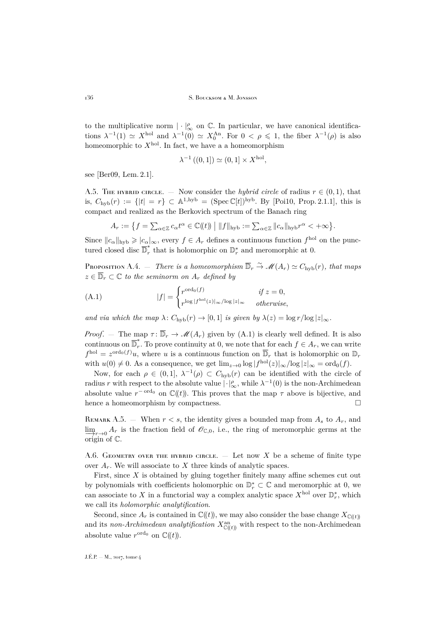to the multiplicative norm  $|\cdot|_{\infty}^{\rho}$  on  $\mathbb{C}$ . In particular, we have canonical identifications  $\lambda^{-1}(1) \simeq X^{\text{hol}}$  and  $\lambda^{-1}(0) \simeq X_0^{\text{An}}$ . For  $0 < \rho \leq 1$ , the fiber  $\lambda^{-1}(\rho)$  is also homeomorphic to  $X^{\text{hol}}$ . In fact, we have a a homeomorphism

$$
\lambda^{-1}((0,1]) \simeq (0,1] \times X^{\text{hol}},
$$

see [\[Ber09,](#page-51-5) Lem. 2.1].

A.5. The hybrid circle of radius  $r \in (0,1)$ , that is,  $C_{\rm hyb}(r) := \{|t| = r\} \subset \mathbb{A}^{1,\rm hyb} = (\text{Spec } \mathbb{C}[t])^{\rm hyb}$ . By [\[Poi10,](#page-53-13) Prop. 2.1.1], this is compact and realized as the Berkovich spectrum of the Banach ring

$$
A_r := \big\{ f = \sum_{\alpha \in \mathbb{Z}} c_{\alpha} t^{\alpha} \in \mathbb{C}(\!(t)\!) \mid \|f\|_{\text{hyb}} := \sum_{\alpha \in \mathbb{Z}} \|c_{\alpha}\|_{\text{hyb}} r^{\alpha} < +\infty \big\}.
$$

Since  $||c_{\alpha}||_{\text{hyb}} \geqslant |c_{\alpha}|_{\infty}$ , every  $f \in A_r$  defines a continuous function  $f^{\text{hol}}$  on the punctured closed disc  $\overline{\mathbb{D}}_r^*$ \*, that is holomorphic on  $\mathbb{D}^*$  and meromorphic at 0.

<span id="page-50-2"></span>PROPOSITION A.4. — *There is a homeomorphism*  $\overline{\mathbb{D}}_r \overset{\sim}{\to} \mathscr{M}(A_r) \simeq C_{\text{hyb}}(r)$ *, that maps*  $z \in \overline{\mathbb{D}}_r \subset \mathbb{C}$  *to the seminorm on*  $A_r$  *defined by* 

<span id="page-50-1"></span>(A.1) 
$$
|f| = \begin{cases} r^{\text{ord}_0(f)} & \text{if } z = 0, \\ r^{\log |f^{\text{hol}}(z)|_{\infty}/\log |z|_{\infty}} & \text{otherwise,} \end{cases}
$$

*and via which the map*  $\lambda$ :  $C_{\text{hyb}}(r) \rightarrow [0, 1]$  *is given by*  $\lambda(z) = \log r / \log |z|_{\infty}$ *.* 

*Proof.* — The map  $\tau: \overline{\mathbb{D}}_r \to \mathcal{M}(A_r)$  given by [\(A.1\)](#page-50-1) is clearly well defined. It is also continuous on  $\overline{\mathbb{D}}_r^*$ r. To prove continuity at 0, we note that for each  $f \in A_r$ , we can write  $f^{\text{hol}} = z^{\text{ord}_0(f)}u$ , where u is a continuous function on  $\overline{\mathbb{D}}_r$  that is holomorphic on  $\mathbb{D}_r$ with  $u(0) \neq 0$ . As a consequence, we get  $\lim_{z \to 0} \log |f^{\text{hol}}(z)|_{\infty} / \log |z|_{\infty} = \text{ord}_0(f)$ .

Now, for each  $\rho \in (0,1], \lambda^{-1}(\rho) \subset C_{\text{hyb}}(r)$  can be identified with the circle of radius r with respect to the absolute value  $|\cdot|_{\infty}^{\rho}$ , while  $\lambda^{-1}(0)$  is the non-Archimedean absolute value  $r^{-\text{ord}_0}$  on  $\mathbb{C}(\!(t)\!)$ . This proves that the map  $\tau$  above is bijective, and hence a homeomorphism by compactness.

REMARK A.5. – When  $r < s$ , the identity gives a bounded map from  $A_s$  to  $A_r$ , and  $\lim_{x\to 0} A_r$  is the fraction field of  $\mathscr{O}_{\mathbb{C},0}$ , i.e., the ring of meromorphic germs at the  $\overrightarrow{\text{origin}}$  of  $\mathbb{C}$ .

<span id="page-50-0"></span>A.6. GEOMETRY OVER THE HYBRID CIRCLE.  $-$  Let now X be a scheme of finite type over  $A_r$ . We will associate to X three kinds of analytic spaces.

First, since X is obtained by gluing together finitely many affine schemes cut out by polynomials with coefficients holomorphic on  $\mathbb{D}_{r}^{*} \subset \mathbb{C}$  and meromorphic at 0, we can associate to X in a functorial way a complex analytic space  $X^{\text{hol}}$  over  $\mathbb{D}_{r}^{*}$ , which we call its *holomorphic analytification*.

Second, since  $A_r$  is contained in  $\mathbb{C}(\!(t)\!)$ , we may also consider the base change  $X_{\mathbb{C}(\!(t)\!)}$ and its *non-Archimedean analytification*  $X_{\mathbb{C}(\langle t \rangle)}^{\text{an}}$  with respect to the non-Archimedean absolute value  $r^{\text{ord}_0}$  on  $\mathbb{C}(\!(t)\!)$ .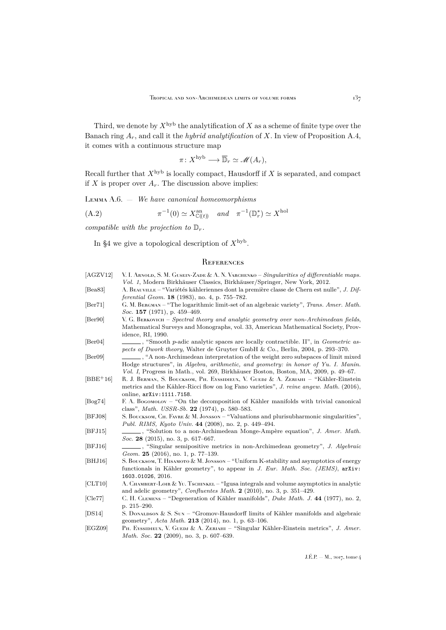Third, we denote by  $X^{\mathrm{hyb}}$  the analytification of X as a scheme of finite type over the Banach ring Ar, and call it the *hybrid analytification* of X. In view of Proposition [A.4,](#page-50-2) it comes with a continuous structure map

$$
\pi\colon X^{\mathrm{hyb}}\longrightarrow \overline{\mathbb{D}}_r\simeq \mathscr{M}(A_r),
$$

Recall further that  $X^{\text{hyb}}$  is locally compact, Hausdorff if X is separated, and compact if  $X$  is proper over  $A_r$ . The discussion above implies:

Lemma A.6. — *We have canonical homeomorphisms*

(A.2) 
$$
\pi^{-1}(0) \simeq X_{\mathbb{C}((t))}^{\text{an}} \quad \text{and} \quad \pi^{-1}(\mathbb{D}_{r}^{*}) \simeq X^{\text{hol}}
$$

*compatible with the projection to*  $\mathbb{D}_r$ *.* 

In [§4](#page-22-0) we give a topological description of  $X^{\rm hyb}$ .

### <span id="page-51-0"></span>**REFERENCES**

<span id="page-51-16"></span><span id="page-51-15"></span><span id="page-51-14"></span><span id="page-51-13"></span><span id="page-51-12"></span><span id="page-51-11"></span><span id="page-51-10"></span><span id="page-51-9"></span><span id="page-51-8"></span><span id="page-51-7"></span><span id="page-51-6"></span><span id="page-51-5"></span><span id="page-51-4"></span><span id="page-51-3"></span><span id="page-51-2"></span><span id="page-51-1"></span>

| [AGZV12]                    | V. I. Arnold, S. M. Gusein-Zade & A. N. Varchenko – Singularities of differentiable maps.<br>Vol. 1, Modern Birkhäuser Classics, Birkhäuser/Springer, New York, 2012.                           |
|-----------------------------|-------------------------------------------------------------------------------------------------------------------------------------------------------------------------------------------------|
| [Bea83]                     | A. BEAUVILLE – "Variétés kähleriennes dont la première classe de Chern est nulle", J. Dif-                                                                                                      |
|                             | ferential Geom. 18 (1983), no. 4, p. 755–782.                                                                                                                                                   |
| $\left[\text{Ber71}\right]$ | G. M. BERGMAN - "The logarithmic limit-set of an algebraic variety", Trans. Amer. Math.<br>Soc. 157 (1971), p. 459-469.                                                                         |
| [Ber90]                     | V. G. BERKOVICH – Spectral theory and analytic geometry over non-Archimedean fields,<br>Mathematical Surveys and Monographs, vol. 33, American Mathematical Society, Prov-<br>idence, RI, 1990. |
| $\left[\text{Ber}04\right]$ | $\ldots$ , "Smooth p-adic analytic spaces are locally contractible. II", in <i>Geometric as</i> -<br>pects of Dwork theory, Walter de Gruyter GmbH & Co., Berlin, 2004, p. 293–370.             |
| [Ber09]                     | , "A non-Archimedean interpretation of the weight zero subspaces of limit mixed                                                                                                                 |
|                             | Hodge structures", in Algebra, arithmetic, and geometry: in honor of Yu. I. Manin.<br>Vol. I, Progress in Math., vol. 269, Birkhäuser Boston, Boston, MA, 2009, p. 49–67.                       |
| $[BBE+16]$                  | R. J. BERMAN, S. BOUCKSOM, PH. EYSSIDIEUX, V. GUEDJ & A. ZERIAHI – "Kähler-Einstein<br>metrics and the Kähler-Ricci flow on log Fano varieties", J. reine angew. Math. (2016),                  |
|                             | online, arXiv:1111.7158.                                                                                                                                                                        |
| [Bog74]                     | F. A. Bogomolov – "On the decomposition of Kähler manifolds with trivial canonical<br>class", <i>Math. USSR-Sb.</i> 22 (1974), p. 580–583.                                                      |
| [BFJ08]                     | S. BOUCKSOM, CH. FAVRE & M. JONSSON – "Valuations and plurisubharmonic singularities",<br>Publ. RIMS, Kyoto Univ. 44 (2008), no. 2, p. 449–494.                                                 |
| [BFJ15]                     | Soc. 28 (2015), no. 3, p. 617-667.                                                                                                                                                              |
| [BFJ16]                     | , "Singular semipositive metrics in non-Archimedean geometry", J. Algebraic<br>Geom. 25 (2016), no. 1, p. 77-139.                                                                               |
| [BHJ16]                     | S. BOUCKSOM, T. HISAMOTO & M. JONSSON – "Uniform K-stability and asymptotics of energy<br>functionals in Kähler geometry", to appear in J. Eur. Math. Soc. (JEMS), arXiv:<br>1603.01026, 2016.  |
| [CLT10]                     | A. CHAMBERT-LOIR & YU. TsCHINKEL – "Igusa integrals and volume asymptotics in analytic<br>and adelic geometry", Confluentes Math. 2 (2010), no. 3, p. 351–429.                                  |
| [Cle77]                     | C. H. CLEMENS – "Degeneration of Kähler manifolds", Duke Math. J. 44 (1977), no. 2,<br>p. $215 - 290$ .                                                                                         |
| [DS14]                      | S. DONALDSON & S. SUN – "Gromov-Hausdorff limits of Kähler manifolds and algebraic<br>geometry", Acta Math. 213 (2014), no. 1, p. 63-106.                                                       |
| [EGZ09]                     | Pн. Eyssipieux, V. Guedi & A. Zeriahl – "Singular Kähler-Einstein metrics", J. Amer.<br>Math. Soc. 22 (2009), no. 3, p. 607-639.                                                                |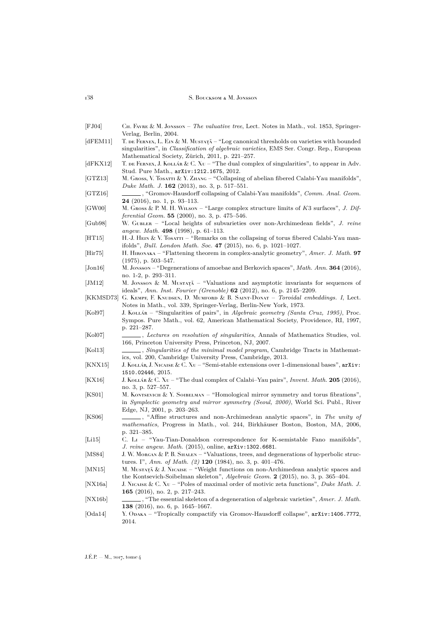<span id="page-52-24"></span><span id="page-52-21"></span><span id="page-52-20"></span><span id="page-52-19"></span><span id="page-52-18"></span><span id="page-52-16"></span><span id="page-52-15"></span><span id="page-52-14"></span><span id="page-52-13"></span><span id="page-52-12"></span><span id="page-52-11"></span><span id="page-52-10"></span><span id="page-52-8"></span><span id="page-52-6"></span>

| [FJ04]                  | Сн. Favre & M. Jonsson – The valuative tree, Lect. Notes in Math., vol. 1853, Springer-<br>Verlag, Berlin, 2004.                                                                                                                               |
|-------------------------|------------------------------------------------------------------------------------------------------------------------------------------------------------------------------------------------------------------------------------------------|
| [dFEM11]                | T. DE FERNEX, L. EIN & M. MUSTATĂ – "Log canonical thresholds on varieties with bounded<br>singularities", in <i>Classification of algebraic varieties</i> , EMS Ser. Congr. Rep., European<br>Mathematical Society, Zürich, 2011, p. 221–257. |
| dFKX12                  | T. DE FERNEX, J. KOLLÁR & C. $X_U$ – "The dual complex of singularities", to appear in Adv.<br>Stud. Pure Math., arXiv:1212.1675, 2012.                                                                                                        |
| [GTZ13]                 | M. Gross, V. Tosarrı & Y. Zhang – "Collapsing of abelian fibered Calabi-Yau manifolds",<br><i>Duke Math. J.</i> <b>162</b> (2013), no. 3, p. 517–551.                                                                                          |
| GTZ16                   | _, "Gromov-Hausdorff collapsing of Calabi-Yau manifolds", <i>Comm. Anal. Geom.</i><br>$24$ (2016), no. 1, p. 93–113.                                                                                                                           |
| GW00                    | M. GROSS & P. M. H. WILSON – "Large complex structure limits of $K3$ surfaces", J. Dif-<br>ferential Geom. 55 (2000), no. 3, p. 475-546.                                                                                                       |
| [Gub98]                 | W. GUBLER – "Local heights of subvarieties over non-Archimedean fields", J. reine<br>angew. Math. 498 (1998), p. 61–113.                                                                                                                       |
| [HT15]                  | H.J. HEIN & V. TOSATTI – "Remarks on the collapsing of torus fibered Calabi-Yau man-<br>ifolds", <i>Bull. London Math. Soc.</i> 47 (2015), no. 6, p. 1021-1027.                                                                                |
| $[_{\rm Hir75}]$        | H. HIRONAKA – "Flattening theorem in complex-analytic geometry", Amer. J. Math. 97<br>$(1975)$ , p. $503-547$ .                                                                                                                                |
| [John16]                | M. Jonsson – "Degenerations of amoebae and Berkovich spaces", Math. Ann. 364 (2016),<br>no. 1-2, p. 293-311.                                                                                                                                   |
| JM12                    | M. JONSSON & M. MUSTAT $\check{\Lambda}$ – "Valuations and asymptotic invariants for sequences of<br>ideals", Ann. Inst. Fourier (Grenoble) $62$ (2012), no. 6, p. 2145–2209.                                                                  |
|                         | [KKMSD73] G. KEMPF, F. KNUDSEN, D. MUMFORD & B. SAINT-DONAT – Toroidal embeddings. I, Lect.<br>Notes in Math., vol. 339, Springer-Verlag, Berlin-New York, 1973.                                                                               |
| [Kol97]                 | J. Kollardong – "Singularities of pairs", in Algebraic geometry (Santa Cruz, 1995), Proc.<br>Sympos. Pure Math., vol. 62, American Mathematical Society, Providence, RI, 1997,<br>p. 221–287.                                                  |
| Kol07                   | 166, Princeton University Press, Princeton, NJ, 2007.                                                                                                                                                                                          |
| [Kol13]                 | $\ldots$ , Singularities of the minimal model program, Cambridge Tracts in Mathemat-<br>ics, vol. 200, Cambridge University Press, Cambridge, 2013.                                                                                            |
| KNX15                   | J. KOLLÁR, J. NICAISE & C. XU – "Semi-stable extensions over 1-dimensional bases", $arXiv$ :<br>1510.02446, 2015.                                                                                                                              |
| KX16                    | J. KOLLÁR & C. Xu – "The dual complex of Calabi–Yau pairs", <i>Invent. Math.</i> 205 (2016),<br>no. 3, p. 527–557.                                                                                                                             |
| KS01                    | M. KONTSEVICH & Y. SOIBELMAN – "Homological mirror symmetry and torus fibrations",<br>in Symplectic geometry and mirror symmetry (Seoul, 2000), World Sci. Publ., River<br>Edge, NJ, 2001, p. 203–263.                                         |
| [KS06]                  | <i>mathematics</i> , Progress in Math., vol. 244, Birkhäuser Boston, Boston, MA, 2006,<br>p. $321 - 385$ .                                                                                                                                     |
| [L115]                  | C. L <sub>I</sub> – "Yau-Tian-Donaldson correspondence for K-semistable Fano manifolds",<br><i>J. reine angew. Math.</i> (2015), online, $arXiv:1302.6681$ .                                                                                   |
| $[\operatorname{MSS4}]$ | J. W. MORGAN & P. B. SHALEN - "Valuations, trees, and degenerations of hyperbolic struc-<br>tures. I", Ann. of Math. (2) 120 (1984), no. 3, p. 401–476.                                                                                        |
| MN15                    | M. MUSTAȚĂ & J. NICAISE – "Weight functions on non-Archimedean analytic spaces and<br>the Kontsevich-Soibelman skeleton", Algebraic Geom. $2$ (2015), no. 3, p. 365–404.                                                                       |
| [NX16a]                 | J. NICAISE & C. XU - "Poles of maximal order of motivic zeta functions", Duke Math. J.<br>165 (2016), no. 2, p. 217-243.                                                                                                                       |
| NX16b                   | $\_\_$ , "The essential skeleton of a degeneration of algebraic varieties", Amer. J. Math.<br>138 (2016), no. 6, p. 1645-1667.                                                                                                                 |
| [Oda14]                 | Y. ODAKA - "Tropically compactify via Gromov-Hausdorff collapse", arXiv:1406.7772,<br>2014.                                                                                                                                                    |

<span id="page-52-23"></span><span id="page-52-22"></span><span id="page-52-17"></span><span id="page-52-9"></span><span id="page-52-7"></span><span id="page-52-5"></span><span id="page-52-4"></span><span id="page-52-3"></span><span id="page-52-2"></span><span id="page-52-1"></span><span id="page-52-0"></span>J.É.P. — M., 2017, tome  $\bar{4}$